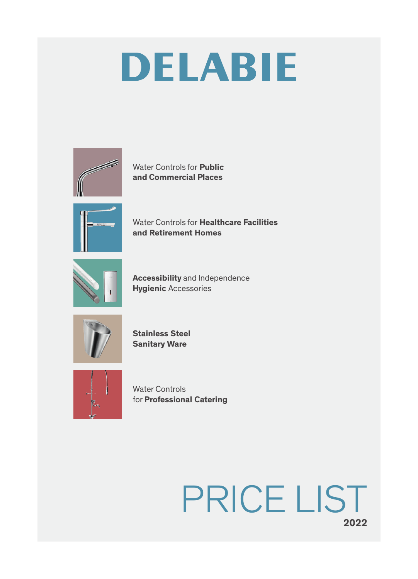

Water Controls for **Public** and Commercial Places



Water Controls for Healthcare Facilities and Retirement Homes



Accessibility and Independence Hygienic Accessories



Stainless Steel Sanitary Ware



Water Controls for Professional Catering

## 2022 PRICE LIST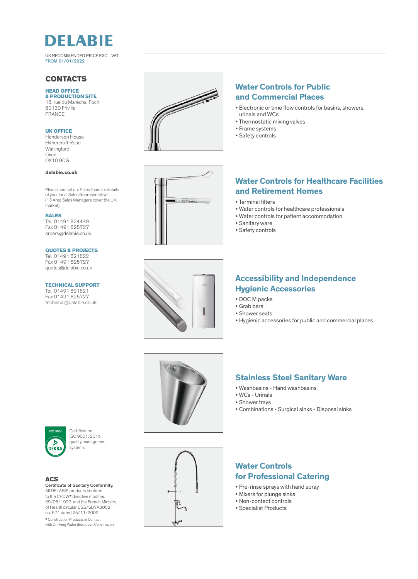

UK RECOMMENDED PRICE EXCL. VAT FROM 01/01/2022

### **CONTACTS**

#### HEAD OFFICE & PRODUCTION SITE

18, rue du Maréchal Foch 80130 Friville FRANCE

#### UK OFFICE

Henderson House Hithercroft Road Wallingford Oxon OX10 9DG

#### delabie.co.uk

Please contact our Sales Team for details of your local Sales Representative (13 Area Sales Managers cover the UK market).

#### SALES

Tel. 01491 824449 Fax 01491 825727 orders@delabie.co.uk

#### QUOTES & PROJECTS

Tel. 01491 821822 Fax 01491 825727 quotes@delabie.co.uk

#### TECHNICAL SUPPORT

Tel. 01491 821821 Fax 01491 825727 technical@delabie.co.uk



## Water Controls for Public and Commercial Places

- Electronic or time flow controls for basins, showers, urinals and WCs
- Thermostatic mixing valves
- Frame systems
- Safety controls



## Water Controls for Healthcare Facilities and Retirement Homes

- Terminal filters
- Water controls for healthcare professionals
- Water controls for patient accommodation
- Sanitary ware
- Safety controls



## Accessibility and Independence Hygienic Accessories

- DOC M packs
- Grab bars
- Shower seats
- Hygienic accessories for public and commercial places





Certification ISO 9001: 2015 quality management systems

#### **ACS**

Certificate of Sanitary Conformity. All DELABIE products conform to the CPDW\* directive modified 29/05/1997. and the French Ministry of Health circular DGS/SD7A2002 no. 571 dated 25/11/2002. \* Construction Products in Contact with Drinking Water (European Commission).



## Stainless Steel Sanitary Ware

- Washbasins Hand washbasins
- WCs Urinals
- Shower trays
- Combinations Surgical sinks Disposal sinks

## Water Controls for Professional Catering

- Pre-rinse sprays with hand spray
- Mixers for plunge sinks
- Non-contact controls
- Specialist Products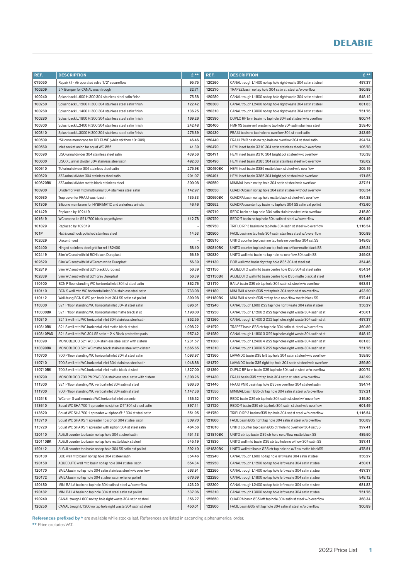| REF.      | <b>DESCRIPTION</b>                                             | $E$ **   | REF.     | <b>DESCRIPTION</b>                                               | $E***$   |
|-----------|----------------------------------------------------------------|----------|----------|------------------------------------------------------------------|----------|
| 075050    | Repair kit - Air operated valve 1/2" secureflow                | 95.75    | 120260   | CANAL trough L1400 no tap hole right waste 304 satin st steel    | 497.37   |
| 100209    | 2 × Bumper for CANAL wash trough                               | 32.71    | 120270   | TRAPEZ basin no tap hole 304 satin st. steel w/o overflow        | 360.89   |
| 100240    | Splashback L.600 H.300 304 stainless steel satin finish        | 75.58    | 120280   | CANAL trough L1800 no tap hole right waste 304 satin st steel    | 548.12   |
| 100250    | Splashback L.1200 H.300 304 stainless steel satin finish       | 122.42   | 120300   | CANAL trough L2400 no tap hole right waste 304 satin st steel    | 681.83   |
| 100260    | Splashback L.1400 H.300 304 stainless steel satin finish       | 136.25   | 120310   | CANAL trough L3000 no tap hole right waste 304 satin st steel    | 751.76   |
| 100280    | Splashback L.1800 H.300 304 stainless steel satin finish       | 169.26   | 120390   | DUPLO RP twin basin no tap hole 304 sat st steel w/o overflow    | 800.74   |
| 100300    | Splashback L.2400 H.300 304 stainless steel satin finish       | 242.48   | 120400   | PMR XS basin vert waste no tap hole 304 satin stainless steel    | 259.40   |
| 100310    | Splashback L.3000 H.300 304 stainless steel satin finish       | 275.39   | 120430   | FRAJU basin no tap hole no overflow 304 st steel satin           | 343.99   |
| 100509    | *Silicone membrane for DELTA WF (while stk then 101309)        | 46.46    | 120440   | FRAJU PMR basin no tap hole no overflow 304 st steel satin       | 394.74   |
| 100569    | Inlet socket union for squat WC Ø55                            | 41.39    | 120470   | HEMI inset basin Ø310 304 satin stainless steel w/o overflow     | 106.78   |
| 100590    | LISO urinal divider 304 stainless steel satin                  | 439.56   | 120471   | HEMI inset basin Ø310 304 bright pol st steel w/o overflow       | 150.38   |
| 100600    | LISO XL urinal divider 304 stainless steel satin               | 492.03   | 120490   | HEMI inset basin Ø385 304 satin stainless steel w/o overflow     | 128.62   |
| 100610    | TU urinal divider 304 stainless steel satin                    | 275.98   | 120490BK | HEMI inset basin Ø385 matte black st steel w/o overflow          | 205.19   |
| 100620    | AZA urinal divider 304 stainless steel satin                   | 201.07   | 120491   | HEMI inset basin Ø385 304 bright pol st steel w/o overflow       | 171.85   |
| 100620BK  | AZA urinal divider matte black stainless steel                 | 300.08   | 120550   | MINIMAL basin no tap hole 304 satin st steel w/o overflow        | 337.21   |
| 100900    | Divider for wall mtd multi urinal 304 stainless steel satin    | 142.97   | 120650   | QUADRA basin no tap hole 304 satin st steel without overflow     | 368.34   |
| 100930    | Trap cover for FRAJU washbasin                                 | 135.33   | 120650BK | QUADRA basin no tap hole matte black st steel w/o overflow       | 454.38   |
| 101309    | Silicone membrane for HYBRIMATIC and waterless urinals         | 46.46    | 120652   | QUADRA counter top basin no taphole 304 SS satin ext pol int     | 472.60   |
| 101429    | Replaced by 102419                                             |          | 120710   | REDO basin no tap hole 304 satin stainless steel w/o overflow    | 315.80   |
| 101619    | WC seat no lid S21/700 black polyethylene                      | 112.78   | 120720   | REDO-T basin no tap hole 304 satin st steel w/o overflow         | 601.49   |
| 101829    | Replaced by 102819                                             |          | 120750   | TRIPLO RP 3 basins no tap hole 304 satin st steel w/o overflow   | 1,116.54 |
| 101P      | Hat & coat hook polished stainless steel                       | 14.53    | 120800   | FACIL basin no tap hole 304 satin stainless steel w/o overflow   | 300.89   |
| 102029    | Discontinued                                                   |          | 120810   | UNITO counter top basin no tap hole no overflow 304 sat SS       | 349.08   |
| 102400    | Hinged stainless steel grid for ref 182400                     | 58.10    | 120810BK | UNITO counter top basin no tap hole no o/flow matte black SS     | 436.24   |
| 102419    | Slim WC seat with lid BCN black Duroplast                      | 56.39    | 120830   | UNITO wall mtd basin no tap hole no overflow 304 satin SS        | 349.08   |
| 102629    | Slim WC seat with lid WCeram white Duroplast                   | 56.39    | 121130   | BOB wall mtd basin right tap hole Ø35 304 st steel sat           | 354.46   |
| 102819    | Slim WC seat with lid S21 black Duroplast                      | 56.39    | 121150   | AQUEDUTO wall mtd basin centre hole Ø35 304 st steel satin       | 654.34   |
| 102839    | Slim WC seat with lid S21 grey Duroplast                       | 56.39    | 121150BK | AQUEDUTO wall mtd basin centre hole Ø35 matte black st steel     | 891.44   |
| 110100    | BCN P floor standing WC horizontal inlet 304 st steel satin    | 862.76   | 121170   | BAILA basin Ø35 ctr tap hole 304 satin st. steel w/o overflow    | 563.91   |
| 110110    | BCN S wall mtd WC horizontal inlet 304 stainless steel satin   | 733.08   | 121180   | MINI BAILA basin Ø35 ctr taphole 304 satin st st no overflow     | 423.20   |
| 110112    | Wall-hung BCN SWC pan horiz inlet 304 SS satin ext pol int     | 890.98   | 121180BK | MINI BAILA basin Ø35 ctr tap hole no o/flow matte black SS       | 572.41   |
| 110300    | S21 P floor standing WC horizontal inlet 304 st steel satin    | 896.61   | 121240   | CANAL trough L600 Ø22 tap hole right waste 304 satin st steel    | 356.27   |
| 110300BK  | S21 P floor standing WC horizontal inlet matte black st st     | 1,198.00 | 121250   | CANAL trough L1200 2 Ø22 tap holes right waste 304 satin st st   | 450.01   |
| 110310    | S21 S wall mtd WC horizontal inlet 304 stainless steel satin   | 852.55   | 121260   | CANAL trough L1400 2 Ø22 tap holes right waste 304 satin st st   | 497.37   |
| 110310BK  | S21 S wall mtd WC horizontal inlet matte black st steel        | 1,098.22 | 121270   | TRAPEZ basin Ø35 ctr tap hole 304 satin st. steel w/o overflow   | 360.89   |
| 110310PAD | S21 S wall mtd WC 304 SS satin + 2 × Black protective pads     | 957.42   | 121280   | CANAL trough L1800 3 Ø22 tap holes right waste 304 satin st st   | 548.12   |
| 110390    | MONOBLOCO S21 WC 304 stainless steel satin with cistern        | 1,231.57 | 121300   | CANAL trough L2400 4 Ø22 tap holes right waste 304 satin st st   | 681.83   |
| 110390BK  | MONOBLOCO S21 WC matte black stainless steel with cistern      | 1,665.65 | 121310   | CANAL trough L3000 5 Ø22 tap holes right waste 304 satin st st   | 751.76   |
| 110700    | 700 P floor standing WC horizontal inlet 304 st steel satin    | 1,093.97 | 121360   | LAVANDO basin Ø35 left tap hole 304 satin st steel w/o overflow  | 359.80   |
| 110710    | 700 S wall mtd WC horizontal inlet 304 stainless steel satin   | 1,048.86 | 121370   | LAVANDO basin Ø35 right tap hole 304 satin st steel w/o overflow | 359.80   |
| 110710BK  | 700 S wall mtd WC horizontal inlet matte black st steel        | 1,327.00 | 121390   | DUPLO RP twin basin Ø35 tap hole 304 sat st steel w/o overflow   | 800.74   |
| 110790    | MONOBLOCO 700 PMR WC 304 stainless steel satin with cistern    | 1,308.26 | 121430   | FRAJU basin Ø35 ctr tap hole 304 satin st. steel w/o overflow    | 343.99   |
| 111300    | S21 P floor standing WC vertical inlet 304 satin st steel      | 966.30   | 121440   | FRAJU PMR basin tap hole Ø35 no overflow 304 st steel satin      | 394.74   |
| 111700    | 700 P floor standing WC vertical inlet 304 satin st steel      | 1,147.36 | 121550   | MINIMAL basin Ø35 ctr tap hole 304 satin st steel w/o overflow   | 337.21   |
| 112518    | WCeram S wall mounted WC horizontal inlet ceramic              | 136.52   | 121710   | REDO basin Ø35 ctr tap hole 304 satin st. steel w/ooverflow      | 315.80   |
| 113610    | Squat WC SHA 700 1 spreader no siphon Ø1" 304 st steel satin   | 397.11   | 121720   | REDO-T basin Ø35 ctr tap hole 304 satin st steel w/o overflow    | 601.49   |
| 113620    | Squat WC SHA 700 1 spreader w. siphon Ø1" 304 st steel satin   | 551.95   | 121750   | TRIPLO RP 3 basins Ø35 tap hole 304 sat st steel w/o overflow    | 1,116.54 |
| 113710    | Squat WC SHA XS 1 spreader no siphon 304 st steel satin        | 309.70   | 121800   | FACIL basin Ø35 right tap hole 304 satin st steel w/o overflow   | 300.89   |
| 113720    | Squat WC SHAXS 1 spreader with siphon 304 st steel satin       | 464.56   | 121810   | UNITO counter top basin Ø35 ctr hole no overflow 304 sat SS      | 397.41   |
| 120110    | ALGUI counter top basin no tap hole 304 st steel satin         | 451.13   | 121810BK | UNITO ctr top basin Ø35 ctr hole no o/flow matte black SS        | 489.50   |
| 120110BK  | ALGUI counter top basin no tap hole matte black st steel       | 545.19   | 121830   | UNITO wall mtd basin Ø35 ctr tap hole no o/flow 304 satin SS     | 397.41   |
| 120112    | ALGUI counter top basin no tap hole 304 SS satin ext pol int   | 592.10   | 121830BK | UNITO wallmtd basin Ø35 ctr tap hole no o/flow matte blackSS     | 478.51   |
| 120130    | BOB wall mtd basin no tap hole 304 st steel satin              | 354.46   | 122240   | CANAL trough L600 no tap hole left waste 304 satin st steel      | 356.27   |
| 120150    | AQUEDUTO wall mtd basin no tap hole 304 st steel satin         | 654.34   | 122250   | CANAL trough L1200 no tap hole left waste 304 satin st steel     | 450.01   |
| 120170    | BAILA basin no tap hole 304 satin stainless steel w/o overflow | 563.91   | 122260   | CANAL trough L1400 no tap hole left waste 304 satin st steel     | 497.37   |
| 120172    | BAILA basin no tap hole 304 st steel satin exterior pol int    | 676.69   | 122280   | CANAL trough L1800 no tap hole left waste 304 satin st steel     | 548.12   |
| 120180    | MINI BAILA basin no tap hole 304 satin st steel w/o overflow   | 423.20   | 122300   | CANAL trough L2400 no tap hole left waste 304 satin st steel     | 681.83   |
| 120182    | MINI BAILA basin no tap hole 304 st steel satin ext pol int    | 537.06   | 122310   | CANAL trough L3000 no tap hole left waste 304 satin st steel     | 751.76   |
| 120240    | CANAL trough L600 no tap hole right waste 304 satin st steel   | 356.27   | 122650   | QUADRA basin Ø35 left tap hole 304 satin st steel w/o overflow   | 368.34   |
| 120250    | CANAL trough L1200 no tap hole right waste 304 satin st steel  | 450.01   | 122800   | FACIL basin Ø35 left tap hole 304 satin st steel w/o overflow    | 300.89   |
|           |                                                                |          |          |                                                                  |          |

References prefixed by \* are available while stocks last. References are listed in ascending alphanumerical order.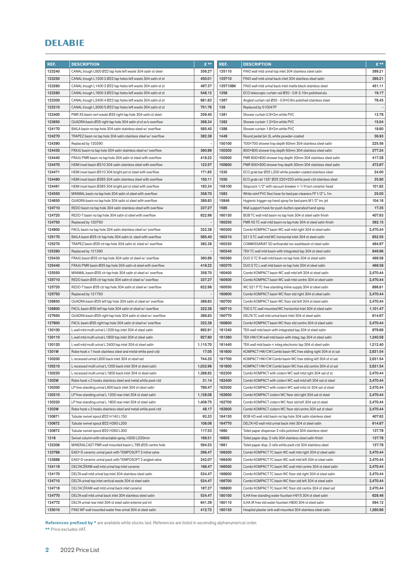| REF.   | <b>DESCRIPTION</b>                                             | £**                      | REF.     | <b>DESCRIPTION</b>                                             | $E$ **   |
|--------|----------------------------------------------------------------|--------------------------|----------|----------------------------------------------------------------|----------|
| 123240 | CANAL trough L600 Ø22 tap hole left waste 304 satin st steel   | 356.27                   | 135110   | FINO wall mtd urinal top inlet 304 stainless steel satin       | 389.21   |
| 123250 | CANAL trough L1200 2 Ø22 tap holes left waste 304 satin st st  | 450.01                   | 135710   | FINO wall mtd urinal back inlet 304 stainless steel satin      | 389.21   |
| 123260 | CANAL trough L1400 2 Ø22 tap holes left waste 304 satin st st  | 497.37                   | 135710BK | FINO wall mtd urinal back inlet matte black stainless steel    | 451.11   |
| 123280 | CANAL trough L1800 3 Ø22 tap holes left waste 304 satin st st  | 548.12                   | 1358     | ECO telescopic curtain rail Ø20 - 0.8-2.10m polished alu       | 19.17    |
| 123300 | CANAL trough L2400 4 Ø22 tap holes left waste 304 satin st st  | 681.83                   | 1367     | Angled curtain rail Ø20 - 0.9×0.9m polished stainless steel    | 78.45    |
| 123310 | CANAL trough L3000 5 Ø22 tap holes left waste 304 satin st st  | 751.76                   | 138      | Replaced by 510047P                                            |          |
| 123400 | PMR XS basin vert waste Ø35 right tap hole 304 satin st steel  | 259.40                   | 1381     | Shower curtain 0.9×2m white PVC                                | 13.78    |
| 123650 | QUADRA basin Ø35 right tap hole 304 satin st st w/o overflow   | 368.34                   | 1382     | Shower curtain 1.2×2m white PVC                                | 15.04    |
| 124170 | BAILA basin no tap hole 304 satin stainless steel w/ overflow  | 585.40                   | 1386     | Shower curtain 1.8×2m white PVC                                | 18.60    |
| 124270 | TRAPEZ basin no tap hole 304 satin stainless steel w/ overflow | 382.38                   | 1449     | Round pedal bin 3L white powder-coated                         | 36.93    |
| 124390 | Replaced by 120390                                             |                          | 150100   | 700×700 shower tray depth 60mm 304 stainless steel satin       | 225.56   |
| 124430 | FRAJU basin no tap hole 304 satin stainless steel w/ overflow  | 360.89                   | 150300   | 800×800 shower tray depth 60mm 304 stainless steel satin       | 277.24   |
| 124440 | FRAJU PMR basin no tap hole 304 satin st steel with overflow   | 416.22                   | 150500   | PMR 800×800 shower tray depth 30mm 304 stainless steel satin   | 417.28   |
| 124470 | HEMI inset basin Ø310 304 satin stainless steel with overflow  | 123.57                   | 150600   | PMR 900×900 shower tray depth 30mm 304 stainless steel satin   | 473.67   |
| 124471 | HEMI inset basin Ø310 304 bright pol st steel with overflow    | 171.85                   | 1530     | ECO grab bar Ø25 L300 white powder-coated stainless steel      | 24.00    |
| 124490 | HEMI inset basin Ø385 304 satin stainless steel with overflow  | 150.11                   | 1550     | ECO grab rail 135° Ø25 220×220 white pwd-ctd stainless steel   | 35.90    |
| 124491 | HEMI inset basin Ø385 304 bright pol st steel with overflow    | 193.34                   | 158100   | Stopcock 1/2" with vacuum breaker + 1/4 turn ceramic head      | 101.82   |
| 124550 | MINIMAL basin no tap hole 304 satin st steel with overflow     | 358.70                   | 1583     | White reinf PVC flexi hose for bed pan cleaners FF1/2" L.1m    | 25.05    |
| 124650 | QUADRA basin no tap hole 304 satin st steel with overflow      | 389.83                   | 15846    | Hygienic trigger-op hand spray for bed pans M1/2" inv. jet     | 104.16   |
| 124710 | REDO basin no tap hole 304 satin stainless steel with overflow | 337.27                   | 1585     | Wall support hook for push-button operated hand spray          | 17.35    |
| 124720 | REDO-T basin no tap hole 304 satin st steel with overflow      | 622.98                   | 160130   | BOB TC wall mtd basin no tap hole 304 st steel satin finish    | 407.63   |
| 124750 | Replaced by 120750                                             | $\overline{\phantom{a}}$ | 160250   | PMR XS TC wall mtd basin no tap hole 304 st steel satin finish | 362.15   |
| 124800 | FACIL basin no tap hole 304 satin stainless steel w/ overflow  | 322.38                   | 160300   | Combi KOMPACT basin WC wall mtd right 304 st steel satin       | 2,470.44 |
| 125170 | BAILA basin Ø35 ctr tap hole 304 satin st. steel with overflow | 585.40                   | 160310   | S21 STC wall mtd WC horizontal inlet 304 st steel satin        | 852.55   |
| 125270 | TRAPEZ basin Ø35 ctr tap hole 304 satin st. steel w/ overflow  | 382.38                   | 160330   | COMMISSARIAT SD antivandal rec washbasin st steel satin        | 494.97   |
| 125390 | Replaced by 121390                                             |                          | 160340   | TEK TC wall mtd basin with integrated tap 304 st steel satin   | 849.96   |
| 125430 | FRAJU basin Ø35 ctr tap hole 304 satin st steel w/ overflow    | 360.89                   | 160360   | DUO STC R wall mtd basin no tap hole 304 st steel satin        | 469.58   |
| 125440 | FRAJU PMR basin Ø35 tap hole 304 satin st steel with overflow  | 416.22                   | 160370   | DUO STC L wall mtd basin no tap hole 304 st steel satin        | 469.58   |
| 125550 | MINIMAL basin Ø35 ctr tap hole 304 satin st steel w/ overflow  | 358.70                   | 160400   | Combi KOMPACT basin WC wall mtd left 304 st steel satin        | 2,470.44 |
| 125710 | REDO basin Ø35 ctr tap hole 304 satin st steel w/ overflow     | 337.27                   | 160500   | Combi KOMPACT basin WC wall mtd centre 304 st steel satin      | 2,470.44 |
| 125720 | REDO-T basin Ø35 ctr tap hole 304 satin st steel w/ overflow   | 622.98                   | 160550   | WC S21 PTC free standing inline supply 304 st steel satin      | 896.61   |
| 125750 | Replaced by 121750                                             |                          | 160600   | Combi KOMPACT basin WC floor std right 304 st steel satin      | 2,470.44 |
| 126650 | QUADRA basin Ø35 left tap hole 304 satin st steel w/ overflow  | 389.83                   | 160700   | Combi KOMPACT basin WC floor std left 304 st steel satin       | 2,470.44 |
| 126800 | FACIL basin Ø35 left tap hole 304 satin st steel w/ overflow   | 322.38                   | 160710   | 700 STC wall mounted WC horizontal inlet 304 st steel satin    | 1,101.47 |
| 127650 | QUADRA basin Ø35 right tap hole 304 satin st steel w/ overflow | 389.83                   | 160770   | DELTA TC wall mtd urinal back inlet 304 st steel satin         | 614.67   |
| 127800 | FACIL basin Ø35 right tap hole 304 satin st steel w/ overflow  | 322.38                   | 160800   | Combi KOMPACT basin WC floor std centre 304 st steel satin     | 2,470.44 |
| 130100 | L wall mtd multi urinal L1200 top inlet 304 st steel satin     | 692.91                   | 161340   | TEK wall mtd basin with integrated tap 304 st steel satin      | 879.68   |
| 130110 | L wall mtd multi urinal L1800 top inlet 304 st steel satin     | 927.80                   | 161360   | TEK HW/CW wall mtd basin with integ. tap 304 st steel satin    | 1,240.58 |
| 130120 | L wall mtd multi urinal L 2400 top inlet 304 st steel satin    | 1,115.70                 | 161440   | TEK wall mtd basin + integ electronic tap 304 st steel satin   | 1,212.40 |
| 1301W  | Robe hook x 1 hook stainless steel and metal white pwd-ctd     | 17.05                    | 161600   | KOMPACT HW/CW Combi basin WC free stding right 304 st st sat   | 2,631.54 |
| 130200 | L recessed urinal L600 back inlet 304 st steel sat             | 744.35                   | 161700   | KOMPACT HW/CW Combi basin WC free stding left 304 st st sat    | 2,631.54 |
| 130210 | L recessed multi urinal L1200 back inlet 304 st steel satin    | 1,032.96                 | 161800   | KOMPACT HW/CW Combi basin WC free std centre 304 st st sat     | 2,631.54 |
| 130220 | L recessed multi urinal L1800 back inlet 304 st steel satin    | 1,388.82                 | 162300   | Combi KOMPACT with cistern WC wall mtd right 304 sat st st     | 2,470.44 |
| 1302W  | Robe hook x 2 hooks stainless steel and metal white pwd-ctd    | 31.14                    | 162400   | Combi KOMPACT with cistern WC wall mtd left 304 sat st steel   | 2,470.44 |
| 130300 | LP free standing urinal L600 back inlet 304 st steel satin     | 789.47                   | 162500   | Combi KOMPACT with cistern WC wall mtd ctr 304 sat st steel    | 2,470.44 |
| 130310 | LP free standing urinal L 1200 rear inlet 304 st steel satin   | 1,128.08                 | 162600   | Combi KOMPACT cistern WC floor std right 304 sat st steel      | 2,470.44 |
| 130320 | LP free standing urinal L 1800 rear inlet 304 st steel satin   | 1,409.75                 | 162700   | Combi KOMPACT cistern WC floor std left 304 sat st steel       | 2,470.44 |
| 1303W  | Robe hook x 3 hooks stainless steel and metal white pwd-ctd    | 48.17                    | 162800   | Combi KOMPACT cistern WC floor std centre 304 sat st steel     | 2,470.44 |
| 1306T1 | Tubular swivel spout Ø22 H140 L150                             | 93.33                    | 164130   | BOB HD wall mtd basin no tap hole 304 satin stainless steel    | 407.63   |
| 1306T2 | Tubular swivel spout Ø22 H260 L200                             | 108.06                   | 164770   | DELTA HD wall mtd urinal back inlet 304 st steel satin         | 614.67   |
| 1306T3 | Tubular swivel spout Ø22 H260 L300                             | 117.53                   | 1660     | Toilet paper dispenser 2 rolls polished 304 stainless steel    | 137.78   |
| 1316   | Swivel column with retractable spray, H200 L220mm              | 168.51                   | 1660S    | Toilet paper disp. 2 rolls 304 stainless steel satin finish    | 137.78   |
| 132306 | MINERALCAST PMR wall mounted basin L.785 Ø35 centre hole       | 594.53                   | 1661     | Toilet paper disp. 2 rolls white pwd-ctd 304 stainless steel   | 137.78   |
| 133788 | EASY-D ceramic urinal pack with TEMPOSOFT 2 inline valve       | 266.47                   | 166300   | Combi KOMPACT TC basin WC wall mtd right 304 st steel satin    | 2,470.44 |
| 133888 | EASY-D ceramic urinal pack with TEMPOSOFT 2 angled valve       | 242.07                   | 166400   | Combi KOMPACT TC basin WC wall mtd left 304 st steel satin     | 2,470.44 |
| 134118 | DELTACERAM wall mtd urinal top inlet ceramic                   | 168.47                   | 166500   | Combi KOMPACT TC basin WC wall mtd centre 304 st steel satin   | 2,470.44 |
| 134170 | DELTA wall mtd urinal top inlet 304 stainless steel satin      | 534.47                   | 166600   | Combi KOMPACT TC basin WC floor std right 304 st steel satin   | 2,470.44 |
| 134710 | DELTA urinal top inlet vertical waste 304 st steel satin       | 534.47                   | 166700   | Combi KOMPACT TC basin WC floor std left 304 st steel satin    | 2,470.44 |
| 134718 | DELTACERAM wall mtd urinal back inlet ceramic                  | 187.37                   | 166800   | Combi KOMPACT TC basin WC floor std centre 304 st steel sat    | 2,470.44 |
| 134770 | DELTA wall mtd urinal back inlet 304 stainless steel satin     | 534.47                   | 180100   | ILHA free standing water fountain H915 304 st steel satin      | 628.46   |
| 134772 | DELTA urinal rear inlet 304 st steel satin exterior pol int    | 641.39                   | 180110   | ILHA JR free std water fountain H800 304 st steel satin        | 594.12   |
| 135010 | FINO WF wall mounted water free urinal 304 st steel satin      | 412.72                   | 180130   | Hospital plaster sink wall mounted 304 stainless steel satin   | 1,260.66 |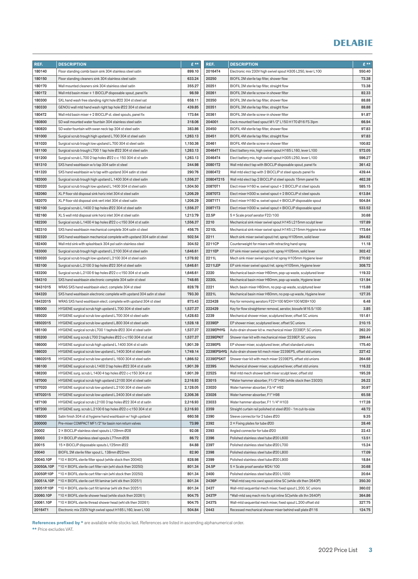| REF.                   | <b>DESCRIPTION</b>                                                     | $E***$           | REF.          | <b>DESCRIPTION</b>                                            | $E$ **           |
|------------------------|------------------------------------------------------------------------|------------------|---------------|---------------------------------------------------------------|------------------|
| 180140                 | Floor standing combi basin sink 304 stainless steel satin              | 899.10           | 20164T4       | Electronic mix 230V high swivel spout H305 L250, lever L100   | 550.40           |
| 180150                 | Floor standing cleaners sink 304 stainless steel satin                 | 633.24           | 20250         | BIOFIL 2M sterile tap filter, shower flow                     | 73.38            |
| 180170                 | Wall mounted cleaners sink 304 stainless steel satin                   | 355.27           | 20251         | BIOFIL 2M sterile tap filter, straight flow                   | 73.38            |
| 1801T2                 | Wall mtd basin mixer + 1 BIOCLIP disposable spout, panel fix           | 98.59            | 20261         | BIOFIL 2M sterile screw-in shower filter                      | 82.33            |
| 180300                 | SXL hand wash free standing right hole Ø22 304 st steel sat            | 658.11           | 20350         | BIOFIL 3M sterile tap filter, shower flow                     | 88.88            |
| 180330                 | GENOU wall mtd hand wash right tap hole Ø22 304 st steel sat           | 439.85           | 20351         | BIOFIL 3M sterile tap filter, straight flow                   | 88.88            |
| 1804T2                 | Wall mtd basin mixer + 2 BIOCLIP st. steel spouts, panel fix           | 173.64           | 20361         | BIOFIL 3M sterile screw-in shower filter                      | 91.87            |
| 180800                 | SD wall mounted water fountain 304 stainless steel satin               | 318.06           | 204001        | Deck mounted fixed spout M1/2" L150 H170 Ø16 FS 3lpm          | 66.94            |
| 180820                 | SD water fountain with swan neck tap 304 st steel satin                | 383.86           | 20450         | BIOFIL 4M sterile tap filter, shower flow                     | 97.83            |
| 181000                 | Surgical scrub trough high upstand L.700 304 st steel satin            | 1,263.13         | 20451         | BIOFIL 4M sterile tap filter, straight flow                   | 97.83            |
| 181020                 | Surgical scrub trough low upstand L.700 304 st steel satin             | 1,150.36         | 20461         | BIOFIL 4M sterile screw-in shower filter                      | 100.82           |
| 181100                 | Surgical scrub trough L700 1 tap hole Ø22 304 st steel satin           | 1,263.13         | 20464T1       | Elect battery mix, high swivel spout H165 L160, lever L100    | 572.05           |
| 181200                 | Surgical scrub L.700 2 tap holes Ø22 c-c 150 304 st st satin           | 1,263.13         | 20464T4       | Elect battery mix, high swivel spout H305 L250, lever L100    | 596.27           |
| 181310                 | SXS hand washbasin w/o tap 304 satin st steel                          | 244.98           | 20801T2       | Wall mtd elect tap with BIOCLIP disposable spout, panel fix   | 361.42           |
| 181320                 | SXS hand washbasin w/o tap with upstand 304 satin st steel             | 290.76           | 20804T2       | Wall mtd elect tap with 2 BIOCLIP st steel spouts panel fix   | 439.44           |
| 182000                 | Surgical scrub trough high upstand L.1400 304 st steel satin           | 1,556.37         | 20804T215     | Wall mtd elect tap 2 BIOCLIP st steel spouts 15mm panel fix   | 462.38           |
| 182020                 | Surgical scrub trough low upstand L.1400 304 st steel satin            | 1,504.50         | 20870T1       | Elect mixer H160 w. swivel spout + 2 BIOCLIP st steel spouts  | 585.15           |
| 182060                 | XL P floor std disposal sink horiz inlet 304 st steel satin            | 1,206.29         | 20870T3       | Elect mixer H300 w. swivel spout + 2 BIOCLIP st steel spouts  | 613.84           |
| 182070                 | XL P floor std disposal sink vert inlet 304 st steel satin             | 1,206.29         | 20871T1       | Elect mixer H160 w. swivel spout + BIOCLIP disposable spout   | 504.84           |
| 182100                 | Surgical scrub L.1400 2 tap holes Ø22 304 st steel satin               | 1,556.37         | 20871T3       | Elect mixer H300 w. swivel spout + BIOCLIP disposable spout   | 533.52           |
| 182160                 | XL S wall mtd disposal sink horiz inlet 304 st steel satin             | 1,213.79         | 22.5P         | 5 × Scale proof aerator F22/100                               | 30.68            |
| 182200                 | Surgical scrub L.1400 4 tap holes Ø22 c-c150 304 st st satin           | 1,556.37         | 2210          | Mechanical sink mixer swivel spout H145 L215mm sculpt lever   | 157.89           |
| 182310                 | SXS hand washbasin mechanical complete 304 satin st steel              | 456.75           | 2210L         | Mechanical sink mixer swivel spout H145 L215mm Hygiene lever  | 173.64           |
| 182320                 | SXS hand washbasin mechanical complete with upstand 304 satin st steel | 502.54           | 2211          | Mech sink mixer swivel spout/ret. spray H105mm, solid lever   | 264.62           |
| 182400                 | Wall mtd sink with splashback 304 pol satin stainless steel            | 304.52           | 2211CP        | Counterweight for mixers with retracting hand spray           | 11.18            |
| 183000                 | Surgical scrub trough high upstand L.2100 304 st steel satin           | 1,646.61         | 2211EP        | EP sink mixer swivel spout/ret. spray H105mm, solid lever     | 302.42           |
| 183020                 | Surgical scrub trough low upstand L.2100 304 st steel satin            | 1,578.92         | 2211L         | Mech sink mixer swivel spout/ret spray H105mm Hygiene lever   | 270.92           |
| 183100                 | Surgical scrub L.2100 3 tap holes Ø22 304 st steel satin               | 1,646.61         | 2211LEP       | EP sink mixer swivel spout/ret. spray H105mm, Hygiene lever   | 308.72           |
| 183200                 | Surgical scrub L.2100 6 tap holes Ø22 c-c150 304 st st satin           | 1,646.61         | 2220          | Mechanical basin mixer H60mm, pop-up waste, sculptured lever  | 119.32           |
| 184310                 | SXS hand washbasin electronic complete 304 satin st steel              | 748.65           | 2220L         | Mechanical basin mixer H60mm, pop-up waste, Hygiene lever     | 131.94           |
| 18431015               | WRAS SXS hand washbasin elect. complete 304 st steel                   | 828.78           | 2221          | Mech. basin mixer H60mm, no pop-up waste, sculptured lever    | 115.88           |
| 184320                 | SXS hand washbasin electronic complete with upstand 304 satin st steel | 793.30           | 2221L         | Mechanical basin mixer H60mm, no pop-up waste, Hygiene lever  | 127.35           |
| 18432015               | WRAS SXS hand washbasin elect. complete with upstand 304 st steel      | 873.43           | 222428        | Key for removing aerators F22×100 M24×100 M28×100             | 6.48             |
| 185000                 | HYGIENE surgical scrub high upstand L.700 304 st steel satin           | 1,537.37         | 222429        | Key for flow straightener removal, aerator, biosafe M16.5/100 | 3.85             |
| 185020                 | HYGIENE surgical scrub low upstand L.700 304 st steel satin            | 1,428.63         | 2239          | Mechanical shower mixer, sculptured lever, offset SC unions   | 151.61           |
| 18502015               | HYGIENE surgical scrub low upstand L.800 304 st steel satin            | 1,528.18         | 2239EP        | EP shower mixer, sculptured lever, offset SC unions           | 210.15           |
| 185100                 | HYGIENE surgical scrub L700 1 taphole Ø22 304 st steel satin           | 1,537.37         | 2239EPHYG     | Auto-drain shower kit w. mechanical mixer 2239EP, SC unions   | 262.20           |
| 185200                 | HYGIENE surg scrub L700 2 tapholes Ø22 c-c150 304 st st sat            | 1,537.37         | 2239EPKIT     | Shower riser kit with mechanical mixer 2239EP, SC unions      | 299.44           |
| 186000                 | HYGIENE surgical scrub high upstand L.1400 304 st st satin             | 1,901.39         | 2239EPS       | EP shower mixer, sculptured lever, offset standard unions     | 175.40           |
| 186020                 | HYGIENE surgical scrub low upstand L.1400 304 st steel satin           | 1,749.14         | 2239EPSHYG    | Auto-drain shower kit mech mixer 2239EPS, offset std unions   | 227.42           |
| 18602015               | HYGIENE surgical scrub low upstand L.1600 304 st steel satin           | 1,866.52         | 2239EPSKIT    | Shower riser kit with mech mixer 2239EPS, offset std unions   | 264.68           |
| 186100                 | HYGIENE surgical scrub L1400 2 tap holes Ø22 304 st st satin           | 1,901.39         | 2239S         | Mechanical shower mixer, sculptured lever, offset std unions  | 116.32           |
| 186200                 | HYGIENE surg. scrub L.1400 4 tap holes Ø22 c-c150 304 st st            | 1,901.39         | 2252S         | Wall mtd mech shower bath mixer sculpt lever, offset std      | 195.28           |
| 187000                 | HYGIENE surgical scrub high upstand L2100 304 st steel satin           | 2,316.93         | 23015         | *Water hammer absorber, F1/2" H90 (while stock then 23020)    | 26.22            |
| 187020                 | HYGIENE surgical scrub low upstand L.2100 304 st steel satin           | 2,128.05         | 23020         | Water hammer absorber, F3/4" H92                              | 30.97            |
| 18702015               | HYGIENE surgical scrub low upstand L.2400 304 st steel satin           | 2,306.36         | 23026         | Water hammer absorber, F1" H98                                | 65.58            |
| 187100                 | HYGIENE surgical scrub L2100 3 tap holes Ø22 304 st st satin           | 2,316.93         | 23033         | Water hammer absorber, F1 1/4" H103                           | 117.28           |
| 187200                 | HYGIENE surg. scrub L.2100 6 tap holes Ø22 c-c150 304 st st            | 2,316.93         | 2359          | Straight curtain rail polished st steel Ø20 - 1m cut-to-size  | 48.72            |
| 188000                 | Satin finish 304 st st hygiene hand washbasin w/ high upstand          | 660.58           | 2390          | Sleeve connector for 2 tubes Ø20                              | 9.35             |
| 200000                 | Pre-mixer COMPACT MF1/2" for basin non return valves                   | 73.99            | 2392          | 2 × Fixing plates for tube Ø20                                | 28.46            |
| 20002                  | 2 × BIOCLIP stainless steel spouts L129mm Ø28                          | 92.08            | 2393          | Angled connector for tube Ø20                                 | 22.43            |
| 20003                  | 2 × BIOCLIP stainless steel spouts L77mm Ø28                           | 86.72            | 2396          | Polished stainless steel tube Ø20 L600                        | 13.51            |
| 20015                  | 15 × BIOCLIP disposable spouts L125mm Ø22                              | 84.88            | 2397          | Polished stainless steel tube Ø20 L700                        | 15.24            |
| 20040                  | BIOFIL 2M sterile filter spout L. 138mm Ø22mm                          | 82.90            | 2398          | Polished stainless steel tube Ø20 L800                        | 17.09            |
| 20040.10P              | *10 × BIOFIL sterile filter spout (while stock then 20040)             | 828.98           | 2399          | Polished stainless steel tube Ø20 L900                        | 18.84            |
| 20050A.10P             | *10 × BIOFIL sterile cart filter rain (whl stock then 20250)           | 801.34           | 24.5P         | 5 × Scale proof aerator M24/100                               | 30.68            |
| 20050P.10P             | *10 × BIOFIL sterile cart filter rain (whl stock then 20250)           | 801.34           | 2400          | Polished stainless steel tube Ø20 L1000                       | 20.64            |
| 20051A.10P             | *10 × BIOFIL sterile cart filt laminar (whl stk then 20251)            | 801.34           | 2436P         | *Wall mtd seq mix swyl spout inline SC (while stk then 2640P) | 350.30           |
| 20051P.10P             | *10 × BIOFIL sterile cart filt laminar (whl stk then 20251)            | 801.34<br>904.75 | 2437<br>2437P | Wall-mtd sequential mech mixer, fixed spout L.200, SC unions  | 360.02<br>364.86 |
| 20060.10P<br>20061.10P | *10 × BIOFIL sterile shower head (while stock then 20261)              | 904.75           | 2437S         | *Wall-mtd seq mech mix fix spt inline SC(while stk thn 2640P) | 327.75           |
|                        | *10 × BIOFIL sterile thread shower head (whl stk then 20261)           |                  |               | Wall-mtd sequential mech mixer, fixed spout L.200 offset std  |                  |
| 20164T1                | Electronic mix 230V high swivel spout H165 L160, lever L100            | 504.84           | 2443          | Recessed mechanical shower mixer behind wall plate Ø116       | 124.75           |

References prefixed by \* are available while stocks last. References are listed in ascending alphanumerical order.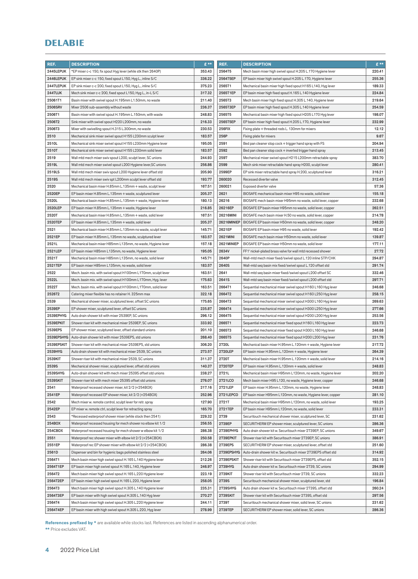| REF.           | <b>DESCRIPTION</b>                                             | $f$ ** | REF.               | <b>DESCRIPTION</b>                                            | $E$ ** |
|----------------|----------------------------------------------------------------|--------|--------------------|---------------------------------------------------------------|--------|
| 2445LEPUK      | *EP mixer c-c 150, fix spout Hyg lever (while stk then 2640P)  | 353.43 | 2564T5             | Mech basin mixer high swivel spout H.205 L.170 Hygiene lever  | 220.41 |
| 2446LEPUK      | EP sink mixer c-c 150, fixed spout L150, Hyg L., inline S/C    | 336.22 | 2564T5EP           | EP basin mixer high swivel spout H.205 L.170, Hygiene lever   | 255.36 |
| 2447LEPUK      | EP sink mixer c-c 200, fixed spout L150, Hyg L., inline S/C    | 375.23 | 2565T1             | Mechanical basin mixer high fixed spout H165 L140, Hyg lever  | 189.33 |
| <b>2447LUK</b> | Mech sink mixer c-c 200, fixed spout L150, Hyg L., in-L S/C    | 317.32 | 2565T1EP           | EP basin mixer high fixed spout H.165 L.140 Hygiene lever     | 224.84 |
| 25061T1        | Basin mixer with swivel spout H.195mm L1.50mm, no waste        | 211.40 | 2565T3             | Mech basin mixer high fixed spout H.305 L.140, Hygiene lever  | 219.64 |
| 2506SRV        | Mixer 2506 sub-assembly without waste                          | 236.37 | 2565T3EP           | EP basin mixer high fixed spout H.305 L.140 Hygiene lever     | 254.59 |
| 2506T1         | Basin mixer with swivel spout H.195mm L.150mm, with waste      | 248.83 | 2565T5             | Mechanical basin mixer high fixed spout H205 L170 Hyg lever   | 198.07 |
| 2506T2         | Sink mixer with swivel spout H220 L200mm, no waste             | 216.33 | 2565T5EP           | EP basin mixer high fixed spout H.205 L.170, Hygiene lever    | 232.99 |
| 2506T3         | Mixer with swivelling spout H.315 L.300mm, no waste            | 230.53 | <b>256FIX</b>      | Fixing plate + threaded rods L. 130mm for mixers              | 12.12  |
| 2510           | Mechanical sink mixer swivel spout H155 L230mm sculpt lever    | 183.57 | 256P               | Fixing plate for mixers                                       | 9.67   |
| 2510L          | Mechanical sink mixer swivel spout H155 L230mm Hygiene lever   | 195.05 | 2591               | Bed pan cleaner stop cock + trigger hand spray with FS        | 204.94 |
| 2510T          | Mechanical sink mixer swivel spout H155 L230mm solid lever     | 183.57 | 2592               | Bed pan cleaner stop cock + inverted trigger hand spray       | 213.45 |
| 2519           | Wall mtd mech mixer swiv spout L200, sculpt lever, SC unions   | 244.93 | 2597               | Mechanical mixer swivel spout H215 L200mm retractable spray   | 383.70 |
| 2519L          | Wall mtd mech mixer swivel spout L200 Hygiene lever, SC unions | 256.86 | 2599               | Mech sink mixer retractable hand spray H200, sculpt lever     | 280.41 |
| 2519LS         | Wall mtd mech mixer swiv spout L200 Hygiene lever offset std   | 205.90 | 2599EP             | EP sink mixer retractable hand spray H.200, sculptured lever  | 316.21 |
| 2519S          | Wall mtd mech mixer swiv spt L200mm sculpt lever offset std    | 193.77 | 260020             | Recessed diverter valve                                       | 312.45 |
| 2520           | Mechanical basin mixer H.85mm L.135mm + waste, sculpt lever    | 167.51 | 260021             | Exposed diverter valve                                        | 57.36  |
| 2520EP         | EP basin mixer H.85mm L.135mm + waste, sculptured lever        | 205.37 | 2621               | BIOSAFE mechanical basin mixer H95 no waste, solid lever      | 155.18 |
| 2520L          | Mechanical basin mixer H.85mm L.135mm + waste, Hygiene lever   | 180.13 | 26216              | BIOSAFE mech basin mixer H95mm no waste, solid lever, copper  | 232.68 |
| 2520LEP        | EP basin mixer H.85mm L.135mm + waste, Hygiene lever           | 216.85 | 26216EP            | BIOSAFE EP basin mixer H95mm no waste, solid lever, copper    | 262.51 |
| 2520T          | Mechanical basin mixer H.85mm L.135mm + waste, solid lever     | 167.51 | 26216MINI          | BIOSAFE mech basin mixer H.50 no waste, solid lever, copper   | 214.78 |
| 2520TEP        | EP basin mixer H.85mm L.135mm + waste, solid lever             | 205.37 | <b>26216MINIEP</b> | BIOSAFE EP basin mixer H50mm no waste, solid lever, copper    | 248.20 |
| 2521           | Mechanical basin mixer H.85mm L.135mm no waste, sculpt lever   | 145.71 | 2621EP             | BIOSAFE EP basin mixer H95 no waste, solid lever              | 192.42 |
| 2521EP         | EP basin mixer H.85mm L.135mm no waste, sculptured lever       | 183.57 | 2621MINI           | BIOSAFE mech basin mixer H50mm no waste, solid lever          | 139.87 |
| 2521L          | Mechanical basin mixer H85mm L135mm, no waste, Hygiene lever   | 157.18 | 2621MINIEP         | BIOSAFE EP basin mixer H50mm no waste, solid lever            | 177.11 |
| 2521LEP        | EP basin mixer H85mm L135mm, no waste, Hygiene lever           | 195.05 | 2634V              | FF1' nickel-plated brass valve for wall mtd recessed shower   | 27.72  |
| 2521T          | Mechanical basin mixer H85mm L135mm, no waste, solid lever     | 145.71 | 2640P              | Wall-mtd mech mixer fixed/swivel spout L.120 inline STP/CHK   | 294.87 |
| 2521TEP        | EP basin mixer H85mm L135mm, no waste, solid lever             | 183.57 | 2640S              | Wall-mtd seq basin mix fixed/swivel spout L.120 offset std    | 291.74 |
| 2522           | Mech. basin mix. with swivel spout H100mm L170mm, sculpt lever | 163.51 | 2641               | Wall-mtd seq basin mixer fixed/swivel spout L200 offset SC    | 332.46 |
| 2522L          | Mech. basin mix. with swivel spout H100mm L170mm, Hyg. lever   | 175.63 | 2641S              | Wall-mtd seq basin mixer fixed/swivel spout L200 offset std   | 297.71 |
| 2522T          | Mech. basin mix. with swivel spout H100mm L170mm, solid lever  | 163.51 | 2664T1             | Sequential mechanical mixer swivel spout H160 L160 Hyg lever  | 246.68 |
| 2526T2         | Catering mixer flexible has no retainer H. 325mm max           | 322.18 | 2664T2             | Sequential mechanical mixer swivel spout H160 L250 Hyg lever  | 258.15 |
| 2539           | Mechanical shower mixer, sculptured lever, offset SC unions    | 175.65 | 2664T3             | Sequential mechanical mixer swivel spout H300 L160 Hyg lever  | 269.63 |
| 2539EP         | EP shower mixer, sculptured lever, offset SC unions            | 235.87 | 2664T4             | Sequential mechanical mixer swivel spout H300 L250 Hyg lever  | 277.66 |
| 2539EPHYG      | Auto drain shower kit with mixer 2539EP, SC unions             | 296.12 | 2664T5             | Sequential mechanical mixer swivel spout H200 L200 Hyg lever  | 253.56 |
| 2539EPKIT      | Shower riser kit with mechanical mixer 2539EP, SC unions       | 333.92 | 2665T1             | Sequential mechanical mixer fixed spout H160 L160 Hyg lever   | 223.73 |
| 2539EPS        | EP shower mixer, sculptured lever, offset standard unions      | 201.10 | 2665T3             | Sequential mechanical mixer fixed spout H300 L160 Hyg lever   | 246.68 |
| 2539EPSHYG     | Auto-drain shower kit with mixer 2539EPS, std unions           | 268.40 | 2665T5             | Sequential mechanical mixer fixed spout H200 L200 Hyg lever   | 231.76 |
| 2539EPSKIT     | Shower riser kit with mechanical mixer 2539EPS, std unions     | 306.20 | 2720L              | Mechanical basin mixer H.95mm L.120mm + waste, Hygiene lever  | 217.72 |
| 2539HYG        | Auto drain shower kit with mechanical mixer 2539, SC unions    | 273.57 | 2720LEP            | EP basin mixer H.95mm L.120mm + waste, Hygiene lever          | 264.39 |
| 2539KIT        | Shower riser kit with mechanical mixer 2539, SC unions         | 311.37 | 2720T              | Mechanical basin mixer H.95mm L.120mm + waste, solid lever    | 214.16 |
| 2539S          | Mechanical shower mixer, sculptured lever, offset std unions   | 140.37 | 2720TEP            | EP basin mixer H.95mm L.120mm + waste, solid lever            | 248.83 |
| 2539SHYG       | Auto-drain shower kit with mech mixer 2539S offset std unions  | 238.27 | 2721L              | Mechanical basin mixer H95mm L120mm, no waste, Hygiene lever  | 202.20 |
| 2539SKIT       | Shower riser kit with mech mixer 2539S offset std unions       | 276.07 | 2721LCO            | Mech basin mixer H95 L120, no waste, Hygiene lever, copper    | 246.68 |
| 2541           | Waterproof recessed shower mixer, kit 2/2 (+254BOX)            | 217.16 | 2721LEP            | EP basin mixer H.95mm L.120mm, no waste, Hygiene lever        | 248.83 |
| 2541EP         | Waterproof recessed EP shower mixer, kit 2/2 (+254BOX)         | 252.96 | 2721LEPCO          | EP basin mixer H95mm L120mm, no waste, Hygiene lever, copper  | 281.10 |
| 2542           | Mech mixer w. remote control, sculpt lever for retr. spray     | 127.90 | 2721T              | Mechanical basin mixer H95mm L120mm, no waste, solid lever    | 193.25 |
| 2542EP         | EP mixer w. remote ctrl, sculpt lever for retracting spray     | 165.70 | 2721TEP            | EP basin mixer H95mm L120mm, no waste, solid lever            | 233.31 |
| 2543           | *Recessed waterproof shower mixer (while stock then 2541)      | 229.32 | 2739               | Securitouch mechanical shower mixer, sculptured lever, SC     | 231.62 |
| 254BOX         | Waterproof recessed housing for mech shower no elbow kit 1/2   | 256.55 | 2739EP             | SECURITHERM EP shower mixer, sculptured lever, SC unions      | 286.36 |
| 254CBOX        | Waterproof recessed housing for mech shower w elbow kit 1/2    | 286.38 | 2739EPHYG          | Auto drain shower kit w. Securitouch mixer 2739EP, SC unions  | 349.67 |
| 2551           | Waterproof rec shower mixer with elbow kit 2/2 (+254CBOX)      | 250.58 | 2739EPKIT          | Shower riser kit with Securitouch mixer 2739EP, SC unions     | 386.91 |
| 2551EP         | Waterproof rec EP shower mixer with elbow kit 2/2 (+254CBOX)   | 286.38 | 2739EPS            | SECURITHERM EP shower mixer, sculptured lever, offset std     | 251.60 |
| 2561D          | Dispenser and bin for hygienic bags polished stainless steel   | 264.06 | 2739EPSHYG         | Auto-drain shower kit w. Securitouch mixer 2739EPS offset std | 314.92 |
| 2564T1         | Mech basin mixer high swivel spout H.165 L.140 Hygiene lever   | 212.26 | 2739EPSKIT         | Shower riser kit with Securitouch mixer 2739EPS, offset std   | 352.15 |
| 2564T1EP       | EP basin mixer high swivel spout H.165 L.140, Hygiene lever    | 246.97 | 2739HYG            | Auto drain shower kit w. Securitouch mixer 2739, SC unions    | 294.99 |
| 2564T2         | Mech basin mixer high swivel spout H.165 L.220 Hygiene lever   | 223.19 | 2739KIT            | Shower riser kit with Securitouch mixer 2739, SC unions       | 332.23 |
| 2564T2EP       | EP basin mixer high swivel spout H.165 L.220, Hygiene lever    | 258.05 | 2739S              | Securitouch mechanical shower mixer, sculptured lever, std    | 196.84 |
| 2564T3         | Mech basin mixer high swivel spout H.305 L.140 Hygiene lever   | 235.31 | 2739SHYG           | Auto drain shower kit w. Securitouch mixer 2739S, offset std  | 260.24 |
| 2564T3EP       | EP basin mixer with high swivel spout H.305 L.140 Hyg lever    | 270.27 | 2739SKIT           | Shower riser kit with Securitouch mixer 2739S, offset std     | 297.56 |
| 2564T4         | Mech basin mixer high swivel spout H.305 L.220 Hygiene lever   | 244.11 | 2739T              | Securitouch mechanical shower mixer, solid lever, SC unions   | 231.62 |
| 2564T4EP       | EP basin mixer with high swivel spout H.305 L.220, Hyg lever   | 278.99 | 2739TEP            | SECURITHERM EP shower mixer, solid lever, SC unions           | 286.36 |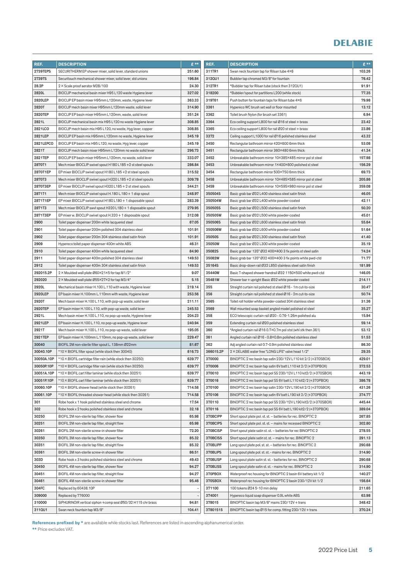| REF.       | <b>DESCRIPTION</b>                                           | £**    | REF.      | <b>DESCRIPTION</b>                                              | $E^{\star\star}$ |
|------------|--------------------------------------------------------------|--------|-----------|-----------------------------------------------------------------|------------------|
| 2739TEPS   | SECURITHERM EP shower mixer, solid lever, standard unions    | 251.60 | 311TR1    | Swan neck fountain tap for Rilsan tube 4×6                      | 103.26           |
| 2739TS     | Securitouch mechanical shower mixer, solid lever, std unions | 196.84 | 312QU1    | Bubbler tap chromed M3/8" for fountain                          | 76.42            |
| 28.2P      | 2 × Scale proof aerator M28/100                              | 24.30  | 312TR1    | *Bubbler tap for Rilsan tube (stock then 312QU1)                | 91.91            |
| 2820L      | BIOCLIP mechanical basin mixer H95 L120 waste Hygiene lever  | 327.02 | 318200    | *Bubbler/spout for partitions L200 (while stock)                | 77.35            |
| 2820LEP    | BIOCLIP EP basin mixer H95mm L120mm, waste, Hygiene lever    | 363.33 | 319T61    | Push button for fountain taps for Rilsan tube 4×6               | 79.98            |
| 2820T      | BIOCLIP mech basin mixer H95mm L120mm waste, solid lever     | 314.90 | 3361      | Hypereco WC brush set wall or floor mounted                     | 13.12            |
| 2820TEP    | BIOCLIP EP basin mixer H95mm L120mm, waste, solid lever      | 351.24 | 3362      | Toilet brush Nylon (for brush set 3361)                         | 6.94             |
| 2821L      | BIOCLIP mechanical basin mix H95 L120 no waste Hygiene lever | 308.85 | 3364      | Eco ceiling support L800 for rail Ø16 st steel + brass          | 23.42            |
| 2821LCO    | BIOCLIP mech basin mix H95 L120, no waste, Hyg lever, copper | 308.85 | 3365      | Eco ceiling support L800 for rail Ø20 st steel + brass          | 23.86            |
| 2821LEP    | BIOCLIP EP basin mix H95mm L120mm no waste, Hygiene lever    | 345.19 | 3372      | Ceiling support L1000 for rail Ø16 polished stainless steel     | 43.32            |
| 2821LEPCO  | BIOCLIP EP basin mix H95 L120, no waste, Hyg lever, copper   | 345.19 | 3450      | Rectangular bathroom mirror 420×600 6mm thick                   | 53.08            |
| 2821T      | BIOCLIP mech basin mixer H95mm L120mm no waste solid lever   | 296.73 | 3451      | Rectangular bathroom mirror 360×480 6mm thick                   | 41.34            |
| 2821TEP    | BIOCLIP EP basin mixer H95mm L120mm, no waste, solid lever   | 333.07 | 3452      | Unbreakable bathroom mirror 10×385×485 mirror pol st steel      | 157.98           |
| 2870T1     | Mech mixer BIOCLIP swivel spout H180 L185 +2 st steel spouts | 286.84 | 3453      | Unbreakable bathroom mirror 1×400×600 polished st steel         | 156.29           |
| 2870T1EP   | EP mixer BIOCLIP swivel spout H180 L185 +2 st steel spouts   | 315.52 | 3454      | Rectangular bathroom mirror 500×750 6mm thick                   | 69.73            |
| 2870T3     | Mech mixer BIOCLIP swivel spout H320 L185 +2 st steel spouts | 309.78 | 3458      | Unbreakable bathroom mirror 10×485×585 mirror pol st steel      | 205.86           |
| 2870T3EP   | EP mixer BIOCLIP swivel spout H320 L185 + 2 st steel spouts  | 344.21 | 3459      | Unbreakable bathroom mirror 10×595×980 mirror pol st steel      | 359.08           |
| 2871T1     | Mech mixer BIOCLIP swivel spout H.180 L.180 + 1 disp spout   | 248.97 | 350504S   | Basic grab bar Ø32 L400 stainless steel satin finish            | 46.05            |
| 2871T1EP   | EP mixer BIOCLIP swivel spout H180 L180 + 1 disposable spout | 283.39 | 350504W   | Basic grab bar Ø32 L400 white powder-coated                     | 42.11            |
| 2871T3     | Mech mixer BIOCLIP swyl spout H320 L180 + 1 disposable spout | 279.95 | 350505S   | Basic grab bar Ø32 L500 stainless steel satin finish            | 50.20            |
| 2871T3EP   | EP mixer w. BIOCLIP swivel spout H.320 + 1 disposable spout  | 312.08 | 350505W   | Basic grab bar Ø32 L500 white powder-coated                     | 45.01            |
| 2900       | Toilet paper dispenser 200m white lacquered steel            | 67.05  | 350506S   | Basic grab bar Ø32 L600 stainless steel satin finish            | 55.64            |
| 2901       | Toilet paper dispenser 200m polished 304 stainless steel     | 101.91 | 350506W   | Basic grab bar Ø32 L600 white powder-coated                     | 51.64            |
| 2902       | Toilet paper dispenser 200m 304 stainless steel satin finish | 101.91 | 35050S    | Basic grab bar Ø32 L300 stainless steel satin finish            | 41.40            |
| 2909       | Hypereco toilet paper dispenser 400m white ABS               | 46.31  | 35050W    | Basic grab bar Ø32 L300 white powder-coated                     | 35.19            |
| 2910       | Toilet paper dispenser 400m white lacquered steel            | 84.90  | 35082S    | Basic grab bar 135° Ø32 400×400 3 fix points st steel satin     | 74.24            |
| 2911       | Toilet paper dispenser 400m polished 304 stainless steel     | 149.53 | 35082W    | Basic grab bar 135° Ø32 400×400 3 fix points white pwd-ctd      | 71.77            |
| 2912       | Toilet paper dispenser 400m 304 stainless steel satin finish | 149.53 | 35164S    | Basic drop-down rail Ø32 L850 stainless steel satin finish      | 181.99           |
| 292015.2P  | 2 × Moulded wall plate Ø60×21×5 for tap M1/2"                | 9.07   | 35440W    | Basic T-shaped shower handrail Ø32 1150×500 white pwd-ctd       | 146.05           |
| 292020     | 2 × Moulded wall plate Ø55×27×2 for tap M3/4"                | 5.15   | 35481W    | Shower bar + upright Basic Ø32 white powder coated              | 214.11           |
| 2920L      | Mechanical basin mixer H.100 L.110 with waste, Hygiene lever | 219.14 | 355       | Straight curtain rail polished st steel Ø16 - 1m cut-to-size    | 30.47            |
| 2920LEP    | EP basin mixer H.100mm L.110mm with waste, Hygiene lever     | 253.56 | 356       | Straight curtain rail polished st steel Ø16 - 2m cut-to-size    | 50.74            |
| 2920T      | Mech basin mixer H.100 L.110, with pop-up waste, solid lever | 211.11 | 3565      | Toilet roll holder white powder-coated 304 stainless steel      | 31.36            |
| 2920TEP    | EP basin mixer H.100 L.110, with pop-up waste, solid lever   | 245.53 | 3569      | Wall mounted soap basket angled model polished st steel         | 35.27            |
| 2921L      | Mech basin mixer H.100 L.110, no pop-up waste, Hygiene lever | 204.23 | 358       | ECO telescopic curtain rail Ø20 - 0.76-1.26m polished alu       | 15.94            |
| 2921LEP    | EP basin mixer H.100 L.110, no pop-up waste, Hygiene lever   | 240.94 | 359       | Extending curtain rail Ø20 polished stainless steel             | 59.14            |
| 2921T      | Mech basin mixer H.100 L.110, no pop-up waste, solid lever   | 195.05 | 360       | *Angled curtain rail Ø16 0.7×0.7m pol stst (whl stk then 361)   | 53.12            |
| 2921TEP    | EP basin mixer H.100mm L.110mm, no pop-up waste, solid lever | 229.47 | 361       | Angled curtain rail Ø16 - 0.8×0.8m polished stainless steel     | 51.53            |
| 30040      | BIOFIL 2M non-sterile filter spout L. 138mm Ø22mm            | 81.67  | 362       | Adj angled curtain rail 0.7-0.9m polished stainless steel       | 86.30            |
| 30040.10P  | *10 × BIOFIL filter spout (while stock then 30040)           | 816.73 | 366015.2P | 2 × DELABIE water free "LONG LIFE" valve head 1/2"              | 29.35            |
| 30050A.10P | *10 × BIOFIL cartridge filter rain (while stock then 30250)  | 639.77 | 370000    | BINOPTIC 2 rec basin tap satin 230/12V L110 kit 2/2 (+370SBOX)  | 429.01           |
| 30050P.10P | *10 × BIOFIL cartridge filter rain (while stock then 30250)  | 639.77 | 370006    | BINOPTIC 2 rec basin tap satin 6V batt L110 kit 2/2 (+370PBOX)  | 372.53           |
| 30051A.10P | *10 × BIOFIL cart filter laminar (while stock then 30251)    | 639.77 | 370010    | BINOPTIC 2 rec basin tap pol SS 230/12V L110 kit2/2 (+370SBOX)  | 443.19           |
| 30051P.10P | *10 × BIOFIL cart filter laminar (while stock then 30251)    | 639.77 | 370016    | BINOPTIC 2 rec basin tap pol SS 6V batt L110 kit2/2 (+370PBOX)  | 386.78           |
| 30060.10P  | *10 × BIOFIL shower head (while stock then 30261)            | 714.58 | 370100    | BINOPTIC 2 rec basin tap satin 230/12V L190 kit 2/2 (+370SBOX)  | 431.26           |
| 30061.10P  | *10 × BIOFIL threaded shower head (while stock then 30261)   | 714.58 | 370106    | BINOPTIC 2 rec basin tap satin 6V batt L190 kit 2/2 (+370PBOX)  | 374.77           |
| 301        | Robe hook x 1 hook polished stainless steel and chrome       | 17.54  | 370110    | BINOPTIC 2 rec basin tap pol SS 230/12V L190 kit2/2 (+370SBOX)  | 445.44           |
| 302        | Robe hook x 2 hooks polished stainless steel and chrome      | 32.18  | 370116    | BINOPTIC 2 rec basin tap pol SS 6V batt L190 kit 2/2 (+370PBOX) | 389.04           |
| 30250      | BIOFIL 2M non-sterile tap filter, shower flow                | 65.98  | 370BCIPP  | Short spout plate pol. st. st. - batteries for rec. BINOPTIC 2  | 267.85           |
| 30251      | BIOFIL 2M non-sterile tap filter, straight flow              | 65.98  | 370BCIPS  | Short spout plate pol. st. st. - mains for recessed BINOPTIC 2  | 302.80           |
| 30261      | BIOFIL 2M non-sterile screw-in shower filter                 | 72.20  | 370BCISP  | Short spout plate satin st. st. - batteries for rec BINOPTIC 2  | 278.55           |
| 30350      | BIOFIL 3M non-sterile tap filter, shower flow                | 85.32  | 370BCISS  | Short spout plate satin st. st. - mains for rec. BINOPTIC 2     | 291.13           |
| 30351      | BIOFIL 3M non-sterile tap filter, straight flow              | 85.32  | 370BLIPP  | Long spout plate pol. st. st. - batteries for rec. BINOPTIC 2   | 290.68           |
| 30361      | BIOFIL 3M non-sterile screw-in shower filter                 | 86.51  | 370BLIPS  | Long spout plate pol. st. st. - mains for rec. BINOPTIC 2       | 314.90           |
| 303D       | Robe hook x 3 hooks polished stainless steel and chrome      | 49.43  | 370BLISP  | Long spout plate satin st. st. - batteries for rec. BINOPTIC 2  | 290.68           |
| 30450      | BIOFIL 4M non-sterile tap filter, shower flow                | 94.27  | 370BLISS  | Long spout plate satin st. st. - mains for rec. BINOPTIC 2      | 314.90           |
| 30451      | BIOFIL 4M non-sterile tap filter, straight flow              | 94.27  | 370PBOX   | Waterproof rec housing for BINOPTIC 2 basin 6V battery kit 1/2  | 140.27           |
| 30461      | BIOFIL 4M non-sterile screw-in shower filter                 | 95.46  | 370SBOX   | Waterproof rec housing for BINOPTIC 2 basin 230/12V kit 1/2     | 156.64           |
| 304FC      | Replaced by 60438.10P                                        |        | 371100    | 100 tokens Ø24 5-10 min delay                                   | 211.65           |
| 309000     | Replaced by 776000                                           |        | 374001    | Hypereco liquid soap dispenser 0.9L white ABS                   | 63.98            |
| 310000     | SIPHURINOIR vertical siphon +comp seal Ø50/32 H115 chr brass | 94.81  | 378015    | BINOPTIC basin tap M3/8" mains 230/12V + trans                  | 348.42           |
| 311QU1     | Swan neck fountain tap M3/8"                                 | 104.41 | 37801515  | BINOPTIC basin tap Ø15 for comp. fitting 230/12V + trans        | 370.24           |

References prefixed by \* are available while stocks last. References are listed in ascending alphanumerical order.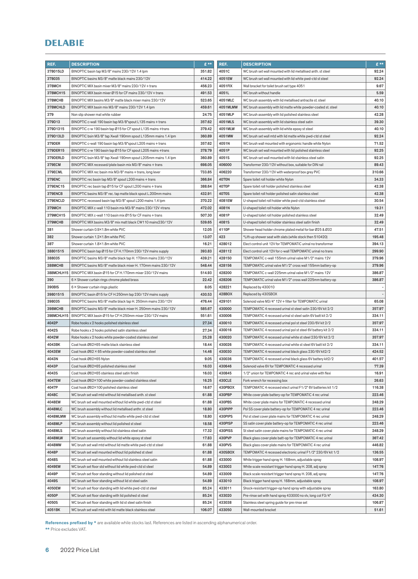| REF.                | <b>DESCRIPTION</b>                                                                                                          | $E$ **           | REF.             | <b>DESCRIPTION</b>                                                                                                       | $E$ **                   |
|---------------------|-----------------------------------------------------------------------------------------------------------------------------|------------------|------------------|--------------------------------------------------------------------------------------------------------------------------|--------------------------|
| 378015LD            | BINOPTIC basin tap M3/8" mains 230/12V 1.4 lpm                                                                              | 351.82           | 4051C            | WC brush set wall mounted with lid metallised anth. st steel                                                             | 92.24                    |
| 378035              | BINOPTIC basins M3/8" matte black mains 230/12V                                                                             | 414.22           | 4051EW           | WC brush set wall mounted with lid white pwd-ctd st steel                                                                | 92.24                    |
| 378MCH              | BINOPTIC MIX basin mixer M3/8" mains 230/12V + trans                                                                        | 456.23           | 4051FIX          | Wall bracket for toilet brush set type 4051                                                                              | 9.67                     |
| 378MCH15            | BINOPTIC MIX basin mixer Ø15 for CF mains 230/12V + trans                                                                   | 491.53           | 4051L            | WC brush without handle                                                                                                  | 5.59                     |
| 378MCHB             | BINOPTIC MIX basins M3/8" matte black mixer mains 230/12V                                                                   | 523.65           | 4051MLC          | WC brush assembly with lid metallised antracite st. steel                                                                | 40.10                    |
| 378MCHLD            | BINOPTIC MIX basin mix M3/8" mains 230/12V 1.4 lpm                                                                          | 459.61           | 4051MLMW         | WC brush assembly with lid matte white powder-coated st. steel                                                           | 40.10                    |
| 379                 | Non slip shower mat white rubber                                                                                            | 24.75            | 4051MLP          | WC brush assembly with lid polished stainless steel                                                                      | 42.28                    |
| 379D13              | BINOPTIC c-wall 190 basin tap M3/8"spout L135 mains + trans                                                                 | 357.62           | 4051MLS          | WC brush assembly with lid stainless steel satin                                                                         | 39.30                    |
| 379D1315            | BINOPTIC c-w 190 basin tap Ø15 for CF spout L135 mains +trans                                                               | 379.42           | 4051MLW          | WC brush assembly with lid white epoxy st steel                                                                          | 40.10                    |
| 379D13LD            | BINOPTIC bsin M3/8" tap Xwall 190mm spout L135mm mains 1.4 lpm                                                              | 360.89           | 4051MW           | WC brush set wall mtd with lid matte white pwd-ctd st steel                                                              | 92.24                    |
| 379DER              | BINOPTIC c-wall 190 basin tap M3/8"spout L205 mains + trans                                                                 | 357.62           | 4051N            | WC brush wall mounted with ergonomic handle white Nylon                                                                  | 71.52                    |
| 379DER15            | BINOPTIC c-w 190 basin tap Ø15 for CF spout L205 mains +trans                                                               | 378.79           | 4051P            | WC brush set wall mounted with lid polished stainless steel                                                              | 92.25                    |
| 379DERLD            | BINOPTIC bsin M3/8" tap Xwall 190mm spout L205mm mains 1.4 lpm                                                              | 360.89           | 4051S            | WC brush set wall mounted with lid stainless steel satin                                                                 | 92.25                    |
| 379ECM              | BINOPTIC MIX recessed/plate basin mix M3/8" mains + trans                                                                   | 698.05           | 406000           | Transformer 230/12V without box, suitable for DIN rail                                                                   | 89.43                    |
| 379ECML             | BINOPTIC MIX rec basin mix M3/8" mains + trans, long lever                                                                  | 733.85           | 406220           | Transformer 230/12V with waterproof box grey PVC                                                                         | 310.66                   |
| <b>379ENC</b>       | BINOPTIC rec basin tap M3/8" spout L200 mains + trans                                                                       | 366.84           | 4070N            | Spare toilet roll holder white Nylon                                                                                     | 34.33                    |
| 379ENC15            | BINOPTIC rec basin tap Ø15 for CF spout L200 mains + trans                                                                  | 388.64           | 4070P            | Spare toilet roll holder polished stainless steel                                                                        | 42.38                    |
| 379ENCB             | BINOPTIC basins M3/8" rec. tap matte black spout L.200mm mains                                                              | 432.91           | 4070S            | Spare toilet roll holder polished satin stainless steel                                                                  | 42.38                    |
| 379ENCLD            | BINOPTIC recessed basin tap M3/8" spout L200 mains 1.4 lpm                                                                  | 370.22           | 4081EW           | U-shaped toilet roll holder white pwd-ctd stainless steel                                                                | 30.54                    |
| 379MCH              | BINOPTIC MIX c-wall 110 basin mix M3/8" mains 230/12V +trans                                                                | 472.02           | 4081N            | U-shaped toilet roll holder white Nylon                                                                                  | 19.31                    |
| 379MCH15            | BINOPTIC MIX c-wall 110 basin mix Ø15 for CF mains + trans                                                                  | 507.30           | 4081P            | U-shaped toilet roll holder polished stainless steel                                                                     | 32.49                    |
| 379MCHB             | BINOPTIC MIX basins M3/8" mix matt black CW110 mains230/12V                                                                 | 539.65           | 4081S            | U-shaped toilet roll holder stainless steel satin finish                                                                 | 32.49                    |
| 381                 | Shower curtain 0.9×1.8m white PVC                                                                                           | 12.05            | 4110P            | Shower head holder chrome plated metal for bar Ø25 & Ø32                                                                 | 47.51                    |
| 382                 | Shower curtain 1.2×1.8m white PVC                                                                                           | 13.07            | 423              | *Lift-up shower seat with slats (while stock then 510420)                                                                | 195.48                   |
| 387                 | Shower curtain 1.8×1.8m white PVC                                                                                           | 16.21            | 428012           | Elect control unit 12V for TEMPOMATIC urinal no transformer                                                              | 394.13                   |
| 38801515            | BINOPTIC basin tap Ø15 for CF H.170mm 230/12V mains supply                                                                  | 393.83           | 428112           | Elect control unit 12V for c-wall TEMPOMATIC urinal no trans                                                             | 299.90                   |
| 388035              | BINOPTIC basins M3/8" matte black tap H. 170mm mains 230/12V                                                                | 439.21           | 428150           | TEMPOMATIC c-wall 155mm urinal valve M1/2" mains 12V                                                                     | 379.96                   |
| 388MCHB             | BINOPTIC basins M3/8" matte black mixer H. 170mm mains 230/12V                                                              | 548.44           | 428156           | TEMPOMATIC urinal valve M1/2" cross wall 155mm battery-op                                                                | 379.96                   |
| 388MCHLH15          | BINOPTIC MIX basin Ø15 for CF H.170mm mixer 230/12V mains                                                                   | 514.93           | 428200           | TEMPOMATIC c-wall 225mm urinal valve M1/2" mains 12V                                                                     | 386.87                   |
| 390                 | 6 × Shower curtain rings chrome plated brass                                                                                | 22.42            | 428206           | TEMPOMATIC urinal valve M1/2" cross wall 225mm battery-op                                                                | 386.87                   |
| 390BIS              | 6 × Shower curtain rings plastic                                                                                            | 8.05             | 428221           | Replaced by 430010                                                                                                       | $\overline{\phantom{a}}$ |
| 39801515            | BINOPTIC basin Ø15 for CF H.250mm tap 230/12V mains supply                                                                  | 430.53           | 428BOX           | Replaced by 430SBOX                                                                                                      |                          |
| 398035              | BINOPTIC basins M3/8" matte black tap H. 250mm mains 230/12V                                                                | 476.44           | 429101           | Solenoid valve M3/4" 12V + filter for TEMPOMATIC urinal                                                                  | 65.08                    |
| 398MCHB             |                                                                                                                             |                  | 430000           |                                                                                                                          | 357.97                   |
| 398MCHLH15          | BINOPTIC basins M3/8" matte black mixer H. 250mm mains 230/12V<br>BINOPTIC MIX basin Ø15 for CF H.250mm mixer 230/12V mains | 585.67<br>551.61 | 430006           | TEMPOMATIC 4 recessed urinal st steel satin 230/6V kit 2/2                                                               | 334.11                   |
| 4042P               | Robe hooks x 2 hooks polished stainless steel                                                                               | 27.34            | 430010           | TEMPOMATIC 4 recessed urinal st steel satin 6V batt kit 2/2                                                              | 357.97                   |
| 4042S               | Robe hooks x 2 hooks polished satin stainless steel                                                                         | 27.34            | 430016           | TEMPOMATIC 4 recessed urinal pol st steel 230/6V kit 2/2<br>TEMPOMATIC 4 recessed urinal pol st steel 6V battery kit 2/2 | 334.11                   |
| 4042W               |                                                                                                                             | 25.28            | 430020           |                                                                                                                          | 357.97                   |
|                     | Robe hooks x 2 hooks white powder-coated stainless steel                                                                    |                  | 430026           | TEMPOMATIC 4 recessed urinal white st steel 230/6V kit 2/2                                                               |                          |
| 4043BK<br>4043EW    | Coat hook Ø62×65 matte black stainless steel<br>Coat hook Ø62 × 65 white powder-coated stainless steel                      | 18.44<br>14.46   | 430030           | TEMPOMATIC 4 recessed urinal white st steel 6V batt kit 2/2                                                              | 334.11<br>424.52         |
| 4043N               | Coat hook Ø62×65 Nylon                                                                                                      | 9.05             | 430036           | TEMPOMATIC 4 recessed urinal black glass 230/6V kit2/2                                                                   | 401.57                   |
|                     |                                                                                                                             |                  |                  | TEMPOMATIC 4 recessed urinal black glass 6V battery kit2/2                                                               |                          |
| 4043P               | Coat hook Ø62×65 polished stainless steel<br>Coat hook Ø62×65 stainless steel satin finish                                  | 16.03            | 430646           | Solenoid valve 6V for TEMPOMATIC 4 recessed urinal<br>1/2" union for TEMPOMATIC 4 rec and urinal valve with flexi        | 77.39                    |
| 4043S<br>4047EW     |                                                                                                                             | 16.03<br>16.25   | 430845<br>430CLE | Fork wrench for recessing box                                                                                            | 16.91<br>26.63           |
|                     | Coat hook Ø62×100 white powder-coated stainless steel                                                                       |                  |                  |                                                                                                                          |                          |
| 4047P               | Coat hook Ø62×100 polished stainless steel                                                                                  | 16.67            | 430PBOX          | TEMPOMATIC 4 recessed elect urinal F1/2" 6V batteries kit 1/2                                                            | 116.38                   |
| 4048C               | WC brush set wall mtd without lid metallised anth. st steel                                                                 | 61.88            | 430PBP           | White cover plate battery-op for TEMPOMATIC 4 rec urinal                                                                 | 223.46                   |
| 4048EW              | WC brush set wall mounted without lid white pwd-ctd st steel                                                                | 61.88            | 430PBS           | White cover plate mains for TEMPOMATIC 4 recessed urinal                                                                 | 248.29                   |
| 4048MLC<br>4048MLMW | WC brush assembly without lid metallised anthr. st steel                                                                    | 18.80            | 430PIPP          | Pol SS cover plate battery-op for TEMPOMATIC 4 rec urinal                                                                | 223.46                   |
|                     | WC brush assembly without lid matte white pwd-ctd st steel                                                                  | 18.80            | 430PIPS          | Pol st steel cover plate mains for TEMPOMATIC 4 rec urinal                                                               | 248.29                   |
| 4048MLP             | WC brush assembly without lid polished st steel                                                                             | 18.58            | 430PISP          | SS satin cover plate battery-op for TEMPOMATIC 4 rec urinal                                                              | 223.46                   |
| 4048MLS             | WC brush assembly without lid stainless steel satin                                                                         | 17.32            | 430PISS          | St steel satin cover plate mains for TEMPOMATIC 4 rec urinal                                                             | 248.29                   |
| 4048MLW             | WC brush set assembly without lid white epoxy st steel                                                                      | 17.83            | 430PVP           | Black glass cover plate batt-op for TEMPOMATIC 4 rec urinal                                                              | 367.42                   |
| 4048MW              | WC brush set wall mtd without lid matte white pwd-ctd st steel                                                              | 61.88            | 430PVS           | Black glass cover plate mains for TEMPOMATIC 4 rec urinal                                                                | 446.82                   |
| 4048P               | WC brush set wall mounted without lid polished st steel                                                                     | 61.88            | 430SBOX          | TEMPOMATIC 4 recessed electronic urinal F1/2" 230/6V kit 1/2                                                             | 136.55                   |
| 4048S               | WC brush set wall mounted without lid stainless steel satin                                                                 | 61.88            | 433000           | White trigger hand spray H. 168mm, adjustable spray                                                                      | 108.97                   |
| 4049EW              | WC brush set floor std without lid white pwd-ctd st steel                                                                   | 54.89            | 433003           | White scale resistant trigger hand spray H. 208, adj spray                                                               | 147.76                   |
| 4049P               | WC brush set floor standing without lid polished st steel                                                                   | 54.89            | 433009           | Black scale resistant trigger hand spray H. 208, adj spray                                                               | 147.76                   |
| 4049S               | WC brush set floor standing without lid st steel satin                                                                      | 54.89            | 433010           | Black trigger hand spray H. 168mm, adjustable spray                                                                      | 108.97                   |
| 4050EW              | WC brush set floor standing with lid white pwd-ctd st steel                                                                 | 85.24            | 433011           | Shock-resistant trigger-op hand spray with adjustable spray                                                              | 163.80                   |
| 4050P               | WC brush set floor standing with lid polished st steel                                                                      | 85.24            | 433020           | Pre-rinse set with hand spray 433000 no vlv, long col F3/4"                                                              | 434.30                   |
| 4050S               | WC brush set floor standing with lid st steel satin finish                                                                  | 85.24            | 433038           | Stainless steel spring guide for pre rinse set                                                                           | 106.87                   |
| 4051BK              | WC brush set wall mtd with lid matte black stainless steel                                                                  | 106.07           | 433050           | Wall-mounted bracket                                                                                                     | 51.61                    |

References prefixed by \* are available while stocks last. References are listed in ascending alphanumerical order.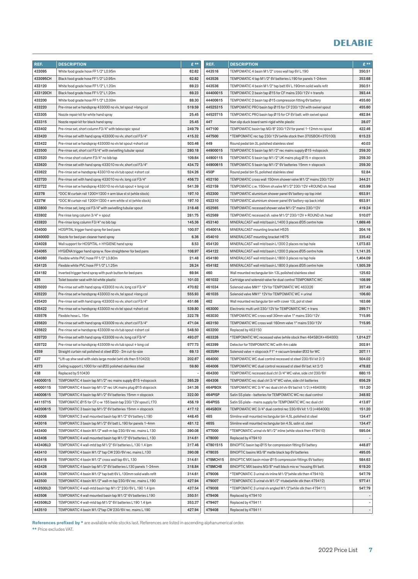| REF.            | <b>DESCRIPTION</b>                                             | £**    | REF.             | <b>DESCRIPTION</b>                                                                                                           | $E***$           |
|-----------------|----------------------------------------------------------------|--------|------------------|------------------------------------------------------------------------------------------------------------------------------|------------------|
| 433095          | White food grade hose FF1/2" L0.95m                            | 62.62  | 443516           | TEMPOMATIC 4 basin M1/2" cross wall tap 6V L.190                                                                             | 350.51           |
| 433095CH        | Black food grade hose FF1/2" L0.95m                            | 62.62  | 443526           | TEMPOMATIC 4 tap M1/2" 6V batteries L190 for panels 1-24mm                                                                   | 353.68           |
| 433120          | White food grade hose FF1/2" L1.20m                            | 69.23  | 443536           | TEMPOMATIC 4 basin M1/2" tap batt 6V L.190mm solid walls refit                                                               | 350.51           |
| 433120CH        | Black food grade hose FF1/2" L1.20m                            | 69.23  | 44400015         | TEMPOMATIC 2 basin tap Ø15 for CF mains 230/12V + transfo                                                                    | 393.44           |
| 433200          | White food grade hose FF1/2" L2.00m                            | 88.30  | 44400615         | TEMPOMATIC 2 basin tap Ø15 compression fitting 6V battery                                                                    | 455.60           |
| 433220          | Pre-rinse set w handspray 433000 no vlv, tel spout +long col   | 519.59 | 44525315         | TEMPOMATIC PRO basin tap Ø15 for CF 230/12V with swivel spout                                                                | 455.60           |
| 433305          | Nozzle repair kit for white hand spray                         | 25.45  | 44525715         | TEMPOMATIC PRO basin tap Ø15 for CF 6V batt. with swivel spout                                                               | 492.84           |
| 433315          | Nozzle repair kit for black hand spray                         | 25.45  | 447              | Non slip duck board semi-rigid white plastic                                                                                 | 28.07            |
| 433402          | Pre-rinse set, short column F3/4" with telescopic spout        | 249.79 | 447100           | TEMPOMATIC basin tap M3/8" 230/12V for panel 1-12mm no spout                                                                 | 422.46           |
| 433420          | Pre-rinse set with hand spray 433000 no vlv, short col F3/4"   | 415.32 | 447500           | *TEMPOMATIC rec tap 230/12V (while stock then 370SBOX+370100)                                                                | 615.23           |
| 433422          | Pre-rinse set w handspray 433000 no vlv tel spout +short col   | 503.46 | 449              | Round pedal bin 3L polished stainless steel                                                                                  | 40.03            |
| 433500          | Pre-rinse set, short col F3/4" with swivelling tubular spout   | 280.18 | 44900015         | TEMPOMATIC 5 basin tap M1/2" rec mains supply Ø15 +stopcock                                                                  | 259.30           |
| 433520          | Pre-rinse short column F3/4" no bib tap                        | 109.64 | 44900115         | TEMPOMATIC 5 basin tap M1/2" UK mains plug Ø15 + stopcock                                                                    | 259.30           |
| 433620          | Pre-rinse set with hand spray 433010 no vlv, short col F3/4"   | 434.72 | 44900615         | TEMPOMATIC 5 basin tap M1/2" 6V batteries 15mm + stopcock                                                                    | 259.30           |
| 433622          | Pre-rinse set w handspray 433010 no vlv tub spout +short col   | 524.26 | 450P             | Round pedal bin 5L polished stainless steel                                                                                  | 52.84            |
| 433720          | Pre-rinse set with hand spray 433010 no vlv, long col F3/4"    | 456.73 | 452150           | TEMPOMATIC cross wall 150mm shower valve M1/2" mains 230/12V                                                                 | 344.21           |
| 433722          | Pre-rinse set w handspray 433010 no vlv tub spout + long col   | 541.39 | 452159           | TEMPOMATIC c.w. 150mm sh.valve M1/2" 230/12V +ROUND sh. head                                                                 | 435.99           |
| 4337B           | *DOC M curtain rail 1200×1200 + arm blue st st (while stock)   | 197.10 | 452300           | TEMPOMATIC aluminium shower panel 6V battery-op top inlet                                                                    | 653.91           |
| 4337W           | *DOC M curtain rail 1200×1200 + arm white st st (while stock)  | 197.10 | 452310           | TEMPOMATIC aluminium shower panel 6V battery-op back inlet                                                                   | 653.91           |
| 433800          | Pre-rinse set, long col F3/4" with swivelling tubular spout    | 318.48 | 452565           | TEMPOMATIC recessed shower valve M1/2" mains 230/12V                                                                         | 419.24           |
| 433802          | Pre rinse long column 3/4" + spout                             | 281.75 | 452569           | TEMPOMATIC recessed sh. valve M1/2" 230/12V + ROUND sh. head                                                                 | 510.07           |
| 433820          | Pre-rinse long column F3/4" no bib tap                         | 145.36 | 453140           | MINERALCAST wall mtd basin L1400 3 places Ø35 centre hole                                                                    | 1,669.46         |
| 434000          | HOSPITAL trigger hand spray for bed pans                       | 100.57 | 454001A          | MINERALCAST mounting bracket H525                                                                                            | 204.16           |
| 434000D         | Nozzle for bed pan cleaner hand spray                          | 6.36   | 454010           | MINERALCAST mounting bracket H675                                                                                            | 235.42           |
| 434028          | Wall support for HOSPITAL + HYGIENE hand spray                 | 8.53   | 454120           | MINERALCAST wall mtd basin L1200 2 places no tap hole                                                                        | 1,073.83         |
| 434065          | HYGIENA trigger hand spray w. flow straightener for bed pans   | 108.97 | 454122           | MINERALCAST wall mtd basin L1200 2 places Ø35 centre hole                                                                    | 1,141.35         |
| 434080          | Flexible white PVC hose FF1/2" L0.80m                          | 21.48  | 454180           | MINERALCAST wall mtd basin L1800 3 places no tap hole                                                                        | 1,404.09         |
| 434125          | Flexible white PVC hose FF1/2" L1.25m                          | 26.24  | 454182           | MINERALCAST wall mtd basin L1800 3 places Ø35 centre hole                                                                    | 1,505.39         |
| 434182          | Inverted trigger hand spray with push button for bed pans      | 69.94  | 460              | Wall mounted rectangular bin 13L polished stainless steel                                                                    | 125.62           |
| 435             | Toilet booster seat with lid white plastic                     | 101.03 | 461032           | Cartridge and solenoid valve for dual control TEMPOMATIC WC                                                                  | 108.99           |
| 435020          | Pre-rinse set with hand spray 433003 no vlv, long col F3/4"    | 470.62 | 461034           | Solenoid valve MM1" 12V for TEMPOMATIC WC 463326                                                                             | 357.49           |
| 435220          | Pre-rinse set w handspray 433003 no vlv, tel spout +long col   | 555.93 | 461035           | Solenoid valve MM1" 12V for TEMPOMATIC WC + urinal                                                                           | 106.60           |
| 435420          | Pre-rinse set with hand spray 433003 no vlv, short col F3/4"   | 451.66 | 462              | Wall mounted rectangular bin with cover 13L pol st steel                                                                     | 163.66           |
| 435422          | Pre-rinse set w handspray 433003 no vlv tel spout +short col   | 539.80 | 463000           | Electronic multi unit 230/12V for TEMPOMATIC WC + trans                                                                      | 299.71           |
| 435576          | Flexible hose L. 15m                                           | 322.78 | 463030           | TEMPOMATIC WC cross wall 30mm valve 1" mains 230/12V                                                                         | 715.95           |
| 435620          | Pre-rinse set with hand spray 433009 no vlv, short col F3/4"   | 471.04 | 463150           | TEMPOMATIC WC cross wall 160mm valve 1" mains 230/12V                                                                        | 715.95           |
| 435622          | Pre-rinse set w handspray 433009 no vlv tub spout +short col   | 548.50 | 463200           | Replaced by 463150                                                                                                           |                  |
| 435720          | Pre-rinse set with hand spray 433009 no vlv, long col F3/4"    | 493.07 | 463326           | *TEMPOMATIC WC recessed valve (while stock then 464SBOX+464000)                                                              | 1,014.27         |
| 435722          | Pre-rinse set w handspray 433009 no vlv tub spout + long col   | 577.73 | 463399           | Detector for TEMPOMATIC WC with 4m cable                                                                                     | 202.91           |
| 4359            | Straight curtain rail polished st steel Ø20 - 2m cut-to-size   | 69.13  | 463SRH           | Solenoid valve + stopcock F1" + vacuum breaker Ø32 for WC                                                                    | 207.11           |
| 437             | *Lift-up shw seat with slats large model (whl stk then 510420) | 202.67 | 464000           | TEMPOMATIC WC dual control recessed st steel 230/6V kit 2/2                                                                  | 504.02           |
| 4373            | Ceiling support L1000 for rail Ø20 polished stainless steel    | 59.60  | 464006           | TEMPOMATIC WC dual control recessed st steel 6V bat. kit 2/2                                                                 | 478.82           |
|                 | Replaced by 510430                                             |        |                  |                                                                                                                              |                  |
| 438<br>44000015 | TEMPOMATIC 4 basin tap M1/2" rec mains supply Ø15 +stopcock    | 365.29 | 464300<br>464306 | TEMPOMATIC recessed dual ctrl 3/4" WC valve, side ctrl 230/6V<br>TEMPOMATIC rec dual ctrl 3/4" WC valve, side ctrl batteries | 680.15<br>656.29 |
| 44000115        | TEMPOMATIC 4 basin tap M1/2" rec UK mains plug Ø15 stopcock    | 341.36 | 464PBOX          | TEMPOMATIC WC 3/4" rec dual ctrl vlv 6V bat kit 1/2 (+464006)                                                                | 151.20           |
| 44000615        | TEMPOMATIC 4 basin tap M1/2" 6V batteries 15mm + stopcock      | 322.00 | 464PISP          | Satin SS plate - batteries for TEMPOMATIC WC rec dual control                                                                | 348.92           |
| 44115715        | TEMPOMATIC Ø15 for CF c-w 155 basin tap 230/12V spout L170     | 456.19 | 464PISS          | Satin SS plate - mains supply for TEMPOMATIC WC rec dual ctrl                                                                | 413.67           |
| 44200615        | TEMPOMATIC 3 basin tap M1/2" 6V batteries 15mm + stopcock      | 417.12 | 464SBOX          | TEMPOMATIC WC 3/4" dual control rec 230/6V kit 1/2 (+464000)                                                                 | 151.20           |
| 443006          | TEMPOMATIC 3 wall mounted basin tap M1/2" 6V battery L190      | 448.45 | 465              | Slimline wall mounted rectangular bin 4,5L polished st steel                                                                 | 134.47           |
| 443016          | TEMPOMATIC 3 basin tap M1/2" 6V batt L.190 for panels 1-4mm    | 481.12 | 465S             | Slimline wall mounted rectangular bin 4.5L satin st. steel                                                                   | 134.47           |
| 443400          | TEMPOMATIC 4 basin M1/2" wall-m tap 230/6V rec. mains L.130    | 390.08 | 477000           | *TEMPOMATIC urinal vlv M1/2" inline (while stock then 479410)                                                                | 595.04           |
| 443406          | TEMPOMATIC 4 wall mounted basin tap M1/2" 6V batteries L.130   | 314.61 | 478000           | Replaced by 479410                                                                                                           |                  |
| 443406LD        | TEMPOMATIC 4 wall-mtd tap M1/2" 6V batteries L.130 1.4 lpm     | 317.46 | 47801515         | BINOPTIC basin tap Ø15 for compression fitting 6V battery                                                                    | 448.87           |
| 443410          | TEMPOMATIC 4 basin M1/2" tap CW 230/6V rec. mains L.130        | 390.08 | 478035           | BINOPTIC basins M3/8" matte black tap 6V batteries                                                                           | 495.05           |
| 443416          | TEMPOMATIC 4 basin M1/2" cross wall tap 6V L.130               | 314.61 | 478MCH15         | BINOPTIC MIX basin mixer Ø15 compression fittings 6V battery                                                                 | 584.63           |
| 443426          | TEMPOMATIC 4 basin tap M1/2" 6V batteries L130 panels 1-24mm   | 318.84 | 478MCHB          | BINOPTIC MIX basins M3/8" matt black mix w/ housing 6V batt.                                                                 | 619.20           |
| 443436          | TEMPOMATIC 4 basin M1/2" tap batt 6V L.130mm solid walls refit | 314.61 | 479006           | *TEMPOMATIC 3 urinal vlv inline M1/2"(while stk then 479410)                                                                 | 547.79           |
| 443500          | TEMPOMATIC 4 basin M1/2" wall-m tap 230/6V rec. mains L.190    | 427.94 | 479007           | *TEMPOMATIC 3 urinal vlv M1/2" + tube(while stk then 479412)                                                                 | 577.41           |
| 443500LD        | TEMPOMATIC 4 wall-mtd basin tap M1/2" 230/6V L.190 1.4 lpm     | 437.54 | 479008           | *TEMPOMATIC 3 urinal vlv angled M1/2"(while stk then 479411)                                                                 | 547.79           |
| 443506          | TEMPOMATIC 4 wall mounted basin tap M1/2" 6V batteries L190    | 350.51 | 479406           | Replaced by 479410                                                                                                           |                  |
| 443506LD        | TEMPOMATIC 4 wall-mtd tap M1/2" 6V batteries L190 1.4 lpm      | 353.37 | 479407           | Replaced by 479411                                                                                                           |                  |
|                 |                                                                |        | 479408           |                                                                                                                              |                  |
| 443510          | TEMPOMATIC 4 basin M1/2"tap CW 230/6V rec. mains L.190         | 427.94 |                  | Replaced by 479411                                                                                                           |                  |

References prefixed by \* are available while stocks last. References are listed in ascending alphanumerical order.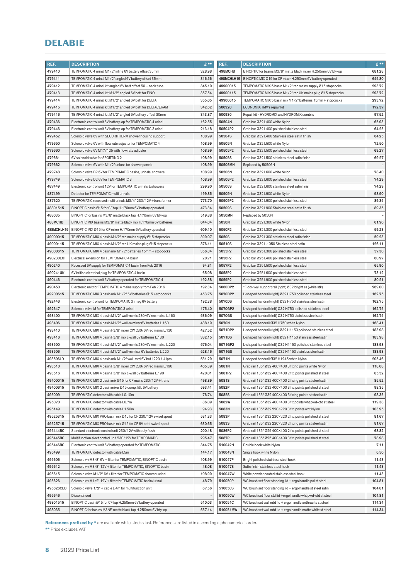| REF.       | <b>DESCRIPTION</b>                                             | $E$ **         | REF.       | <b>DESCRIPTION</b>                                            | $E$ **                   |
|------------|----------------------------------------------------------------|----------------|------------|---------------------------------------------------------------|--------------------------|
| 479410     | TEMPOMATIC 4 urinal M1/2" inline 6V battery offset 35mm        | 328.98         | 498MCHB    | BINOPTIC for basins M3/8" matte black mixer H.250mm 6V bty-op | 681.28                   |
| 479411     | TEMPOMATIC 4 urinal M1/2" angled 6V battery offset 35mm        | 316.56         | 498MCHLH15 | BINOPTIC MIX Ø15 for CF mixer H.250mm 6V battery operated     | 645.80                   |
| 479412     | TEMPOMATIC 4 urinal kit angled 6V batt offset 50 + neck tube   | 345.10         | 49900015   | TEMPOMATIC MIX 5 basin M1/2" rec mains supply Ø15 stopcocks   | 293.72                   |
| 479413     | TEMPOMATIC 4 urinal kit M1/2" angled 6V batt for FINO          | 357.54         | 49900115   | TEMPOMATIC MIX 5 basin M1/2" rec UK mains plug Ø15 stopcocks  | 293.72                   |
| 479414     | TEMPOMATIC 4 urinal kit M1/2" angled 6V batt for DELTA         | 355.05         | 49900615   | TEMPOMATIC MIX 5 basin mix M1/2" batteries 15mm + stopcocks   | 293.72                   |
| 479415     | TEMPOMATIC 4 urinal kit M1/2" angled 6V batt for DELTACERAM    | 342.62         | 500920     | ECONOMIX TMV's repair kit                                     | 172.37                   |
| 479416     | TEMPOMATIC 4 urinal kit M1/2" angled 6V battery offset 30mm    | 343.87         | 500980     | Repair kit - HYDROMIX and HYDROMIX combi's                    | 97.52                    |
| 479436     | Electronic control unit 6V battery-op for TEMPOMATIC 4 urinal  | 162.55         | 50504N     | Grab bar Ø32 L400 white Nylon                                 | 65.93                    |
| 479446     | Electronic control unit 6V battery-op for TEMPOMATIC 3 urinal  | 213.18         | 50504P2    | Grab bar Ø32 L400 polished stainless steel                    | 64.25                    |
| 479452     | Solenoid valve 6V with SECURITHERM shower housing support      | 108.99         | 50504S     | Grab bar Ø32 L400 Stainless steel satin finish                | 64.25                    |
| 479650     | Solenoid valve 6V with flow rate adjustor for TEMPOMATIC 4     | 108.99         | 50505N     | Grab bar Ø32 L500 white Nylon                                 | 72.50                    |
| 479660     | Solenoid valve 6V M17/125 with flow rate adjuster              | 108.99         | 50505P2    | Grab bar Ø32 L500 polished stainless steel                    | 69.27                    |
| 479661     | 6V solenoid valve for SPORTING 2                               | 108.99         | 50505S     | Grab bar Ø32 L500 stainless steel satin finish                | 69.27                    |
| 479662     | Solenoid valve 6V with M1/2" unions for shower panels          | 108.99         | 50506MN    | Replaced by 50506N                                            |                          |
| 479748     | Solenoid valve D2 6V for TEMPOMATIC basins, urinals, showers   | 108.99         | 50506N     | Grab bar Ø32 L600 white Nylon                                 | 78.40                    |
| 479749     | Solenoid valve D2 6V for TEMPOMATIC 3                          | 108.99         | 50506P2    | Grab bar Ø32 L600 polished stainless steel                    | 74.29                    |
| 487449     | Electronic control unit 12V for TEMPOMATIC urinals & showers   | 299.90         | 50506S     | Grab bar Ø32 L600 stainless steel satin finish                | 74.29                    |
| 487499     | Detector for TEMPOMATIC multi urinals                          | 199.85         | 50509N     | Grab bar Ø32 L900 white Nylon                                 | 98.90                    |
| 487620     | TEMPOMATIC recessed multi urinals M3/4" 230/12V +transformer   | 773.70         | 50509P2    | Grab bar Ø32 L900 polished stainless steel                    | 89.35                    |
| 48801515   | BINOPTIC basin Ø15 for CF tap H.170mm 6V battery operated      | 473.34         | 50509S     | Grab bar Ø32 L900 Stainless steel satin finish                | 89.35                    |
| 488035     | BINOPTIC for basins M3/8" matte black tap H.170mm 6V bty-op    | 519.88         | 5050MN     | Replaced by 5050N                                             | $\overline{\phantom{a}}$ |
| 488MCHB    | BINOPTIC MIX basins M3/8" matte black mix H.170mm 6V batteries | 644.04         | 5050N      | Grab bar Ø32 L300 white Nylon                                 | 61.90                    |
| 488MCHLH15 | BINOPTIC MIX Ø15 for CF mixer H.170mm 6V battery operated      | 609.10         | 5050P2     | Grab bar Ø32 L300 polished stainless steel                    | 59.23                    |
| 49000015   | TEMPOMATIC MIX 4 basin M1/2" rec mains supply Ø15 stopcocks    | 399.07         | 5050S      | Grab bar Ø32 L300 stainless steel satin finish                | 59.23                    |
| 49000115   | TEMPOMATIC MIX 4 basin M1/2" rec UK mains plug Ø15 stopcocks   | 376.11         | 50510S     | Grab bar Ø32 L.1050 Stainless steel satin                     | 126.11                   |
| 49000615   | TEMPOMATIC MIX 4 basin mix M1/2" batteries 15mm + stopcocks    | 356.84         | 5055P2     | Grab bar Ø25 L300 polished stainless steel                    | 57.30                    |
| 490230EXT  | Electrical extension for TEMPOMATIC 4 basin                    | 20.71          | 5056P2     | Grab bar Ø25 L400 polished stainless steel                    | 60.97                    |
| 490240     | Recessed 6V supply for TEMPOMATIC 4 basin from Feb 2016        | 94.81          | 5057P2     | Grab bar Ø25 L500 polished stainless steel                    | 65.90                    |
| 490241UK   | 6V british electrical plug for TEMPOMATIC 4 basin              | 65.08          | 5058P2     | Grab bar Ø25 L600 polished stainless steel                    | 73.12                    |
| 490446     | Electronic control unit 6V battery operated for TEMPOMATIC 4   | 192.38         | 5059P2     | Grab bar Ø25 L900 polished stainless steel                    | 80.21                    |
| 490450     | Electronic unit for TEMPOMATIC 4 mains supply from Feb 2016    | 192.34         | 5060DP2    | *Floor-wall support rail (right) Ø32 bright ss (while stk)    | 269.00                   |
| 49200615   | TEMPOMATIC MIX 3 basin mix M1/2" 6V batteries Ø15 +stopcocks   | 453.75         | 5070DP2    | L-shaped handrail (right) Ø32 H750 polished stainless steel   | 162.75                   |
| 492446     | Electronic control unit for TEMPOMATIC 3 integ 6V battery      | 192.38         | 5070DS     | L-shaped handrail (right) Ø32 H750 stainless steel satin      | 162.75                   |
| 492647     | Solenoid valve M for TEMPOMATIC 3 urinal                       | 175.40         | 5070GP2    | L-shaped handrail (left) Ø32 H750 polished stainless steel    | 162.75                   |
| 493400     | TEMPOMATIC MIX 4 basin M1/2" wall-m mix 230/6V rec mains L.160 | 536.09         | 5070GS     | L-shaped handrail (left) Ø32 H750 stainless steel satin       | 162.75                   |
| 493406     | TEMPOMATIC MIX 4 basin M1/2" wall-m mixer 6V batteries L.160   | 488.19         | 5070N      | L-shaped handrail Ø32 H750 white Nylon                        | 168.41                   |
| 493410     | TEMPOMATIC MIX 4 basin F3/8" mixer CW 230/6V rec mains L.130   | 427.52         | 5071DP2    | L-shaped handrail (right) Ø32 H1150 polished stainless steel  | 183.98                   |
| 493416     | TEMPOMATIC MIX 4 basin F3/8" mix c-wall 6V batteries L.130     | 382.15         | 5071DS     | L-shaped handrail (right) Ø32 H1150 stainless steel satin     | 183.98                   |
| 493500     | TEMPOMATIC MIX 4 basin M1/2" wall-m mix 230/6V rec mains L.220 | 576.04         | 5071GP2    | L-shaped handrail (left) Ø32 H1150 polished stainless steel   | 183.98                   |
| 493506     | TEMPOMATIC MIX 4 basin M1/2" wall-m mixer 6V batteries L.220   | 528.16         | 5071GS     | L-shaped handrail (left) Ø32 H1150 stainless steel satin      | 183.98                   |
| 493506LD   | TEMPOMATIC MIX 4 basin mix M1/2" wall-mtd 6V bat L220 1.4 lpm  | 531.29         | 5071N      | L-shaped handrail Ø32 H1245 white Nylon                       | 205.46                   |
| 493510     | TEMPOMATIC MIX 4 basin F3/8" mixer CW 230/6V rec mains L.190   | 465.39         | 5081N      | Grab rail 135° Ø32 400×400 3 fixing points white Nylon        | 118.08                   |
| 493516     | TEMPOMATIC MIX 4 basin F3/8" mix c-wall 6V batteries L.190     | 420.01         | 5081P2     | Grab rail 135° Ø32 400×400 2 fix. points polished st steel    | 85.52                    |
| 49400015   | TEMPOMATIC MIX 2 basin mix Ø15 for CF mains 230/12V + trans    | 498.89         | 5081S      | Grab rail 135° Ø32 400×400 2 fixing points st steel satin     | 85.52                    |
| 49400615   | TEMPOMATIC MIX 2 basin mixer Ø15 comp. fitt. 6V battery        | 593.41         | 5082P      | Grab rail 135° Ø32 400×400 3 fix. points polished st steel    | 98.35                    |
| 495009     | TEMPOMATIC detector with cable L0.10m                          | 76.74          | 5082S      | Grab rail 135° Ø32 400×400 3 fixing points st steel satin     | 98.35                    |
| 495070     | TEMPOMATIC detector with cable L0.7m                           | 86.09          | 5082W      | Grab rail 135° Ø32 400×400 3 fix points wht pwd-ctd st steel  | 119.38                   |
| 495149     | TEMPOMATIC detector with cable L1.50m                          | 94.93          | 5083N      | Grab rail 135° Ø32 220×220 3 fix. points wht Nylon            | 103.95                   |
| 49525315   | TEMPOMATIC MIX PRO basin mix Ø15 for CF 230/12V swivel spout   | 531.33         | 5083P      | Grab rail 135° Ø32 220×220 2 fix. points polished st steel    | 81.67                    |
| 49525715   | TEMPOMATIC MIX PRO basin mix Ø15 for CF 6V batt. swivel spout  | 630.65         | 5083S      | Grab rail 135° Ø32 220×220 2 fixing points st steel satin     | 81.67                    |
| 495444BC   | Standard electronic control unit 230/12V with duty flush       | 200.18         | 5086P2     | Grab rail 135° Ø25 400×400 2 fix. points polished st steel    | 68.82                    |
| 495445BC   | Multifunction elect control unit 230/12V for TEMPOMATIC        | 295.47         | 5087P      | Grab rail 135° Ø25 400×400 3 fix. points polished st steel    | 78.98                    |
| 495446BC   | Electronic control unit 6V battery operated for TEMPOMATIC     | 344.75         | 510042N    | Double hook white Nylon                                       | 7.11                     |
| 495499     | TEMPOMATIC detector with cable L5m                             | 144.17         | 510043N    | Single hook white Nylon                                       | 6.50                     |
| 495606     | Solenoid vlv M3/8" 6V + filter for TEMPOMATIC, BINOPTIC basin  | 108.99         | 510047P    | Bright polished stainless steel hook                          | 11.43                    |
| 495612     | Solenoid vlv M3/8" 12V + filter for TEMPOMATIC, BINOPTIC basin | 48.08          | 510047S    | Satin finish stainless steel hook                             | 11.43                    |
| 495615     | Solenoid valve M1/2" 6V +filter for TEMPOMATIC shower+urinal   | 108.99         | 510047W    | White powder coated stainless steel hook                      | 11.43                    |
| 495626     | Solenoid vlv M1/2" 12V + filter for TEMPOMATIC basin/urinal    | 48.79          | 510050P    | WC brush set floor standing lid + ergo handle pol st steel    | 104.81                   |
| 495626CEB  | Solenoid valve 1/2" + cable L.4m for multifunction unit        | 67.56          | 510050S    | WC brush set floor standing lid + ergo handle st steel satin  | 104.81                   |
| 495646     | Discontinued                                                   | $\overline{a}$ | 510050W    | WC brush set floor std lid +ergo handle wht pwd-ctd st steel  | 104.81                   |
| 49801515   | BINOPTIC basin Ø15 for CF tap H.250mm 6V battery operated      | 510.03         | 510051C    | WC brush set wall mtd lid + ergo handle anthracite st steel   | 114.34                   |
| 498035     | BINOPTIC for basins M3/8" matte black tap H.250mm 6V bty-op    | 557.14         | 510051MW   | WC brush set wall mtd lid + ergo handle matte white st steel  | 114.34                   |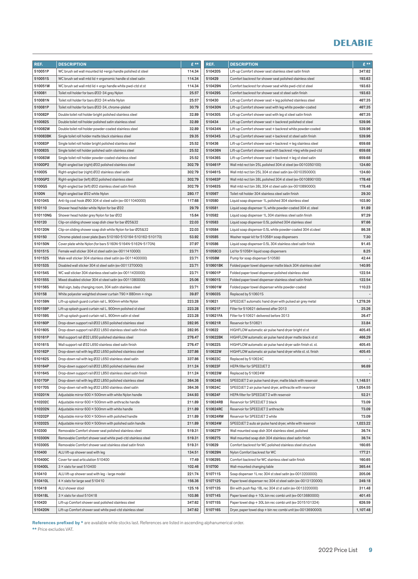| REF.     | <b>DESCRIPTION</b>                                           | £**    | REF.     | <b>DESCRIPTION</b>                                           | $E$ **   |
|----------|--------------------------------------------------------------|--------|----------|--------------------------------------------------------------|----------|
| 510051P  | WC brush set wall mounted lid +ergo handle polished st steel | 114.34 | 510420S  | Lift-up Comfort shower seat stainless steel satin finish     | 347.62   |
| 510051S  | WC brush set wall mtd lid + ergonomic handle st steel satin  | 114.34 | 510429   | Comfort backrest for shower seat polished stainless steel    | 193.63   |
| 510051W  | WC brush set wall mtd lid + ergo handle white pwd-ctd st st  | 114.34 | 510429N  | Comfort backrest for shower seat white pwd-ctd st steel      | 193.63   |
| 510081   | Toilet roll holder for bars Ø32-34 grey Nylon                | 25.57  | 510429S  | Comfort backrest for shower seat st steel satin finish       | 193.63   |
| 510081N  | Toilet roll holder for bars Ø32-34 white Nylon               | 25.57  | 510430   | Lift-up Comfort shower seat + leg polished stainless steel   | 467.35   |
| 510081P  | Toilet roll holder for bars Ø32-34, chrome-plated            | 30.79  | 510430N  | Lift-up Comfort shower seat with leg white powder-coated     | 467.35   |
| 510082P  | Double toilet roll holder bright polished stainless steel    | 32.89  | 510430S  | Lift-up Comfort shower seat with leg st steel satin finish   | 467.35   |
| 510082S  | Double toilet roll holder polished satin stainless steel     | 32.89  | 510434   | Lift-up Comfort shower seat + backrest polished st steel     | 539.96   |
| 510082W  | Double toilet roll holder powder-coated stainless steel      | 32.89  | 510434N  | Lift-up Comfort shower seat + backrest white powder-coated   | 539.96   |
| 510083BK | Single toilet roll holder matte black stainless steel        | 29.35  | 510434S  | Lift-up Comfort shower seat + backrest st steel satin finish | 539.96   |
| 510083P  | Single toilet roll holder bright polished stainless steel    | 25.52  | 510436   | Lift-up Comfort shower seat + backrest + leg stainless steel | 659.68   |
| 510083S  | Single toilet roll holder polished satin stainless steel     | 25.52  | 510436N  | Lift-up Comfort shower seat with backrest +leg white pwd-ctd | 659.68   |
| 510083W  | Single toilet roll holder powder-coated stainless steel      | 25.52  | 510436S  | Lift-up Comfort shower seat + backrest + leg st steel satin  | 659.68   |
| 5100DP2  | Right-angled bar (right) Ø32 polished stainless steel        | 302.79 | 510461P  | Wall mtd rect bin 25L polished 304 st steel (ex-0010350100)  | 124.60   |
| 5100DS   | Right-angled bar (right) Ø32 stainless steel satin           | 302.79 | 510461S  | Wall mtd rect bin 25L 304 st steel satin (ex-0010350000)     | 124.60   |
| 5100GP2  | Right-angled bar (left) Ø32 polished stainless steel         | 302.79 | 510463P  | Wall mtd rect bin 38L polished 304 st steel (ex-0010890100)  | 178.48   |
| 5100GS   | Right-angled bar (left) Ø32 stainless steel satin finish     | 302.79 | 510463S  | Wall mtd rect bin 38L 304 st steel satin (ex-0010890000)     | 178.48   |
| 5100N    | Right-angled bar Ø32 white Nylon                             | 280.17 | 510567   | Toilet roll holder 304 stainless steel satin finish          | 29.30    |
| 510104S  | Anti-lig coat hook Ø90 304 st steel satin (ex-0011040000)    | 117.68 | 510580   | Liquid soap dispenser 1L polished 304 stainless steel        | 103.90   |
| 510110   | Shower head holder white Nylon for bar Ø32                   | 29.79  | 510581   | Liquid soap dispenser 1L white powder-coated 304 st. steel   | 91.89    |
| 510110NG | Shower head holder grey Nylon for bar Ø32                    | 15.64  | 510582   | Liquid soap dispenser 1L 304 stainless steel satin finish    | 97.29    |
| 510120   | Clip-on sliding shower soap dish clear for bar Ø25&32        | 22.03  | 510583   | Liquid soap dispenser 0.5L polished 304 stainless steel      | 97.66    |
| 510120N  | Clip-on sliding shower soap dish white Nylon for bar Ø25&32  | 22.03  | 510584   | Liquid soap dispenser 0.5L white powder-coated 304 st.steel  | 86.38    |
| 510150   | Chrome-plated cover plate (bars 510160-510164-510162-510170) | 53.92  | 510585   | Washer repair kit for 51058X soap dispensers                 | 7.30     |
| 510150N  | Cover plate white Nylon (for bars 5160N-5164N-5162N-5170N)   | 37.97  | 510586   | Liquid soap dispenser 0.5L 304 stainless steel satin finish  | 91.45    |
| 510151S  | Female wall sticker 304 st steel satin (ex-0011410000)       | 23.71  | 51058CO  | Lid for 51058× liquid soap dispensers                        | 8.25     |
| 510152S  | Male wall sticker 304 stainless steel satin (ex-0011400000)  | 23.71  | 51058M   | Pump for soap dispenser 510580                               | 42.44    |
| 510153S  | Disabled wall sticker 304 st steel satin (ex-0011370000)     | 23.71  | 510601BK | Folded paper towel dispenser matte black 304 stainless steel | 140.95   |
| 510154S  | WC wall sticker 304 stainless steel satin (ex-0011420000)    | 23.71  | 510601P  | Folded paper towel dispenser polished stainless steel        | 122.54   |
| 510155S  | Mixed disabled sticker 304 st steel satin (ex-0011380000)    | 25.06  | 510601S  | Folded paper towel dispenser stainless steel satin finish    | 122.54   |
| 510156S  | Wall sign, baby changing room, 304 satin stainless steel     | 23.71  | 510601W  | Folded paper towel dispenser white powder-coated             | 110.23   |
| 510158   | White polyester weighted shower curtain 790 × 880mm + rings  | 39.87  | 510603S  | Replaced by 510601S                                          |          |
| 510159N  | Lift-up splash guard curtain rail L. 900mm white Nylon       | 223.28 | 510621   | SPEEDJET automatic hand dryer with pulsed air grey metal     | 1,278.26 |
| 510159P  | Lift-up splash guard curtain rail L. 900mm polished st steel | 223.28 | 510621F  | Filter for 510621 delivered after 2013                       | 25.26    |
| 510159S  | Lift-up splash guard curtain rail L. 900mm satin st steel    | 223.28 | 510621FA | Filter for 510621 delivered before 2013                      | 26.47    |
| 510160P  | Drop-down support rail Ø32 L650 polished stainless steel     | 282.95 | 510621R  | Reservoir for 510621                                         | 33.84    |
| 510160S  | Drop-down support rail Ø32 L650 stainless steel satin finish | 282.95 | 510622   | HIGHFLOW automatic air pulse hand dryer bright st st         | 405.45   |
| 510161P  | Wall support rail Ø32 L650 polished stainless steel          | 276.47 | 510622BK | HIGHFLOW automatic air pulse hand dryer matte black st st    | 466.29   |
| 510161S  | Wall support rail Ø32 L650 stainless steel satin finish      | 276.47 | 510622S  | HIGHFLOW automatic air pulse hand dryer satin finish st. st. | 405.45   |
| 510162P  | Drop-down rail with leg Ø32 L650 polished stainless steel    | 337.86 | 510622W  | HIGHFLOW automatic air pulse hand dryer white st. st. finish | 405.45   |
| 510162S  | Drop-down rail with leg Ø32 L650 stainless steel satin       | 337.86 | 510623C  | Replaced by 510624C                                          |          |
| 510164P  | Drop-down support rail Ø32 L850 polished stainless steel     | 311.24 | 510623F  | HEPA filter for SPEEDJET 2                                   | 96.69    |
| 510164S  | Drop-down support rail Ø32 L850 stainless steel satin finish | 311.24 | 510623W  | Replaced by 510624W                                          |          |
| 510170P  | Drop-down rail with leg Ø32 L850 polished stainless steel    | 364.36 | 510624B  | SPEEDJET 2 air pulse hand dryer, matte black with reservoir  | 1,148.51 |
| 510170S  | Drop-down rail with leg Ø32 L850 stainless steel satin       | 364.36 | 510624C  | SPEEDJET 2 air pulse hand dryer, anthracite with reservoir   | 1,054.55 |
| 510201N  | Adjustable mirror 600 × 500mm with white Nylon handle        | 244.93 | 510624F  | HEPA filter for SPEEDJET 2 with reservoir                    | 52.21    |
| 510202C  | Adjustable mirror 600 × 500mm with anthracite handle         | 211.89 | 510624RB | Reservoir for SPEEDJET 2 black                               | 73.09    |
| 510202N  | Adjustable mirror 600 × 500mm with white handle              | 211.89 | 510624RC | Reservoir for SPEEDJET 2 anthracite                          | 73.09    |
| 510202P  | Adjustable mirror 600 × 500mm with polished handle           | 211.89 | 510624RW | Reservoir for SPEEDJET 2 white                               | 73.09    |
| 510202S  | Adjustable mirror 600 × 500mm with polished satin handle     | 211.89 | 510624W  | SPEEDJET 2 auto air pulse hand dryer, white with reservoir   | 1,023.22 |
| 510300   | Removable Comfort shower seat polished stainless steel       | 519.31 | 510627P  | Wall mounted soap dish 304 stainless steel, polished         | 36.74    |
| 510300N  | Removable Comfort shower seat white pwd-ctd stainless steel  | 519.31 | 510627S  | Wall mounted soap dish 304 stainless steel satin finish      | 36.74    |
| 510300S  | Removable Comfort shower seat stainless steel satin finish   | 519.31 | 510629   | Comfort backrest for WC polished stainless steel structure   | 160.65   |
| 510400   | ALU lift-up shower seat with leg                             | 134.51 | 510629N  | Nylon Comfort backrest for WC                                | 177.21   |
| 510400C  | Cover for seat articulation 510400                           | 17.49  | 510629S  | Comfort backrest for WC stainless steel satin finish         | 160.65   |
| 510400L  | 3 × slats for seat 510400                                    | 102.46 | 510700   | Wall-mounted changing table                                  | 365.44   |
| 510410   | ALU lift-up shower seat with leg - large model               | 221.74 | 510711S  | Soap dispenser 1L rec 304 st steel satin (ex-0013200000)     | 205.06   |
| 510410L  | 4 × slats for large seat 510410                              | 156.36 | 510712S  | Paper towel dispenser rec 304 st steel satin (ex-0013120000) | 249.18   |
| 510418   | ALU shower stool                                             | 125.16 | 510713S  | Bin with push flap 18L rec 304 st st satin (ex-0013320000)   | 311.48   |
| 510418L  | 3 × slats for stool 510418                                   | 103.86 | 510714S  | Paper towel disp + 10L bin rec combi unit (ex-0013680000)    | 401.45   |
| 510420   | Lift-up Comfort shower seat polished stainless steel         | 347.62 | 510715S  | Paper towel disp + 30L bin rec combi unit (ex-2015101324)    | 626.59   |
|          |                                                              |        |          |                                                              |          |
| 510420N  | Lift-up Comfort shower seat white pwd-ctd stainless steel    | 347.62 | 510716S  | Dryer, paper towel disp + bin rec combi unit (ex-0013690000) | 1,107.48 |

References prefixed by \* are available while stocks last. References are listed in ascending alphanumerical order.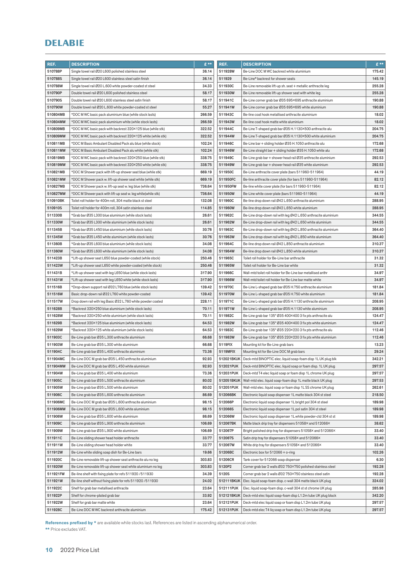| REF.               | <b>DESCRIPTION</b>                                                                                            | $E$ **         | REF.                    | <b>DESCRIPTION</b>                                                                                                        | $E***$           |
|--------------------|---------------------------------------------------------------------------------------------------------------|----------------|-------------------------|---------------------------------------------------------------------------------------------------------------------------|------------------|
| 510788P            | Single towel rail Ø20 L600 polished stainless steel                                                           | 36.14          | 511928W                 | Be-Line DOC M WC backrest white aluminium                                                                                 | 175.42           |
| 510788S            | Single towel rail Ø20 L600 stainless steel satin finish                                                       | 36.14          | 511929                  | Be-Line® backrest for shower seats                                                                                        | 145.19           |
| 510788W            | Single towel rail Ø20 L.600 white powder-coated st steel                                                      | 34.33          | 511930C                 | Be-Line removable lift-up sh. seat + metallic anthracite leg                                                              | 255.28           |
| 510790P            | Double towel rail Ø20 L600 polished stainless steel                                                           | 58.17          | 511930W                 | Be-Line removable lift-up shower seat with white leg                                                                      | 255.28           |
| 510790S            | Double towel rail Ø20 L600 stainless steel satin finish                                                       | 58.17          | 511941C                 | Be-Line corner grab bar Ø35 695×695 anthracite aluminium                                                                  | 190.88           |
| 510790W            | Double towel rail Ø20 L.600 white powder-coated st steel                                                      | 55.27          | 511941W                 | Be-Line corner grab bar Ø35 695×695 white aluminium                                                                       | 190.88           |
| 510804MB           | *DOC M WC basic pack aluminium blue (while stock lasts)                                                       | 266.59         | 511943C                 | Be-line coat hook metallised anthracite aluminium                                                                         | 18.02            |
| 510804MW           | *DOC M WC basic pack aluminium white (while stock lasts)                                                      | 266.59         | 511943W                 | Be-line coat hook matte white aluminium                                                                                   | 18.02            |
| 510809MB           | *DOC M WC basic pack with backrest 320×125 blue (while stk)                                                   | 322.52         | 511944C                 | Be-Line T-shaped grab bar Ø35 H.1130×500 anthracite alu                                                                   | 204.75           |
| 510809MW           | *DOC M WC basic pack with backrest 320×125 white (while stk)                                                  | 322.52         | 511944W                 | Be-Line T-shaped grab bar Ø35 H.1130×500 white aluminium                                                                  | 204.75           |
| 510811MB           | *DOC M Basic Ambulant Disabled Pack alu blue (while stock)                                                    | 102.24         | 511946C                 | Be-Line bar + sliding holder Ø35 H.1050 anthracite alu                                                                    | 172.68           |
| 510811MW           | *DOC M Basic Ambulant Disabled Pack alu white (while stk)                                                     | 102.24         | 511946W                 | Be-Line straight bar + sliding holder Ø35 H.1050 white alu                                                                | 172.68           |
| 510819MB           | *DOC M WC basic pack with backrest 320×250 blue (while stk)                                                   | 338.75         | 511949C                 | Be-Line grab bar + shower head rail Ø35 anthracite aluminium                                                              | 292.53           |
| 510819MW           | *DOC M WC basic pack with backrest 320×250 white (while stk)                                                  | 338.75         | 511949W                 | Be-Line grab bar + shower head rail Ø35 white aluminium                                                                   | 292.53           |
| 510821MB           | *DOC M Shower pack with lift-up shower seat blue (while stk)                                                  | 669.19         | 511950C                 | Be-Line anthracite cover plate (bars 511960-511964)                                                                       | 44.19            |
| 510821MW           | *DOC M Shower pack w. lift-up shower seat white (while stk)                                                   | 669.19         | 511950FC                | Be-line anthracite cover plate (for bars 511960-511964)                                                                   | 82.12            |
| 510827MB           | *DOC M Shower pack w. lift-up seat w. leg blue (while stk)                                                    | 736.64         | 511950FW                | Be-line white cover plate (for bars 511960-511964)                                                                        | 82.12            |
| 510827MW           | *DOC M Shower pack with lift-up seat w. leg white(while stk)                                                  | 736.64         | 511950W                 | Be-Line white cover plate (bars 511960-511964)                                                                            | 44.19            |
| 510910BK           | Toilet roll holder for 400m roll, 304 matte black st steel                                                    | 132.08         | 511960C                 | Be-line drop down rail Ø42 L.650 anthracite aluminium                                                                     | 288.95           |
| 510910S            | Toilet roll holder for 400m roll, 304 satin stainless steel                                                   | 114.85         | 511960W                 | Be-line drop down rail Ø42 L.650 white aluminium                                                                          | 288.95           |
| 511330B            | *Grab bar Ø35 L300 blue aluminium (while stock lasts)                                                         | 26.61          | 511962C                 | Be-Line drop-down rail with leg Ø42 L.650 anthracite aluminium                                                            | 344.55           |
| 511330W            | *Grab bar Ø35 L300 white aluminium (while stock lasts)                                                        | 26.61          | 511962W                 | Be-Line drop-down rail with leg Ø42 L.650 white aluminium                                                                 | 344.55           |
| 511345B            | *Grab bar Ø35 L450 blue aluminium (while stock lasts)                                                         | 30.76          | 511963C                 | Be-Line drop-down rail with leg Ø42 L.850 anthracite aluminium                                                            | 364.40           |
| 511345W            | *Grab bar Ø35 L450 white aluminium (while stock lasts)                                                        | 30.76          | 511963W                 | Be-Line drop-down rail with leg Ø42 L.850 white aluminium                                                                 | 364.40           |
| 511360B            | *Grab bar Ø35 L600 blue aluminium (while stock lasts)                                                         | 34.08          | 511964C                 | Be-line drop down rail Ø42 L.850 anthracite aluminium                                                                     | 310.37           |
| 511360W            | *Grab bar Ø35 L600 white aluminium (while stock lasts)                                                        | 34.08          | 511964W                 | Be-line drop down rail Ø42 L.850 white aluminium                                                                          | 310.37           |
| 511423B            | *Lift-up shower seat L650 blue powder-coated (while stock)                                                    | 250.46         | 511965C                 | Toilet roll holder for Be-Line bar anthracite                                                                             | 31.32            |
| 511423W            | *Lift-up shower seat L650 white powder-coated (while stock)                                                   | 250.46         | 511965W                 | Toilet roll holder for Be-Line bar white                                                                                  | 31.32            |
| 511431B            | *Lift-up shower seat with leg L650 blue (while stock lasts)                                                   | 317.90         | 511966C                 | Wall-mtd toilet roll holder for Be-Line bar metallised anthr                                                              | 34.97            |
| 511431W            | *Lift-up shower seat with leg L650 white (while stock lasts)                                                  | 317.90         | 511966W                 | Wall-mtd toilet roll holder for Be-Line bar matte white                                                                   | 34.97            |
| 511516B            | *Drop-down support rail Ø32 L760 blue (while stock lasts)                                                     | 139.42         | 511970C                 | Be-Line L-shaped grab bar Ø35 H.750 anthracite aluminium                                                                  | 181.84           |
| 511516W            | Basic drop-down rail Ø32 L760 white powder-coated                                                             | 139.42         | 511970W                 |                                                                                                                           | 181.84           |
| 511517W            |                                                                                                               | 228.11         | 511971C                 | Be-Line L-shaped grab bar Ø35 H.750 white aluminium                                                                       | 208.95           |
|                    | Drop down rail with leg Basic Ø32 L.760 white powder coated                                                   | 70.11          |                         | Be-Line L-shaped grab bar Ø35 H.1130 anthracite aluminium                                                                 |                  |
| 511628B<br>511628W | *Backrest 320×250 blue aluminium (while stock lasts)                                                          | 70.11          | 511971W<br>511982C      | Be-Line L-shaped grab bar Ø35 H.1130 white aluminium                                                                      | 208.95<br>124.47 |
| 511629B            | *Backrest 320×250 white aluminium (while stock lasts)                                                         | 64.53          | 511982W                 | Be-Line grab bar 135° Ø35 400×400 3 fix pts anthracite alu<br>Be-Line grab bar 135° Ø35 400×400 3 fix pts white aluminium | 124.47           |
| 511629W            | *Backrest 320×125 blue aluminium (while stock lasts)<br>*Backrest 320×125 white aluminium (while stock lasts) | 64.53          | 511983C                 |                                                                                                                           | 112.46           |
| 511903C            |                                                                                                               | 66.68          | 511983W                 | Be-Line grab bar 135° Ø35 220×220 3 fix pts anthracite alu                                                                | 112.46           |
| 511903W            | Be-Line grab bar Ø35 L.300 anthracite aluminium                                                               |                | 5119FIX                 | Be-Line grab bar 135° Ø35 220×220 3 fix pts white aluminium                                                               | 13.23            |
| 511904C            | Be-Line grab bar Ø35 L.300 white aluminium                                                                    | 66.68<br>73.36 | 5119MFIX                | Mounting kit for Be-Line grab bars                                                                                        | 29.24            |
| 511904MC           | Be-Line grab bar Ø35 L.400 anthracite aluminium                                                               | 92.93          | 512021BKUK              | Mounting kit for Be-Line DOC M grab bars<br>Deck-mtd BINOPTIC elec. liquid soap-foam disp 1L UK plug blk                  | 342.21           |
|                    | Be-Line DOC M grab bar Ø35 L.450 anthracite aluminium                                                         |                |                         |                                                                                                                           |                  |
| 511904MW           | Be-Line DOC M grab bar Ø35 L.450 white aluminium                                                              | 92.93          | 512021PUK               | Deck-mtd BINOPTIC elec. liquid soap or foam disp. 1L UK plug                                                              | 297.57           |
| 511904W            | Be-Line grab bar Ø35 L.400 white aluminium                                                                    | 73.36          | 512031PUK               | Deck-mtd T4 elec liquid soap or foam disp 1L chrome UK plug                                                               | 297.57           |
| 511905C<br>511905W | Be-Line grab bar Ø35 L.500 anthracite aluminium                                                               | 80.02<br>80.02 | 512051BKUK<br>512051PUK | Wall-mtd elec. liquid soap-foam disp 1L matte black UK plug                                                               | 297.53<br>262.61 |
|                    | Be-Line grab bar Ø35 L.500 white aluminium                                                                    |                |                         | Wall-mtd elec. liquid soap or foam disp 1L SS chrome UK plug                                                              |                  |
| 511906C            | Be-Line grab bar Ø35 L.600 anthracite aluminium                                                               | 86.69          | 512066BK                | Electronic liquid soap dispenser 1L matte black 304 st steel                                                              | 218.50           |
| 511906MC           | Be-Line DOC M grab bar Ø35 L.600 anthracite aluminium                                                         | 98.15          | 512066P                 | Electronic liquid soap dispenser 1L bright pol 304 st steel                                                               | 189.98           |
| 511906MW           | Be-Line DOC M grab bar Ø35 L.600 white aluminium                                                              | 98.15          | 512066S                 | Electronic liquid soap dispenser 1L pol satin 304 st steel                                                                | 189.98           |
| 511906W            | Be-Line grab bar Ø35 L.600 white aluminium                                                                    | 86.69          | 512066W                 | Electronic liquid soap dispenser 1L white powder-ctd 304 st st                                                            | 189.98           |
| 511909C            | Be-Line grab bar Ø35 L.900 anthracite aluminium                                                               | 106.69         | 512067BK                | Matte black drip tray for dispensers 51058× and 512066×                                                                   | 38.62            |
| 511909W            | Be-Line grab bar Ø35 L.900 white aluminium                                                                    | 106.69         | 512067P                 | Bright polished drip tray for dispensers 51058× and 512066×                                                               | 33.40            |
| 511911C            | Be-Line sliding shower head holder anthracite                                                                 | 33.77          | 512067S                 | Satin drip tray for dispensers 51058X and 512066X                                                                         | 33.40            |
| 511911W            | Be-Line sliding shower head holder white                                                                      | 33.77          | 512067W                 | White drip tray for dispensers 51058× and 512066×                                                                         | 33.40            |
| 511912W            | Be-Line white sliding soap dish for Be-Line bars                                                              | 19.66          | 51206BC                 | Electronic box for $512066 + o$ -ring                                                                                     | 102.26           |
| 511920C            | Be-Line removable lift-up shower seat anthracite alu no leg                                                   | 303.83         | 51206CR                 | Tank cover for 512066 soap dispenser                                                                                      | 6.30             |
| 511920W            | Be-Line removable lift-up shower seat white aluminium no leg                                                  | 303.83         | 5120P2                  | Corner grab bar 2 walls Ø32 750×750 polished stainless steel                                                              | 192.28           |
| 511921FW           | Be-line shelf with fixing plate for refs 511920 / 511930                                                      | 34.39          | 5120S                   | Corner grab bar 2 walls Ø32 750×750 stainless steel satin                                                                 | 192.28           |
| 511921W            | Be-line shelf without fixing plate for refs 511920 / 511930                                                   | 24.02          | 512111BKUK              | Elec. liquid soap-foam disp. c-wall 304 matte black UK plug                                                               | 324.02           |
| 511922C            | Shelf for grab bar metallised anthracite                                                                      | 23.64          | 512111PUK               | Elec. liquid soap-foam disp. c-wall 304 st st chrome UK plug                                                              | 285.98           |
| 511922P            | Shelf for chrome-plated grab bar                                                                              | 33.92          | 512121BKUK              | Deck-mtd elec liquid soap-foam disp L1.2m tube UK plug black                                                              | 342.20           |
| 511922W            | Shelf for grab bar matte white                                                                                | 23.64          | 512121PUK               | Deck-mtd elec liquid soap or foam disp L1.2m tube UK plug                                                                 | 297.57           |
| 511928C            | Be-Line DOC M WC backrest anthracite aluminium                                                                | 175.42         | 512131PUK               | Deck-mtd elec T4 liq soap or foam disp L1.2m tube UK plug                                                                 | 297.57           |

References prefixed by \* are available while stocks last. References are listed in ascending alphanumerical order.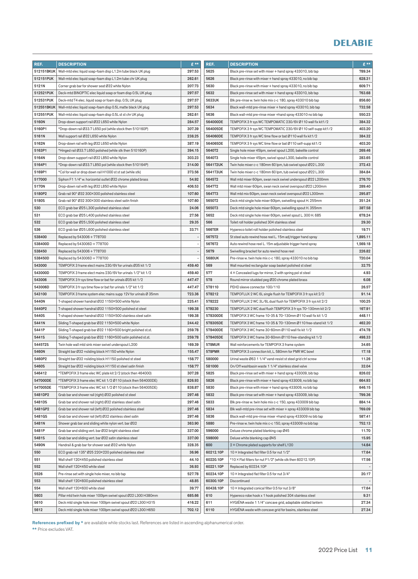| 512151BKUK<br>297.53<br>5625<br>Wall-mtd elec liquid soap-foam disp L1.2m tube black UK plug<br>Black pre-rinse set with mixer + hand spray 433010, bib tap<br>789.34<br>262.61<br>5626<br>628.31<br>512151PUK<br>Wall-mtd elec liquid soap-foam disp L1.2m tube chr UK plug<br>Black pre-rinse with mixer + hand spray 433010, no bib tap<br>207.73<br>5630<br>609.71<br>5121N<br>Corner grab bar for shower seat Ø32 white Nylon<br>Black pre-rinse with mixer + hand spray 433010, no bib tap<br>512521PUK<br>297.57<br>5632<br>763.68<br>Deck-mtd BINOPTIC elec liquid soap or foam disp 0.5L UK plug<br>Black pre-rinse set with mixer + hand spray 433010, bib tap<br>512531PUK<br>297.57<br>5633UK<br>856.60<br>Deck-mtd T4 elec. liquid soap or foam disp. 0.5L UK plug<br>Blk pre-rinse w. twin hole mix c-c 180, spray 433010 bib tap<br>297.53<br>5634<br>732.58<br>512551BKUK<br>Wall-mtd elec liquid soap-foam disp 0.5L matte black UK plug<br>Black wall-mtd pre-rinse mixer + hand spray 433010, bib tap<br>512551PUK<br>262.61<br>5636<br>550.23<br>Wall-mtd elec liquid soap-foam disp 0.5L st st chr UK plug<br>Black wall-mtd pre-rinse mixer +hand spray 433010 no bib tap<br>5160N<br>284.57<br>564000DE<br>384.32<br>Drop-down support rail Ø32 L650 white Nylon<br>TEMPOFIX 3 fr sys WC TEMPOMATIC 230/6V Ø110 wall fix kit 1/2<br>5160P1<br>307.39<br>564005DE<br>403.20<br>*Drop-down rail Ø33.7 L650 pol (while stock then 510160P)<br>TEMPOFIX 3 fr sys WC TEMPOMATIC 230/6V Ø110 self-supp kit1/2<br>238.25<br>5161N<br>Wall support rail Ø32 L650 white Nylon<br>564060DE<br>TEMPOFIX 3 fr sys WC time flow or bat Ø110 wall fix kit 1/2<br>384.32<br>5162N<br>387.19<br>564065DE<br>403.20<br>Drop-down rail with leg Ø32 L650 white Nylon<br>TEMPOFIX 3 fr sys WC time flow or bat Ø110 self-supp kit1/2<br>5163P1<br>394.15<br>5640T2<br>269.46<br>*Hinged rail Ø33.7 L650 polished (while stk then 510160P)<br>Single hole mixer 45lpm, swivel spout L200, bakelite control<br>283.65<br>5164N<br>Drop-down support rail Ø32 L850 white Nylon<br>303.23<br>5640T3<br>Single hole mixer 45lpm, swivel spout L300, bakelite control<br>5164P1<br>314.00<br>5641T2UK<br>372.43<br>*Drop-down rail Ø33.7 L850 pol (while stock then 510164P)<br>Twin hole mixer c-c 180mm 60 lpm, tub swivel spout Ø22 L.200<br>373.56<br>384.84<br>5169P1<br>*Col for wall or drop down rail H1000 st st sat (while stk)<br>5641T3UK<br>Twin hole mixer c-c 180mm 60 lpm, tub swivel spout Ø22 L.300<br>517000<br>Siphon F1 1/4" w. horizontal outlet Ø32 chrome plated brass<br>54.92<br>5645T2<br>Wall mtd mixer 60lpm, swan neck swivel underspout Ø22 L200mm<br>276.70<br>5170N<br>406.53<br>5647T2<br>289.40<br>Drop-down rail with leg Ø32 L850 white Nylon<br>Wall mtd mixer 60lpm, swan neck swivel overspout Ø22 L200mm<br>5180P2<br>107.60<br>5647T3<br>295.87<br>Grab rail 90° Ø32 300×300 polished stainless steel<br>Wall mtd mix 60lpm, swan neck swivel overspout Ø22 L300mm<br>5180S<br>Grab rail 90° Ø32 300×300 stainless steel satin finish<br>107.60<br>5650T2<br>Deck mtd single hole mixer 60lpm, swivelling spout H. 255mm<br>351.24<br>24.06<br>5650T3<br>387.58<br>530<br>ECO grab bar Ø25 L300 polished stainless steel<br>Deck mtd single hole mixer 60lpm, swivelling spout H. 355mm<br>531<br>27.56<br>5652<br>678.24<br>ECO grab bar Ø25 L400 polished stainless steel<br>Deck mtd single hole mixer 60lpm, swivel spout L. 300 H. 685<br>29.35<br>29.30<br>532<br>566<br>Toilet roll holder polished 304 stainless steel<br>ECO grab bar Ø25 L500 polished stainless steel<br>536<br>33.71<br>566TER<br>19.71<br>ECO grab bar Ø25 L600 polished stainless steel<br>Hypereco toilet roll holder polished stainless steel<br>538400<br>5675T2<br>1,895.11<br>Replaced by 543006 + 778700<br>St steel auto rewind hose reel L. 15m adj trigger hand spray<br>$\overline{a}$<br>5676T2<br>538400D<br>Replaced by 543006D + 778700<br>1,569.18<br>÷<br>Auto rewind hose reel L. 15m adjustable trigger hand spray<br>538450<br>5679<br>226.82<br>Replaced by 543006 + 778700<br>Swivelling bracket for auto rewind hose reel<br>538450D<br>5680UK<br>720.04<br>Replaced by 543006D + 778700<br>÷,<br>Pre-rinse w. twin hole mix c-c 180, spray 433010 no bib tap<br>543000<br>459.40<br>569<br>32.75<br>TEMPOFIX 3 frame elect mains 230/6V for urinals Ø35 kit 1/2<br>Wall mounted rectangular soap basket polished st steel<br>577<br>4.93<br>543000D<br>TEMPOFIX 3 frame elect mains 230/6V for urinals 1/2" kit 1/2<br>459.40<br>4 × Concealed lugs for mirror, 2 with spring pol st steel<br>543006<br>447.47<br>578<br>6.08<br>TEMPOFIX 3 fr sys time flow or bat for urinals Ø35 kit 1/2<br>Round mirror studded peg Ø20 chrome plated brass<br>26.57<br>543006D<br>447.47<br>578110<br>TEMPOFIX 3 fr sys time flow or bat for urinals 1/2" kit 1/2<br>PEHD sleeve connector 100/110<br>723.36<br>91.14<br>543100<br>TEMPOFIX 3 frame system elec mains supp 12V for urinals Ø 35mm<br>578212<br>TEMPOFLUX 2 WC 6L single flush for TEMPOFIX 3 fr sys kit 2/2<br>5440N<br>225.41<br>578222<br>100.25<br>T-shaped shower handrail Ø32 1150×500 white Nylon<br>TEMPOFLUX 2 WC 3L/6L dual flush for TEMPOFIX 3 fr sys kit 2/2<br>5440P2<br>199.38<br>578230<br>167.91<br>T-shaped shower handrail Ø32 1150×500 polished st steel<br>TEMPOFLUX 2 WC dual flush TEMPOFIX 3 fr sys 70-130mm kit 2/2<br>5440S<br>T-shaped shower handrail Ø32 1150×500 stainless steel satin<br>199.38<br>578300DE<br>TEMPOFIX 3 WC frame 10-35 & 70-130mm Ø110 wall fix kit 1/2<br>448.11<br>244.42<br>578305DE<br>462.20<br>5441N<br>Sliding T-shaped grab bar Ø32 1150×500 white Nylon<br>TEMPOFIX 3 WC frame 10-35 & 70-130mm Ø110 free-stand kit 1/2<br>5441P<br>259.78<br>578400DE<br>TEMPOFIX 3 WC frame 30-60mm Ø110 wall fix kit 1/2<br>474.78<br>Sliding T-shaped grab bar Ø32 1160×500 bright polished st.st.<br>259.78<br>5441S<br>Sliding T-shaped grab bar Ø32 1160×500 satin polished st.st.<br>578405DE<br>TEMPOFIX 3 WC frame 30-60mm Ø110 free-standing kit 1/2<br>498.33<br>5445T2S<br>Twin hole wall mtd sink mixer swivel underspout L200<br>169.39<br>578MUR<br>Wall reinforcements for TEMPOFIX 3 frame system<br>34.65<br>155.47<br>17.18<br>5460N<br><b>578PMR</b><br>Straight bar Ø32 + sliding block H1150 white Nylon<br>TEMPOFIX 3 connection kit, L. 580mm for PMR WC bowl<br>5460P2<br>158.77<br>580000<br>11.26<br>Straight bar Ø32 + sliding block H1150 polished st steel<br>Urinal waste Ø63 1 1/4" vand-resist st steel grid ctrl screw<br>5460S<br>158.77<br>581000<br>32.04<br>Straight bar Ø32 + sliding block H1150 st steel satin finish<br>On/Off washbasin waste 1 1/4" stainless steel valve<br>546412<br>307.28<br>5825<br>826.02<br>*TEMPOFIX 3 frame elec WC plate kit 2/2 (stock then 464000)<br>Black pre-rinse set with mixer + hand spray 433009, bib tap<br>826.93<br>5826<br>664.93<br>547000DE<br>*TEMPOFIX 3 frame elec WC kit 1/2 Ø110 (stock then 564000DE)<br>Black pre-rinse with mixer + hand spray 433009, no bib tap<br>547005DE<br>5830<br>646.15<br>*TEMPOFIX 3 frame elec WC kit 1/2 Ø110 (stock then 564005DE)<br>838.87<br>Black pre-rinse with mixer + hand spray 433009, no bib tap<br>5481DP2<br>297.46<br>5832<br>799.36<br>Grab bar and shower rail (right) Ø32 polished st steel<br>Black pre-rinse set with mixer + hand spray 433009, bib tap<br>5481DS<br>297.46<br>5833<br>884.14<br>Grab bar and shower rail (right) Ø32 stainless steel satin<br>Blk pre-rinse w. twin hole mix c-c 150, spray 433009 bib tap<br>297.46<br>5481GP2<br>Grab bar and shower rail (left) Ø32 polished stainless steel<br>5834<br>Blk wall-mtd pre-rinse set with mixer + spray 433009 bib tap<br>769.09<br>5481GS<br>297.46<br>5836<br>587.41<br>Grab bar and shower rail (left) Ø32 stainless steel satin<br>Black wall-mtd pre-rinse mixer +hand spray 433009 no bib tap<br>363.90<br>5880<br>752.13<br>5481N<br>Shower grab bar and sliding white nylon vert. bar Ø32<br>Pre-rinse w. twin hole mix c-c 150, spray 433009 no bib tap<br>596000<br>5481P<br>Grab bar and sliding vert. bar Ø32 bright stainless steel<br>337.00<br>Deluxe chrome plated blanking cap Ø45<br>11.70<br>5481S<br>337.00<br>598000<br>15.95<br>Grab bar and sliding vert. bar Ø32 satin stainless steel<br>Deluxe white blanking cap Ø45<br>5490N<br>328.35<br>600<br>14.64<br>2 × Chrome plated supports for shelf L120<br>Handrail & grab bar for shower seat Ø32 white Nylon<br>17.64<br>550<br>ECO grab rail 135° Ø25 220×220 polished stainless steel<br>36.96<br>60212.10P<br>10 × Integrated flat filter 0.5 for nut 1/2"<br>44.10<br>60220.10P<br>17.56<br>551<br>Wall shelf 120×450 polished stainless steel<br>*10 × Flat filters for nut F1/2" (while stk then 60212.10P)<br>36.93<br>60221.10P<br>552<br>Wall shelf 120×450 white steel<br>Replaced by 60234.10P<br>527.78<br>60234.10P<br>20.17<br>5526<br>10 × Integrated flat filter 0.5 for nut 3/4"<br>Pre-rinse set with single hole mixer, no bib tap<br>48.85<br>60300.10P<br>Discontinued<br>553<br>Wall shelf 120×600 polished stainless steel<br>39.77<br>60438.10P<br>17.64<br>554<br>Wall shelf 120×600 white steel<br>10 × Integrated conical filter 0.5 for nut 3/8" | REF. | <b>DESCRIPTION</b> | £** | REF. | <b>DESCRIPTION</b> | $E^{**}$ |
|--------------------------------------------------------------------------------------------------------------------------------------------------------------------------------------------------------------------------------------------------------------------------------------------------------------------------------------------------------------------------------------------------------------------------------------------------------------------------------------------------------------------------------------------------------------------------------------------------------------------------------------------------------------------------------------------------------------------------------------------------------------------------------------------------------------------------------------------------------------------------------------------------------------------------------------------------------------------------------------------------------------------------------------------------------------------------------------------------------------------------------------------------------------------------------------------------------------------------------------------------------------------------------------------------------------------------------------------------------------------------------------------------------------------------------------------------------------------------------------------------------------------------------------------------------------------------------------------------------------------------------------------------------------------------------------------------------------------------------------------------------------------------------------------------------------------------------------------------------------------------------------------------------------------------------------------------------------------------------------------------------------------------------------------------------------------------------------------------------------------------------------------------------------------------------------------------------------------------------------------------------------------------------------------------------------------------------------------------------------------------------------------------------------------------------------------------------------------------------------------------------------------------------------------------------------------------------------------------------------------------------------------------------------------------------------------------------------------------------------------------------------------------------------------------------------------------------------------------------------------------------------------------------------------------------------------------------------------------------------------------------------------------------------------------------------------------------------------------------------------------------------------------------------------------------------------------------------------------------------------------------------------------------------------------------------------------------------------------------------------------------------------------------------------------------------------------------------------------------------------------------------------------------------------------------------------------------------------------------------------------------------------------------------------------------------------------------------------------------------------------------------------------------------------------------------------------------------------------------------------------------------------------------------------------------------------------------------------------------------------------------------------------------------------------------------------------------------------------------------------------------------------------------------------------------------------------------------------------------------------------------------------------------------------------------------------------------------------------------------------------------------------------------------------------------------------------------------------------------------------------------------------------------------------------------------------------------------------------------------------------------------------------------------------------------------------------------------------------------------------------------------------------------------------------------------------------------------------------------------------------------------------------------------------------------------------------------------------------------------------------------------------------------------------------------------------------------------------------------------------------------------------------------------------------------------------------------------------------------------------------------------------------------------------------------------------------------------------------------------------------------------------------------------------------------------------------------------------------------------------------------------------------------------------------------------------------------------------------------------------------------------------------------------------------------------------------------------------------------------------------------------------------------------------------------------------------------------------------------------------------------------------------------------------------------------------------------------------------------------------------------------------------------------------------------------------------------------------------------------------------------------------------------------------------------------------------------------------------------------------------------------------------------------------------------------------------------------------------------------------------------------------------------------------------------------------------------------------------------------------------------------------------------------------------------------------------------------------------------------------------------------------------------------------------------------------------------------------------------------------------------------------------------------------------------------------------------------------------------------------------------------------------------------------------------------------------------------------------------------------------------------------------------------------------------------------------------------------------------------------------------------------------------------------------------------------------------------------------------------------------------------------------------------------------------------------------------------------------------------------------------------------------------------------------------------------------------------------------------------------------------------------------------------------------------------------------------------------------------------------------------------------------------------------------------------------------------------------------------------------------------------------------------------------------------------------------------------------------------------------------------------------------------------------------------------------------------------------------------------------------------------------------------------------------------------------------------------------------------------------------------------------------------------------------------------------------------------------------------------------------------------------------------------------------------------------------------------------------------------------------------------------------------------------------------------------------------------------------------------------------------------------------------------------------------------------------------------------------------------------------------------------------------------------------------------------------------------------------------------------------------------------------------------------------------------------------------------------------------------------------------------------------------------------------------------------------------------------------------------------------------------------------------------------------------------------------------------------------------------------------------------------------------------------------------------------------------------------------------------------------------------------------------------------------------------------|------|--------------------|-----|------|--------------------|----------|
|                                                                                                                                                                                                                                                                                                                                                                                                                                                                                                                                                                                                                                                                                                                                                                                                                                                                                                                                                                                                                                                                                                                                                                                                                                                                                                                                                                                                                                                                                                                                                                                                                                                                                                                                                                                                                                                                                                                                                                                                                                                                                                                                                                                                                                                                                                                                                                                                                                                                                                                                                                                                                                                                                                                                                                                                                                                                                                                                                                                                                                                                                                                                                                                                                                                                                                                                                                                                                                                                                                                                                                                                                                                                                                                                                                                                                                                                                                                                                                                                                                                                                                                                                                                                                                                                                                                                                                                                                                                                                                                                                                                                                                                                                                                                                                                                                                                                                                                                                                                                                                                                                                                                                                                                                                                                                                                                                                                                                                                                                                                                                                                                                                                                                                                                                                                                                                                                                                                                                                                                                                                                                                                                                                                                                                                                                                                                                                                                                                                                                                                                                                                                                                                                                                                                                                                                                                                                                                                                                                                                                                                                                                                                                                                                                                                                                                                                                                                                                                                                                                                                                                                                                                                                                                                                                                                                                                                                                                                                                                                                                                                                                                                                                                                                                                                                                                                                                                                                                                                                                                                                                                                                                                                                                                                                                                                                                                                                                                                                                                                                                                                                                                                                                                                                                                                                                                                    |      |                    |     |      |                    |          |
|                                                                                                                                                                                                                                                                                                                                                                                                                                                                                                                                                                                                                                                                                                                                                                                                                                                                                                                                                                                                                                                                                                                                                                                                                                                                                                                                                                                                                                                                                                                                                                                                                                                                                                                                                                                                                                                                                                                                                                                                                                                                                                                                                                                                                                                                                                                                                                                                                                                                                                                                                                                                                                                                                                                                                                                                                                                                                                                                                                                                                                                                                                                                                                                                                                                                                                                                                                                                                                                                                                                                                                                                                                                                                                                                                                                                                                                                                                                                                                                                                                                                                                                                                                                                                                                                                                                                                                                                                                                                                                                                                                                                                                                                                                                                                                                                                                                                                                                                                                                                                                                                                                                                                                                                                                                                                                                                                                                                                                                                                                                                                                                                                                                                                                                                                                                                                                                                                                                                                                                                                                                                                                                                                                                                                                                                                                                                                                                                                                                                                                                                                                                                                                                                                                                                                                                                                                                                                                                                                                                                                                                                                                                                                                                                                                                                                                                                                                                                                                                                                                                                                                                                                                                                                                                                                                                                                                                                                                                                                                                                                                                                                                                                                                                                                                                                                                                                                                                                                                                                                                                                                                                                                                                                                                                                                                                                                                                                                                                                                                                                                                                                                                                                                                                                                                                                                                                    |      |                    |     |      |                    |          |
|                                                                                                                                                                                                                                                                                                                                                                                                                                                                                                                                                                                                                                                                                                                                                                                                                                                                                                                                                                                                                                                                                                                                                                                                                                                                                                                                                                                                                                                                                                                                                                                                                                                                                                                                                                                                                                                                                                                                                                                                                                                                                                                                                                                                                                                                                                                                                                                                                                                                                                                                                                                                                                                                                                                                                                                                                                                                                                                                                                                                                                                                                                                                                                                                                                                                                                                                                                                                                                                                                                                                                                                                                                                                                                                                                                                                                                                                                                                                                                                                                                                                                                                                                                                                                                                                                                                                                                                                                                                                                                                                                                                                                                                                                                                                                                                                                                                                                                                                                                                                                                                                                                                                                                                                                                                                                                                                                                                                                                                                                                                                                                                                                                                                                                                                                                                                                                                                                                                                                                                                                                                                                                                                                                                                                                                                                                                                                                                                                                                                                                                                                                                                                                                                                                                                                                                                                                                                                                                                                                                                                                                                                                                                                                                                                                                                                                                                                                                                                                                                                                                                                                                                                                                                                                                                                                                                                                                                                                                                                                                                                                                                                                                                                                                                                                                                                                                                                                                                                                                                                                                                                                                                                                                                                                                                                                                                                                                                                                                                                                                                                                                                                                                                                                                                                                                                                                                    |      |                    |     |      |                    |          |
|                                                                                                                                                                                                                                                                                                                                                                                                                                                                                                                                                                                                                                                                                                                                                                                                                                                                                                                                                                                                                                                                                                                                                                                                                                                                                                                                                                                                                                                                                                                                                                                                                                                                                                                                                                                                                                                                                                                                                                                                                                                                                                                                                                                                                                                                                                                                                                                                                                                                                                                                                                                                                                                                                                                                                                                                                                                                                                                                                                                                                                                                                                                                                                                                                                                                                                                                                                                                                                                                                                                                                                                                                                                                                                                                                                                                                                                                                                                                                                                                                                                                                                                                                                                                                                                                                                                                                                                                                                                                                                                                                                                                                                                                                                                                                                                                                                                                                                                                                                                                                                                                                                                                                                                                                                                                                                                                                                                                                                                                                                                                                                                                                                                                                                                                                                                                                                                                                                                                                                                                                                                                                                                                                                                                                                                                                                                                                                                                                                                                                                                                                                                                                                                                                                                                                                                                                                                                                                                                                                                                                                                                                                                                                                                                                                                                                                                                                                                                                                                                                                                                                                                                                                                                                                                                                                                                                                                                                                                                                                                                                                                                                                                                                                                                                                                                                                                                                                                                                                                                                                                                                                                                                                                                                                                                                                                                                                                                                                                                                                                                                                                                                                                                                                                                                                                                                                                    |      |                    |     |      |                    |          |
|                                                                                                                                                                                                                                                                                                                                                                                                                                                                                                                                                                                                                                                                                                                                                                                                                                                                                                                                                                                                                                                                                                                                                                                                                                                                                                                                                                                                                                                                                                                                                                                                                                                                                                                                                                                                                                                                                                                                                                                                                                                                                                                                                                                                                                                                                                                                                                                                                                                                                                                                                                                                                                                                                                                                                                                                                                                                                                                                                                                                                                                                                                                                                                                                                                                                                                                                                                                                                                                                                                                                                                                                                                                                                                                                                                                                                                                                                                                                                                                                                                                                                                                                                                                                                                                                                                                                                                                                                                                                                                                                                                                                                                                                                                                                                                                                                                                                                                                                                                                                                                                                                                                                                                                                                                                                                                                                                                                                                                                                                                                                                                                                                                                                                                                                                                                                                                                                                                                                                                                                                                                                                                                                                                                                                                                                                                                                                                                                                                                                                                                                                                                                                                                                                                                                                                                                                                                                                                                                                                                                                                                                                                                                                                                                                                                                                                                                                                                                                                                                                                                                                                                                                                                                                                                                                                                                                                                                                                                                                                                                                                                                                                                                                                                                                                                                                                                                                                                                                                                                                                                                                                                                                                                                                                                                                                                                                                                                                                                                                                                                                                                                                                                                                                                                                                                                                                                    |      |                    |     |      |                    |          |
|                                                                                                                                                                                                                                                                                                                                                                                                                                                                                                                                                                                                                                                                                                                                                                                                                                                                                                                                                                                                                                                                                                                                                                                                                                                                                                                                                                                                                                                                                                                                                                                                                                                                                                                                                                                                                                                                                                                                                                                                                                                                                                                                                                                                                                                                                                                                                                                                                                                                                                                                                                                                                                                                                                                                                                                                                                                                                                                                                                                                                                                                                                                                                                                                                                                                                                                                                                                                                                                                                                                                                                                                                                                                                                                                                                                                                                                                                                                                                                                                                                                                                                                                                                                                                                                                                                                                                                                                                                                                                                                                                                                                                                                                                                                                                                                                                                                                                                                                                                                                                                                                                                                                                                                                                                                                                                                                                                                                                                                                                                                                                                                                                                                                                                                                                                                                                                                                                                                                                                                                                                                                                                                                                                                                                                                                                                                                                                                                                                                                                                                                                                                                                                                                                                                                                                                                                                                                                                                                                                                                                                                                                                                                                                                                                                                                                                                                                                                                                                                                                                                                                                                                                                                                                                                                                                                                                                                                                                                                                                                                                                                                                                                                                                                                                                                                                                                                                                                                                                                                                                                                                                                                                                                                                                                                                                                                                                                                                                                                                                                                                                                                                                                                                                                                                                                                                                                    |      |                    |     |      |                    |          |
|                                                                                                                                                                                                                                                                                                                                                                                                                                                                                                                                                                                                                                                                                                                                                                                                                                                                                                                                                                                                                                                                                                                                                                                                                                                                                                                                                                                                                                                                                                                                                                                                                                                                                                                                                                                                                                                                                                                                                                                                                                                                                                                                                                                                                                                                                                                                                                                                                                                                                                                                                                                                                                                                                                                                                                                                                                                                                                                                                                                                                                                                                                                                                                                                                                                                                                                                                                                                                                                                                                                                                                                                                                                                                                                                                                                                                                                                                                                                                                                                                                                                                                                                                                                                                                                                                                                                                                                                                                                                                                                                                                                                                                                                                                                                                                                                                                                                                                                                                                                                                                                                                                                                                                                                                                                                                                                                                                                                                                                                                                                                                                                                                                                                                                                                                                                                                                                                                                                                                                                                                                                                                                                                                                                                                                                                                                                                                                                                                                                                                                                                                                                                                                                                                                                                                                                                                                                                                                                                                                                                                                                                                                                                                                                                                                                                                                                                                                                                                                                                                                                                                                                                                                                                                                                                                                                                                                                                                                                                                                                                                                                                                                                                                                                                                                                                                                                                                                                                                                                                                                                                                                                                                                                                                                                                                                                                                                                                                                                                                                                                                                                                                                                                                                                                                                                                                                                    |      |                    |     |      |                    |          |
|                                                                                                                                                                                                                                                                                                                                                                                                                                                                                                                                                                                                                                                                                                                                                                                                                                                                                                                                                                                                                                                                                                                                                                                                                                                                                                                                                                                                                                                                                                                                                                                                                                                                                                                                                                                                                                                                                                                                                                                                                                                                                                                                                                                                                                                                                                                                                                                                                                                                                                                                                                                                                                                                                                                                                                                                                                                                                                                                                                                                                                                                                                                                                                                                                                                                                                                                                                                                                                                                                                                                                                                                                                                                                                                                                                                                                                                                                                                                                                                                                                                                                                                                                                                                                                                                                                                                                                                                                                                                                                                                                                                                                                                                                                                                                                                                                                                                                                                                                                                                                                                                                                                                                                                                                                                                                                                                                                                                                                                                                                                                                                                                                                                                                                                                                                                                                                                                                                                                                                                                                                                                                                                                                                                                                                                                                                                                                                                                                                                                                                                                                                                                                                                                                                                                                                                                                                                                                                                                                                                                                                                                                                                                                                                                                                                                                                                                                                                                                                                                                                                                                                                                                                                                                                                                                                                                                                                                                                                                                                                                                                                                                                                                                                                                                                                                                                                                                                                                                                                                                                                                                                                                                                                                                                                                                                                                                                                                                                                                                                                                                                                                                                                                                                                                                                                                                                                    |      |                    |     |      |                    |          |
|                                                                                                                                                                                                                                                                                                                                                                                                                                                                                                                                                                                                                                                                                                                                                                                                                                                                                                                                                                                                                                                                                                                                                                                                                                                                                                                                                                                                                                                                                                                                                                                                                                                                                                                                                                                                                                                                                                                                                                                                                                                                                                                                                                                                                                                                                                                                                                                                                                                                                                                                                                                                                                                                                                                                                                                                                                                                                                                                                                                                                                                                                                                                                                                                                                                                                                                                                                                                                                                                                                                                                                                                                                                                                                                                                                                                                                                                                                                                                                                                                                                                                                                                                                                                                                                                                                                                                                                                                                                                                                                                                                                                                                                                                                                                                                                                                                                                                                                                                                                                                                                                                                                                                                                                                                                                                                                                                                                                                                                                                                                                                                                                                                                                                                                                                                                                                                                                                                                                                                                                                                                                                                                                                                                                                                                                                                                                                                                                                                                                                                                                                                                                                                                                                                                                                                                                                                                                                                                                                                                                                                                                                                                                                                                                                                                                                                                                                                                                                                                                                                                                                                                                                                                                                                                                                                                                                                                                                                                                                                                                                                                                                                                                                                                                                                                                                                                                                                                                                                                                                                                                                                                                                                                                                                                                                                                                                                                                                                                                                                                                                                                                                                                                                                                                                                                                                                                    |      |                    |     |      |                    |          |
|                                                                                                                                                                                                                                                                                                                                                                                                                                                                                                                                                                                                                                                                                                                                                                                                                                                                                                                                                                                                                                                                                                                                                                                                                                                                                                                                                                                                                                                                                                                                                                                                                                                                                                                                                                                                                                                                                                                                                                                                                                                                                                                                                                                                                                                                                                                                                                                                                                                                                                                                                                                                                                                                                                                                                                                                                                                                                                                                                                                                                                                                                                                                                                                                                                                                                                                                                                                                                                                                                                                                                                                                                                                                                                                                                                                                                                                                                                                                                                                                                                                                                                                                                                                                                                                                                                                                                                                                                                                                                                                                                                                                                                                                                                                                                                                                                                                                                                                                                                                                                                                                                                                                                                                                                                                                                                                                                                                                                                                                                                                                                                                                                                                                                                                                                                                                                                                                                                                                                                                                                                                                                                                                                                                                                                                                                                                                                                                                                                                                                                                                                                                                                                                                                                                                                                                                                                                                                                                                                                                                                                                                                                                                                                                                                                                                                                                                                                                                                                                                                                                                                                                                                                                                                                                                                                                                                                                                                                                                                                                                                                                                                                                                                                                                                                                                                                                                                                                                                                                                                                                                                                                                                                                                                                                                                                                                                                                                                                                                                                                                                                                                                                                                                                                                                                                                                                                    |      |                    |     |      |                    |          |
|                                                                                                                                                                                                                                                                                                                                                                                                                                                                                                                                                                                                                                                                                                                                                                                                                                                                                                                                                                                                                                                                                                                                                                                                                                                                                                                                                                                                                                                                                                                                                                                                                                                                                                                                                                                                                                                                                                                                                                                                                                                                                                                                                                                                                                                                                                                                                                                                                                                                                                                                                                                                                                                                                                                                                                                                                                                                                                                                                                                                                                                                                                                                                                                                                                                                                                                                                                                                                                                                                                                                                                                                                                                                                                                                                                                                                                                                                                                                                                                                                                                                                                                                                                                                                                                                                                                                                                                                                                                                                                                                                                                                                                                                                                                                                                                                                                                                                                                                                                                                                                                                                                                                                                                                                                                                                                                                                                                                                                                                                                                                                                                                                                                                                                                                                                                                                                                                                                                                                                                                                                                                                                                                                                                                                                                                                                                                                                                                                                                                                                                                                                                                                                                                                                                                                                                                                                                                                                                                                                                                                                                                                                                                                                                                                                                                                                                                                                                                                                                                                                                                                                                                                                                                                                                                                                                                                                                                                                                                                                                                                                                                                                                                                                                                                                                                                                                                                                                                                                                                                                                                                                                                                                                                                                                                                                                                                                                                                                                                                                                                                                                                                                                                                                                                                                                                                                                    |      |                    |     |      |                    |          |
|                                                                                                                                                                                                                                                                                                                                                                                                                                                                                                                                                                                                                                                                                                                                                                                                                                                                                                                                                                                                                                                                                                                                                                                                                                                                                                                                                                                                                                                                                                                                                                                                                                                                                                                                                                                                                                                                                                                                                                                                                                                                                                                                                                                                                                                                                                                                                                                                                                                                                                                                                                                                                                                                                                                                                                                                                                                                                                                                                                                                                                                                                                                                                                                                                                                                                                                                                                                                                                                                                                                                                                                                                                                                                                                                                                                                                                                                                                                                                                                                                                                                                                                                                                                                                                                                                                                                                                                                                                                                                                                                                                                                                                                                                                                                                                                                                                                                                                                                                                                                                                                                                                                                                                                                                                                                                                                                                                                                                                                                                                                                                                                                                                                                                                                                                                                                                                                                                                                                                                                                                                                                                                                                                                                                                                                                                                                                                                                                                                                                                                                                                                                                                                                                                                                                                                                                                                                                                                                                                                                                                                                                                                                                                                                                                                                                                                                                                                                                                                                                                                                                                                                                                                                                                                                                                                                                                                                                                                                                                                                                                                                                                                                                                                                                                                                                                                                                                                                                                                                                                                                                                                                                                                                                                                                                                                                                                                                                                                                                                                                                                                                                                                                                                                                                                                                                                                                    |      |                    |     |      |                    |          |
|                                                                                                                                                                                                                                                                                                                                                                                                                                                                                                                                                                                                                                                                                                                                                                                                                                                                                                                                                                                                                                                                                                                                                                                                                                                                                                                                                                                                                                                                                                                                                                                                                                                                                                                                                                                                                                                                                                                                                                                                                                                                                                                                                                                                                                                                                                                                                                                                                                                                                                                                                                                                                                                                                                                                                                                                                                                                                                                                                                                                                                                                                                                                                                                                                                                                                                                                                                                                                                                                                                                                                                                                                                                                                                                                                                                                                                                                                                                                                                                                                                                                                                                                                                                                                                                                                                                                                                                                                                                                                                                                                                                                                                                                                                                                                                                                                                                                                                                                                                                                                                                                                                                                                                                                                                                                                                                                                                                                                                                                                                                                                                                                                                                                                                                                                                                                                                                                                                                                                                                                                                                                                                                                                                                                                                                                                                                                                                                                                                                                                                                                                                                                                                                                                                                                                                                                                                                                                                                                                                                                                                                                                                                                                                                                                                                                                                                                                                                                                                                                                                                                                                                                                                                                                                                                                                                                                                                                                                                                                                                                                                                                                                                                                                                                                                                                                                                                                                                                                                                                                                                                                                                                                                                                                                                                                                                                                                                                                                                                                                                                                                                                                                                                                                                                                                                                                                                    |      |                    |     |      |                    |          |
|                                                                                                                                                                                                                                                                                                                                                                                                                                                                                                                                                                                                                                                                                                                                                                                                                                                                                                                                                                                                                                                                                                                                                                                                                                                                                                                                                                                                                                                                                                                                                                                                                                                                                                                                                                                                                                                                                                                                                                                                                                                                                                                                                                                                                                                                                                                                                                                                                                                                                                                                                                                                                                                                                                                                                                                                                                                                                                                                                                                                                                                                                                                                                                                                                                                                                                                                                                                                                                                                                                                                                                                                                                                                                                                                                                                                                                                                                                                                                                                                                                                                                                                                                                                                                                                                                                                                                                                                                                                                                                                                                                                                                                                                                                                                                                                                                                                                                                                                                                                                                                                                                                                                                                                                                                                                                                                                                                                                                                                                                                                                                                                                                                                                                                                                                                                                                                                                                                                                                                                                                                                                                                                                                                                                                                                                                                                                                                                                                                                                                                                                                                                                                                                                                                                                                                                                                                                                                                                                                                                                                                                                                                                                                                                                                                                                                                                                                                                                                                                                                                                                                                                                                                                                                                                                                                                                                                                                                                                                                                                                                                                                                                                                                                                                                                                                                                                                                                                                                                                                                                                                                                                                                                                                                                                                                                                                                                                                                                                                                                                                                                                                                                                                                                                                                                                                                                                    |      |                    |     |      |                    |          |
|                                                                                                                                                                                                                                                                                                                                                                                                                                                                                                                                                                                                                                                                                                                                                                                                                                                                                                                                                                                                                                                                                                                                                                                                                                                                                                                                                                                                                                                                                                                                                                                                                                                                                                                                                                                                                                                                                                                                                                                                                                                                                                                                                                                                                                                                                                                                                                                                                                                                                                                                                                                                                                                                                                                                                                                                                                                                                                                                                                                                                                                                                                                                                                                                                                                                                                                                                                                                                                                                                                                                                                                                                                                                                                                                                                                                                                                                                                                                                                                                                                                                                                                                                                                                                                                                                                                                                                                                                                                                                                                                                                                                                                                                                                                                                                                                                                                                                                                                                                                                                                                                                                                                                                                                                                                                                                                                                                                                                                                                                                                                                                                                                                                                                                                                                                                                                                                                                                                                                                                                                                                                                                                                                                                                                                                                                                                                                                                                                                                                                                                                                                                                                                                                                                                                                                                                                                                                                                                                                                                                                                                                                                                                                                                                                                                                                                                                                                                                                                                                                                                                                                                                                                                                                                                                                                                                                                                                                                                                                                                                                                                                                                                                                                                                                                                                                                                                                                                                                                                                                                                                                                                                                                                                                                                                                                                                                                                                                                                                                                                                                                                                                                                                                                                                                                                                                                                    |      |                    |     |      |                    |          |
|                                                                                                                                                                                                                                                                                                                                                                                                                                                                                                                                                                                                                                                                                                                                                                                                                                                                                                                                                                                                                                                                                                                                                                                                                                                                                                                                                                                                                                                                                                                                                                                                                                                                                                                                                                                                                                                                                                                                                                                                                                                                                                                                                                                                                                                                                                                                                                                                                                                                                                                                                                                                                                                                                                                                                                                                                                                                                                                                                                                                                                                                                                                                                                                                                                                                                                                                                                                                                                                                                                                                                                                                                                                                                                                                                                                                                                                                                                                                                                                                                                                                                                                                                                                                                                                                                                                                                                                                                                                                                                                                                                                                                                                                                                                                                                                                                                                                                                                                                                                                                                                                                                                                                                                                                                                                                                                                                                                                                                                                                                                                                                                                                                                                                                                                                                                                                                                                                                                                                                                                                                                                                                                                                                                                                                                                                                                                                                                                                                                                                                                                                                                                                                                                                                                                                                                                                                                                                                                                                                                                                                                                                                                                                                                                                                                                                                                                                                                                                                                                                                                                                                                                                                                                                                                                                                                                                                                                                                                                                                                                                                                                                                                                                                                                                                                                                                                                                                                                                                                                                                                                                                                                                                                                                                                                                                                                                                                                                                                                                                                                                                                                                                                                                                                                                                                                                                                    |      |                    |     |      |                    |          |
|                                                                                                                                                                                                                                                                                                                                                                                                                                                                                                                                                                                                                                                                                                                                                                                                                                                                                                                                                                                                                                                                                                                                                                                                                                                                                                                                                                                                                                                                                                                                                                                                                                                                                                                                                                                                                                                                                                                                                                                                                                                                                                                                                                                                                                                                                                                                                                                                                                                                                                                                                                                                                                                                                                                                                                                                                                                                                                                                                                                                                                                                                                                                                                                                                                                                                                                                                                                                                                                                                                                                                                                                                                                                                                                                                                                                                                                                                                                                                                                                                                                                                                                                                                                                                                                                                                                                                                                                                                                                                                                                                                                                                                                                                                                                                                                                                                                                                                                                                                                                                                                                                                                                                                                                                                                                                                                                                                                                                                                                                                                                                                                                                                                                                                                                                                                                                                                                                                                                                                                                                                                                                                                                                                                                                                                                                                                                                                                                                                                                                                                                                                                                                                                                                                                                                                                                                                                                                                                                                                                                                                                                                                                                                                                                                                                                                                                                                                                                                                                                                                                                                                                                                                                                                                                                                                                                                                                                                                                                                                                                                                                                                                                                                                                                                                                                                                                                                                                                                                                                                                                                                                                                                                                                                                                                                                                                                                                                                                                                                                                                                                                                                                                                                                                                                                                                                                                    |      |                    |     |      |                    |          |
|                                                                                                                                                                                                                                                                                                                                                                                                                                                                                                                                                                                                                                                                                                                                                                                                                                                                                                                                                                                                                                                                                                                                                                                                                                                                                                                                                                                                                                                                                                                                                                                                                                                                                                                                                                                                                                                                                                                                                                                                                                                                                                                                                                                                                                                                                                                                                                                                                                                                                                                                                                                                                                                                                                                                                                                                                                                                                                                                                                                                                                                                                                                                                                                                                                                                                                                                                                                                                                                                                                                                                                                                                                                                                                                                                                                                                                                                                                                                                                                                                                                                                                                                                                                                                                                                                                                                                                                                                                                                                                                                                                                                                                                                                                                                                                                                                                                                                                                                                                                                                                                                                                                                                                                                                                                                                                                                                                                                                                                                                                                                                                                                                                                                                                                                                                                                                                                                                                                                                                                                                                                                                                                                                                                                                                                                                                                                                                                                                                                                                                                                                                                                                                                                                                                                                                                                                                                                                                                                                                                                                                                                                                                                                                                                                                                                                                                                                                                                                                                                                                                                                                                                                                                                                                                                                                                                                                                                                                                                                                                                                                                                                                                                                                                                                                                                                                                                                                                                                                                                                                                                                                                                                                                                                                                                                                                                                                                                                                                                                                                                                                                                                                                                                                                                                                                                                                                    |      |                    |     |      |                    |          |
|                                                                                                                                                                                                                                                                                                                                                                                                                                                                                                                                                                                                                                                                                                                                                                                                                                                                                                                                                                                                                                                                                                                                                                                                                                                                                                                                                                                                                                                                                                                                                                                                                                                                                                                                                                                                                                                                                                                                                                                                                                                                                                                                                                                                                                                                                                                                                                                                                                                                                                                                                                                                                                                                                                                                                                                                                                                                                                                                                                                                                                                                                                                                                                                                                                                                                                                                                                                                                                                                                                                                                                                                                                                                                                                                                                                                                                                                                                                                                                                                                                                                                                                                                                                                                                                                                                                                                                                                                                                                                                                                                                                                                                                                                                                                                                                                                                                                                                                                                                                                                                                                                                                                                                                                                                                                                                                                                                                                                                                                                                                                                                                                                                                                                                                                                                                                                                                                                                                                                                                                                                                                                                                                                                                                                                                                                                                                                                                                                                                                                                                                                                                                                                                                                                                                                                                                                                                                                                                                                                                                                                                                                                                                                                                                                                                                                                                                                                                                                                                                                                                                                                                                                                                                                                                                                                                                                                                                                                                                                                                                                                                                                                                                                                                                                                                                                                                                                                                                                                                                                                                                                                                                                                                                                                                                                                                                                                                                                                                                                                                                                                                                                                                                                                                                                                                                                                                    |      |                    |     |      |                    |          |
|                                                                                                                                                                                                                                                                                                                                                                                                                                                                                                                                                                                                                                                                                                                                                                                                                                                                                                                                                                                                                                                                                                                                                                                                                                                                                                                                                                                                                                                                                                                                                                                                                                                                                                                                                                                                                                                                                                                                                                                                                                                                                                                                                                                                                                                                                                                                                                                                                                                                                                                                                                                                                                                                                                                                                                                                                                                                                                                                                                                                                                                                                                                                                                                                                                                                                                                                                                                                                                                                                                                                                                                                                                                                                                                                                                                                                                                                                                                                                                                                                                                                                                                                                                                                                                                                                                                                                                                                                                                                                                                                                                                                                                                                                                                                                                                                                                                                                                                                                                                                                                                                                                                                                                                                                                                                                                                                                                                                                                                                                                                                                                                                                                                                                                                                                                                                                                                                                                                                                                                                                                                                                                                                                                                                                                                                                                                                                                                                                                                                                                                                                                                                                                                                                                                                                                                                                                                                                                                                                                                                                                                                                                                                                                                                                                                                                                                                                                                                                                                                                                                                                                                                                                                                                                                                                                                                                                                                                                                                                                                                                                                                                                                                                                                                                                                                                                                                                                                                                                                                                                                                                                                                                                                                                                                                                                                                                                                                                                                                                                                                                                                                                                                                                                                                                                                                                                                    |      |                    |     |      |                    |          |
|                                                                                                                                                                                                                                                                                                                                                                                                                                                                                                                                                                                                                                                                                                                                                                                                                                                                                                                                                                                                                                                                                                                                                                                                                                                                                                                                                                                                                                                                                                                                                                                                                                                                                                                                                                                                                                                                                                                                                                                                                                                                                                                                                                                                                                                                                                                                                                                                                                                                                                                                                                                                                                                                                                                                                                                                                                                                                                                                                                                                                                                                                                                                                                                                                                                                                                                                                                                                                                                                                                                                                                                                                                                                                                                                                                                                                                                                                                                                                                                                                                                                                                                                                                                                                                                                                                                                                                                                                                                                                                                                                                                                                                                                                                                                                                                                                                                                                                                                                                                                                                                                                                                                                                                                                                                                                                                                                                                                                                                                                                                                                                                                                                                                                                                                                                                                                                                                                                                                                                                                                                                                                                                                                                                                                                                                                                                                                                                                                                                                                                                                                                                                                                                                                                                                                                                                                                                                                                                                                                                                                                                                                                                                                                                                                                                                                                                                                                                                                                                                                                                                                                                                                                                                                                                                                                                                                                                                                                                                                                                                                                                                                                                                                                                                                                                                                                                                                                                                                                                                                                                                                                                                                                                                                                                                                                                                                                                                                                                                                                                                                                                                                                                                                                                                                                                                                                                    |      |                    |     |      |                    |          |
|                                                                                                                                                                                                                                                                                                                                                                                                                                                                                                                                                                                                                                                                                                                                                                                                                                                                                                                                                                                                                                                                                                                                                                                                                                                                                                                                                                                                                                                                                                                                                                                                                                                                                                                                                                                                                                                                                                                                                                                                                                                                                                                                                                                                                                                                                                                                                                                                                                                                                                                                                                                                                                                                                                                                                                                                                                                                                                                                                                                                                                                                                                                                                                                                                                                                                                                                                                                                                                                                                                                                                                                                                                                                                                                                                                                                                                                                                                                                                                                                                                                                                                                                                                                                                                                                                                                                                                                                                                                                                                                                                                                                                                                                                                                                                                                                                                                                                                                                                                                                                                                                                                                                                                                                                                                                                                                                                                                                                                                                                                                                                                                                                                                                                                                                                                                                                                                                                                                                                                                                                                                                                                                                                                                                                                                                                                                                                                                                                                                                                                                                                                                                                                                                                                                                                                                                                                                                                                                                                                                                                                                                                                                                                                                                                                                                                                                                                                                                                                                                                                                                                                                                                                                                                                                                                                                                                                                                                                                                                                                                                                                                                                                                                                                                                                                                                                                                                                                                                                                                                                                                                                                                                                                                                                                                                                                                                                                                                                                                                                                                                                                                                                                                                                                                                                                                                                                    |      |                    |     |      |                    |          |
|                                                                                                                                                                                                                                                                                                                                                                                                                                                                                                                                                                                                                                                                                                                                                                                                                                                                                                                                                                                                                                                                                                                                                                                                                                                                                                                                                                                                                                                                                                                                                                                                                                                                                                                                                                                                                                                                                                                                                                                                                                                                                                                                                                                                                                                                                                                                                                                                                                                                                                                                                                                                                                                                                                                                                                                                                                                                                                                                                                                                                                                                                                                                                                                                                                                                                                                                                                                                                                                                                                                                                                                                                                                                                                                                                                                                                                                                                                                                                                                                                                                                                                                                                                                                                                                                                                                                                                                                                                                                                                                                                                                                                                                                                                                                                                                                                                                                                                                                                                                                                                                                                                                                                                                                                                                                                                                                                                                                                                                                                                                                                                                                                                                                                                                                                                                                                                                                                                                                                                                                                                                                                                                                                                                                                                                                                                                                                                                                                                                                                                                                                                                                                                                                                                                                                                                                                                                                                                                                                                                                                                                                                                                                                                                                                                                                                                                                                                                                                                                                                                                                                                                                                                                                                                                                                                                                                                                                                                                                                                                                                                                                                                                                                                                                                                                                                                                                                                                                                                                                                                                                                                                                                                                                                                                                                                                                                                                                                                                                                                                                                                                                                                                                                                                                                                                                                                                    |      |                    |     |      |                    |          |
|                                                                                                                                                                                                                                                                                                                                                                                                                                                                                                                                                                                                                                                                                                                                                                                                                                                                                                                                                                                                                                                                                                                                                                                                                                                                                                                                                                                                                                                                                                                                                                                                                                                                                                                                                                                                                                                                                                                                                                                                                                                                                                                                                                                                                                                                                                                                                                                                                                                                                                                                                                                                                                                                                                                                                                                                                                                                                                                                                                                                                                                                                                                                                                                                                                                                                                                                                                                                                                                                                                                                                                                                                                                                                                                                                                                                                                                                                                                                                                                                                                                                                                                                                                                                                                                                                                                                                                                                                                                                                                                                                                                                                                                                                                                                                                                                                                                                                                                                                                                                                                                                                                                                                                                                                                                                                                                                                                                                                                                                                                                                                                                                                                                                                                                                                                                                                                                                                                                                                                                                                                                                                                                                                                                                                                                                                                                                                                                                                                                                                                                                                                                                                                                                                                                                                                                                                                                                                                                                                                                                                                                                                                                                                                                                                                                                                                                                                                                                                                                                                                                                                                                                                                                                                                                                                                                                                                                                                                                                                                                                                                                                                                                                                                                                                                                                                                                                                                                                                                                                                                                                                                                                                                                                                                                                                                                                                                                                                                                                                                                                                                                                                                                                                                                                                                                                                                                    |      |                    |     |      |                    |          |
|                                                                                                                                                                                                                                                                                                                                                                                                                                                                                                                                                                                                                                                                                                                                                                                                                                                                                                                                                                                                                                                                                                                                                                                                                                                                                                                                                                                                                                                                                                                                                                                                                                                                                                                                                                                                                                                                                                                                                                                                                                                                                                                                                                                                                                                                                                                                                                                                                                                                                                                                                                                                                                                                                                                                                                                                                                                                                                                                                                                                                                                                                                                                                                                                                                                                                                                                                                                                                                                                                                                                                                                                                                                                                                                                                                                                                                                                                                                                                                                                                                                                                                                                                                                                                                                                                                                                                                                                                                                                                                                                                                                                                                                                                                                                                                                                                                                                                                                                                                                                                                                                                                                                                                                                                                                                                                                                                                                                                                                                                                                                                                                                                                                                                                                                                                                                                                                                                                                                                                                                                                                                                                                                                                                                                                                                                                                                                                                                                                                                                                                                                                                                                                                                                                                                                                                                                                                                                                                                                                                                                                                                                                                                                                                                                                                                                                                                                                                                                                                                                                                                                                                                                                                                                                                                                                                                                                                                                                                                                                                                                                                                                                                                                                                                                                                                                                                                                                                                                                                                                                                                                                                                                                                                                                                                                                                                                                                                                                                                                                                                                                                                                                                                                                                                                                                                                                                    |      |                    |     |      |                    |          |
|                                                                                                                                                                                                                                                                                                                                                                                                                                                                                                                                                                                                                                                                                                                                                                                                                                                                                                                                                                                                                                                                                                                                                                                                                                                                                                                                                                                                                                                                                                                                                                                                                                                                                                                                                                                                                                                                                                                                                                                                                                                                                                                                                                                                                                                                                                                                                                                                                                                                                                                                                                                                                                                                                                                                                                                                                                                                                                                                                                                                                                                                                                                                                                                                                                                                                                                                                                                                                                                                                                                                                                                                                                                                                                                                                                                                                                                                                                                                                                                                                                                                                                                                                                                                                                                                                                                                                                                                                                                                                                                                                                                                                                                                                                                                                                                                                                                                                                                                                                                                                                                                                                                                                                                                                                                                                                                                                                                                                                                                                                                                                                                                                                                                                                                                                                                                                                                                                                                                                                                                                                                                                                                                                                                                                                                                                                                                                                                                                                                                                                                                                                                                                                                                                                                                                                                                                                                                                                                                                                                                                                                                                                                                                                                                                                                                                                                                                                                                                                                                                                                                                                                                                                                                                                                                                                                                                                                                                                                                                                                                                                                                                                                                                                                                                                                                                                                                                                                                                                                                                                                                                                                                                                                                                                                                                                                                                                                                                                                                                                                                                                                                                                                                                                                                                                                                                                                    |      |                    |     |      |                    |          |
|                                                                                                                                                                                                                                                                                                                                                                                                                                                                                                                                                                                                                                                                                                                                                                                                                                                                                                                                                                                                                                                                                                                                                                                                                                                                                                                                                                                                                                                                                                                                                                                                                                                                                                                                                                                                                                                                                                                                                                                                                                                                                                                                                                                                                                                                                                                                                                                                                                                                                                                                                                                                                                                                                                                                                                                                                                                                                                                                                                                                                                                                                                                                                                                                                                                                                                                                                                                                                                                                                                                                                                                                                                                                                                                                                                                                                                                                                                                                                                                                                                                                                                                                                                                                                                                                                                                                                                                                                                                                                                                                                                                                                                                                                                                                                                                                                                                                                                                                                                                                                                                                                                                                                                                                                                                                                                                                                                                                                                                                                                                                                                                                                                                                                                                                                                                                                                                                                                                                                                                                                                                                                                                                                                                                                                                                                                                                                                                                                                                                                                                                                                                                                                                                                                                                                                                                                                                                                                                                                                                                                                                                                                                                                                                                                                                                                                                                                                                                                                                                                                                                                                                                                                                                                                                                                                                                                                                                                                                                                                                                                                                                                                                                                                                                                                                                                                                                                                                                                                                                                                                                                                                                                                                                                                                                                                                                                                                                                                                                                                                                                                                                                                                                                                                                                                                                                                                    |      |                    |     |      |                    |          |
|                                                                                                                                                                                                                                                                                                                                                                                                                                                                                                                                                                                                                                                                                                                                                                                                                                                                                                                                                                                                                                                                                                                                                                                                                                                                                                                                                                                                                                                                                                                                                                                                                                                                                                                                                                                                                                                                                                                                                                                                                                                                                                                                                                                                                                                                                                                                                                                                                                                                                                                                                                                                                                                                                                                                                                                                                                                                                                                                                                                                                                                                                                                                                                                                                                                                                                                                                                                                                                                                                                                                                                                                                                                                                                                                                                                                                                                                                                                                                                                                                                                                                                                                                                                                                                                                                                                                                                                                                                                                                                                                                                                                                                                                                                                                                                                                                                                                                                                                                                                                                                                                                                                                                                                                                                                                                                                                                                                                                                                                                                                                                                                                                                                                                                                                                                                                                                                                                                                                                                                                                                                                                                                                                                                                                                                                                                                                                                                                                                                                                                                                                                                                                                                                                                                                                                                                                                                                                                                                                                                                                                                                                                                                                                                                                                                                                                                                                                                                                                                                                                                                                                                                                                                                                                                                                                                                                                                                                                                                                                                                                                                                                                                                                                                                                                                                                                                                                                                                                                                                                                                                                                                                                                                                                                                                                                                                                                                                                                                                                                                                                                                                                                                                                                                                                                                                                                                    |      |                    |     |      |                    |          |
|                                                                                                                                                                                                                                                                                                                                                                                                                                                                                                                                                                                                                                                                                                                                                                                                                                                                                                                                                                                                                                                                                                                                                                                                                                                                                                                                                                                                                                                                                                                                                                                                                                                                                                                                                                                                                                                                                                                                                                                                                                                                                                                                                                                                                                                                                                                                                                                                                                                                                                                                                                                                                                                                                                                                                                                                                                                                                                                                                                                                                                                                                                                                                                                                                                                                                                                                                                                                                                                                                                                                                                                                                                                                                                                                                                                                                                                                                                                                                                                                                                                                                                                                                                                                                                                                                                                                                                                                                                                                                                                                                                                                                                                                                                                                                                                                                                                                                                                                                                                                                                                                                                                                                                                                                                                                                                                                                                                                                                                                                                                                                                                                                                                                                                                                                                                                                                                                                                                                                                                                                                                                                                                                                                                                                                                                                                                                                                                                                                                                                                                                                                                                                                                                                                                                                                                                                                                                                                                                                                                                                                                                                                                                                                                                                                                                                                                                                                                                                                                                                                                                                                                                                                                                                                                                                                                                                                                                                                                                                                                                                                                                                                                                                                                                                                                                                                                                                                                                                                                                                                                                                                                                                                                                                                                                                                                                                                                                                                                                                                                                                                                                                                                                                                                                                                                                                                                    |      |                    |     |      |                    |          |
|                                                                                                                                                                                                                                                                                                                                                                                                                                                                                                                                                                                                                                                                                                                                                                                                                                                                                                                                                                                                                                                                                                                                                                                                                                                                                                                                                                                                                                                                                                                                                                                                                                                                                                                                                                                                                                                                                                                                                                                                                                                                                                                                                                                                                                                                                                                                                                                                                                                                                                                                                                                                                                                                                                                                                                                                                                                                                                                                                                                                                                                                                                                                                                                                                                                                                                                                                                                                                                                                                                                                                                                                                                                                                                                                                                                                                                                                                                                                                                                                                                                                                                                                                                                                                                                                                                                                                                                                                                                                                                                                                                                                                                                                                                                                                                                                                                                                                                                                                                                                                                                                                                                                                                                                                                                                                                                                                                                                                                                                                                                                                                                                                                                                                                                                                                                                                                                                                                                                                                                                                                                                                                                                                                                                                                                                                                                                                                                                                                                                                                                                                                                                                                                                                                                                                                                                                                                                                                                                                                                                                                                                                                                                                                                                                                                                                                                                                                                                                                                                                                                                                                                                                                                                                                                                                                                                                                                                                                                                                                                                                                                                                                                                                                                                                                                                                                                                                                                                                                                                                                                                                                                                                                                                                                                                                                                                                                                                                                                                                                                                                                                                                                                                                                                                                                                                                                                    |      |                    |     |      |                    |          |
|                                                                                                                                                                                                                                                                                                                                                                                                                                                                                                                                                                                                                                                                                                                                                                                                                                                                                                                                                                                                                                                                                                                                                                                                                                                                                                                                                                                                                                                                                                                                                                                                                                                                                                                                                                                                                                                                                                                                                                                                                                                                                                                                                                                                                                                                                                                                                                                                                                                                                                                                                                                                                                                                                                                                                                                                                                                                                                                                                                                                                                                                                                                                                                                                                                                                                                                                                                                                                                                                                                                                                                                                                                                                                                                                                                                                                                                                                                                                                                                                                                                                                                                                                                                                                                                                                                                                                                                                                                                                                                                                                                                                                                                                                                                                                                                                                                                                                                                                                                                                                                                                                                                                                                                                                                                                                                                                                                                                                                                                                                                                                                                                                                                                                                                                                                                                                                                                                                                                                                                                                                                                                                                                                                                                                                                                                                                                                                                                                                                                                                                                                                                                                                                                                                                                                                                                                                                                                                                                                                                                                                                                                                                                                                                                                                                                                                                                                                                                                                                                                                                                                                                                                                                                                                                                                                                                                                                                                                                                                                                                                                                                                                                                                                                                                                                                                                                                                                                                                                                                                                                                                                                                                                                                                                                                                                                                                                                                                                                                                                                                                                                                                                                                                                                                                                                                                                                    |      |                    |     |      |                    |          |
|                                                                                                                                                                                                                                                                                                                                                                                                                                                                                                                                                                                                                                                                                                                                                                                                                                                                                                                                                                                                                                                                                                                                                                                                                                                                                                                                                                                                                                                                                                                                                                                                                                                                                                                                                                                                                                                                                                                                                                                                                                                                                                                                                                                                                                                                                                                                                                                                                                                                                                                                                                                                                                                                                                                                                                                                                                                                                                                                                                                                                                                                                                                                                                                                                                                                                                                                                                                                                                                                                                                                                                                                                                                                                                                                                                                                                                                                                                                                                                                                                                                                                                                                                                                                                                                                                                                                                                                                                                                                                                                                                                                                                                                                                                                                                                                                                                                                                                                                                                                                                                                                                                                                                                                                                                                                                                                                                                                                                                                                                                                                                                                                                                                                                                                                                                                                                                                                                                                                                                                                                                                                                                                                                                                                                                                                                                                                                                                                                                                                                                                                                                                                                                                                                                                                                                                                                                                                                                                                                                                                                                                                                                                                                                                                                                                                                                                                                                                                                                                                                                                                                                                                                                                                                                                                                                                                                                                                                                                                                                                                                                                                                                                                                                                                                                                                                                                                                                                                                                                                                                                                                                                                                                                                                                                                                                                                                                                                                                                                                                                                                                                                                                                                                                                                                                                                                                                    |      |                    |     |      |                    |          |
|                                                                                                                                                                                                                                                                                                                                                                                                                                                                                                                                                                                                                                                                                                                                                                                                                                                                                                                                                                                                                                                                                                                                                                                                                                                                                                                                                                                                                                                                                                                                                                                                                                                                                                                                                                                                                                                                                                                                                                                                                                                                                                                                                                                                                                                                                                                                                                                                                                                                                                                                                                                                                                                                                                                                                                                                                                                                                                                                                                                                                                                                                                                                                                                                                                                                                                                                                                                                                                                                                                                                                                                                                                                                                                                                                                                                                                                                                                                                                                                                                                                                                                                                                                                                                                                                                                                                                                                                                                                                                                                                                                                                                                                                                                                                                                                                                                                                                                                                                                                                                                                                                                                                                                                                                                                                                                                                                                                                                                                                                                                                                                                                                                                                                                                                                                                                                                                                                                                                                                                                                                                                                                                                                                                                                                                                                                                                                                                                                                                                                                                                                                                                                                                                                                                                                                                                                                                                                                                                                                                                                                                                                                                                                                                                                                                                                                                                                                                                                                                                                                                                                                                                                                                                                                                                                                                                                                                                                                                                                                                                                                                                                                                                                                                                                                                                                                                                                                                                                                                                                                                                                                                                                                                                                                                                                                                                                                                                                                                                                                                                                                                                                                                                                                                                                                                                                                                    |      |                    |     |      |                    |          |
|                                                                                                                                                                                                                                                                                                                                                                                                                                                                                                                                                                                                                                                                                                                                                                                                                                                                                                                                                                                                                                                                                                                                                                                                                                                                                                                                                                                                                                                                                                                                                                                                                                                                                                                                                                                                                                                                                                                                                                                                                                                                                                                                                                                                                                                                                                                                                                                                                                                                                                                                                                                                                                                                                                                                                                                                                                                                                                                                                                                                                                                                                                                                                                                                                                                                                                                                                                                                                                                                                                                                                                                                                                                                                                                                                                                                                                                                                                                                                                                                                                                                                                                                                                                                                                                                                                                                                                                                                                                                                                                                                                                                                                                                                                                                                                                                                                                                                                                                                                                                                                                                                                                                                                                                                                                                                                                                                                                                                                                                                                                                                                                                                                                                                                                                                                                                                                                                                                                                                                                                                                                                                                                                                                                                                                                                                                                                                                                                                                                                                                                                                                                                                                                                                                                                                                                                                                                                                                                                                                                                                                                                                                                                                                                                                                                                                                                                                                                                                                                                                                                                                                                                                                                                                                                                                                                                                                                                                                                                                                                                                                                                                                                                                                                                                                                                                                                                                                                                                                                                                                                                                                                                                                                                                                                                                                                                                                                                                                                                                                                                                                                                                                                                                                                                                                                                                                                    |      |                    |     |      |                    |          |
|                                                                                                                                                                                                                                                                                                                                                                                                                                                                                                                                                                                                                                                                                                                                                                                                                                                                                                                                                                                                                                                                                                                                                                                                                                                                                                                                                                                                                                                                                                                                                                                                                                                                                                                                                                                                                                                                                                                                                                                                                                                                                                                                                                                                                                                                                                                                                                                                                                                                                                                                                                                                                                                                                                                                                                                                                                                                                                                                                                                                                                                                                                                                                                                                                                                                                                                                                                                                                                                                                                                                                                                                                                                                                                                                                                                                                                                                                                                                                                                                                                                                                                                                                                                                                                                                                                                                                                                                                                                                                                                                                                                                                                                                                                                                                                                                                                                                                                                                                                                                                                                                                                                                                                                                                                                                                                                                                                                                                                                                                                                                                                                                                                                                                                                                                                                                                                                                                                                                                                                                                                                                                                                                                                                                                                                                                                                                                                                                                                                                                                                                                                                                                                                                                                                                                                                                                                                                                                                                                                                                                                                                                                                                                                                                                                                                                                                                                                                                                                                                                                                                                                                                                                                                                                                                                                                                                                                                                                                                                                                                                                                                                                                                                                                                                                                                                                                                                                                                                                                                                                                                                                                                                                                                                                                                                                                                                                                                                                                                                                                                                                                                                                                                                                                                                                                                                                                    |      |                    |     |      |                    |          |
|                                                                                                                                                                                                                                                                                                                                                                                                                                                                                                                                                                                                                                                                                                                                                                                                                                                                                                                                                                                                                                                                                                                                                                                                                                                                                                                                                                                                                                                                                                                                                                                                                                                                                                                                                                                                                                                                                                                                                                                                                                                                                                                                                                                                                                                                                                                                                                                                                                                                                                                                                                                                                                                                                                                                                                                                                                                                                                                                                                                                                                                                                                                                                                                                                                                                                                                                                                                                                                                                                                                                                                                                                                                                                                                                                                                                                                                                                                                                                                                                                                                                                                                                                                                                                                                                                                                                                                                                                                                                                                                                                                                                                                                                                                                                                                                                                                                                                                                                                                                                                                                                                                                                                                                                                                                                                                                                                                                                                                                                                                                                                                                                                                                                                                                                                                                                                                                                                                                                                                                                                                                                                                                                                                                                                                                                                                                                                                                                                                                                                                                                                                                                                                                                                                                                                                                                                                                                                                                                                                                                                                                                                                                                                                                                                                                                                                                                                                                                                                                                                                                                                                                                                                                                                                                                                                                                                                                                                                                                                                                                                                                                                                                                                                                                                                                                                                                                                                                                                                                                                                                                                                                                                                                                                                                                                                                                                                                                                                                                                                                                                                                                                                                                                                                                                                                                                                                    |      |                    |     |      |                    |          |
|                                                                                                                                                                                                                                                                                                                                                                                                                                                                                                                                                                                                                                                                                                                                                                                                                                                                                                                                                                                                                                                                                                                                                                                                                                                                                                                                                                                                                                                                                                                                                                                                                                                                                                                                                                                                                                                                                                                                                                                                                                                                                                                                                                                                                                                                                                                                                                                                                                                                                                                                                                                                                                                                                                                                                                                                                                                                                                                                                                                                                                                                                                                                                                                                                                                                                                                                                                                                                                                                                                                                                                                                                                                                                                                                                                                                                                                                                                                                                                                                                                                                                                                                                                                                                                                                                                                                                                                                                                                                                                                                                                                                                                                                                                                                                                                                                                                                                                                                                                                                                                                                                                                                                                                                                                                                                                                                                                                                                                                                                                                                                                                                                                                                                                                                                                                                                                                                                                                                                                                                                                                                                                                                                                                                                                                                                                                                                                                                                                                                                                                                                                                                                                                                                                                                                                                                                                                                                                                                                                                                                                                                                                                                                                                                                                                                                                                                                                                                                                                                                                                                                                                                                                                                                                                                                                                                                                                                                                                                                                                                                                                                                                                                                                                                                                                                                                                                                                                                                                                                                                                                                                                                                                                                                                                                                                                                                                                                                                                                                                                                                                                                                                                                                                                                                                                                                                                    |      |                    |     |      |                    |          |
|                                                                                                                                                                                                                                                                                                                                                                                                                                                                                                                                                                                                                                                                                                                                                                                                                                                                                                                                                                                                                                                                                                                                                                                                                                                                                                                                                                                                                                                                                                                                                                                                                                                                                                                                                                                                                                                                                                                                                                                                                                                                                                                                                                                                                                                                                                                                                                                                                                                                                                                                                                                                                                                                                                                                                                                                                                                                                                                                                                                                                                                                                                                                                                                                                                                                                                                                                                                                                                                                                                                                                                                                                                                                                                                                                                                                                                                                                                                                                                                                                                                                                                                                                                                                                                                                                                                                                                                                                                                                                                                                                                                                                                                                                                                                                                                                                                                                                                                                                                                                                                                                                                                                                                                                                                                                                                                                                                                                                                                                                                                                                                                                                                                                                                                                                                                                                                                                                                                                                                                                                                                                                                                                                                                                                                                                                                                                                                                                                                                                                                                                                                                                                                                                                                                                                                                                                                                                                                                                                                                                                                                                                                                                                                                                                                                                                                                                                                                                                                                                                                                                                                                                                                                                                                                                                                                                                                                                                                                                                                                                                                                                                                                                                                                                                                                                                                                                                                                                                                                                                                                                                                                                                                                                                                                                                                                                                                                                                                                                                                                                                                                                                                                                                                                                                                                                                                                    |      |                    |     |      |                    |          |
|                                                                                                                                                                                                                                                                                                                                                                                                                                                                                                                                                                                                                                                                                                                                                                                                                                                                                                                                                                                                                                                                                                                                                                                                                                                                                                                                                                                                                                                                                                                                                                                                                                                                                                                                                                                                                                                                                                                                                                                                                                                                                                                                                                                                                                                                                                                                                                                                                                                                                                                                                                                                                                                                                                                                                                                                                                                                                                                                                                                                                                                                                                                                                                                                                                                                                                                                                                                                                                                                                                                                                                                                                                                                                                                                                                                                                                                                                                                                                                                                                                                                                                                                                                                                                                                                                                                                                                                                                                                                                                                                                                                                                                                                                                                                                                                                                                                                                                                                                                                                                                                                                                                                                                                                                                                                                                                                                                                                                                                                                                                                                                                                                                                                                                                                                                                                                                                                                                                                                                                                                                                                                                                                                                                                                                                                                                                                                                                                                                                                                                                                                                                                                                                                                                                                                                                                                                                                                                                                                                                                                                                                                                                                                                                                                                                                                                                                                                                                                                                                                                                                                                                                                                                                                                                                                                                                                                                                                                                                                                                                                                                                                                                                                                                                                                                                                                                                                                                                                                                                                                                                                                                                                                                                                                                                                                                                                                                                                                                                                                                                                                                                                                                                                                                                                                                                                                                    |      |                    |     |      |                    |          |
|                                                                                                                                                                                                                                                                                                                                                                                                                                                                                                                                                                                                                                                                                                                                                                                                                                                                                                                                                                                                                                                                                                                                                                                                                                                                                                                                                                                                                                                                                                                                                                                                                                                                                                                                                                                                                                                                                                                                                                                                                                                                                                                                                                                                                                                                                                                                                                                                                                                                                                                                                                                                                                                                                                                                                                                                                                                                                                                                                                                                                                                                                                                                                                                                                                                                                                                                                                                                                                                                                                                                                                                                                                                                                                                                                                                                                                                                                                                                                                                                                                                                                                                                                                                                                                                                                                                                                                                                                                                                                                                                                                                                                                                                                                                                                                                                                                                                                                                                                                                                                                                                                                                                                                                                                                                                                                                                                                                                                                                                                                                                                                                                                                                                                                                                                                                                                                                                                                                                                                                                                                                                                                                                                                                                                                                                                                                                                                                                                                                                                                                                                                                                                                                                                                                                                                                                                                                                                                                                                                                                                                                                                                                                                                                                                                                                                                                                                                                                                                                                                                                                                                                                                                                                                                                                                                                                                                                                                                                                                                                                                                                                                                                                                                                                                                                                                                                                                                                                                                                                                                                                                                                                                                                                                                                                                                                                                                                                                                                                                                                                                                                                                                                                                                                                                                                                                                                    |      |                    |     |      |                    |          |
|                                                                                                                                                                                                                                                                                                                                                                                                                                                                                                                                                                                                                                                                                                                                                                                                                                                                                                                                                                                                                                                                                                                                                                                                                                                                                                                                                                                                                                                                                                                                                                                                                                                                                                                                                                                                                                                                                                                                                                                                                                                                                                                                                                                                                                                                                                                                                                                                                                                                                                                                                                                                                                                                                                                                                                                                                                                                                                                                                                                                                                                                                                                                                                                                                                                                                                                                                                                                                                                                                                                                                                                                                                                                                                                                                                                                                                                                                                                                                                                                                                                                                                                                                                                                                                                                                                                                                                                                                                                                                                                                                                                                                                                                                                                                                                                                                                                                                                                                                                                                                                                                                                                                                                                                                                                                                                                                                                                                                                                                                                                                                                                                                                                                                                                                                                                                                                                                                                                                                                                                                                                                                                                                                                                                                                                                                                                                                                                                                                                                                                                                                                                                                                                                                                                                                                                                                                                                                                                                                                                                                                                                                                                                                                                                                                                                                                                                                                                                                                                                                                                                                                                                                                                                                                                                                                                                                                                                                                                                                                                                                                                                                                                                                                                                                                                                                                                                                                                                                                                                                                                                                                                                                                                                                                                                                                                                                                                                                                                                                                                                                                                                                                                                                                                                                                                                                                                    |      |                    |     |      |                    |          |
|                                                                                                                                                                                                                                                                                                                                                                                                                                                                                                                                                                                                                                                                                                                                                                                                                                                                                                                                                                                                                                                                                                                                                                                                                                                                                                                                                                                                                                                                                                                                                                                                                                                                                                                                                                                                                                                                                                                                                                                                                                                                                                                                                                                                                                                                                                                                                                                                                                                                                                                                                                                                                                                                                                                                                                                                                                                                                                                                                                                                                                                                                                                                                                                                                                                                                                                                                                                                                                                                                                                                                                                                                                                                                                                                                                                                                                                                                                                                                                                                                                                                                                                                                                                                                                                                                                                                                                                                                                                                                                                                                                                                                                                                                                                                                                                                                                                                                                                                                                                                                                                                                                                                                                                                                                                                                                                                                                                                                                                                                                                                                                                                                                                                                                                                                                                                                                                                                                                                                                                                                                                                                                                                                                                                                                                                                                                                                                                                                                                                                                                                                                                                                                                                                                                                                                                                                                                                                                                                                                                                                                                                                                                                                                                                                                                                                                                                                                                                                                                                                                                                                                                                                                                                                                                                                                                                                                                                                                                                                                                                                                                                                                                                                                                                                                                                                                                                                                                                                                                                                                                                                                                                                                                                                                                                                                                                                                                                                                                                                                                                                                                                                                                                                                                                                                                                                                                    |      |                    |     |      |                    |          |
|                                                                                                                                                                                                                                                                                                                                                                                                                                                                                                                                                                                                                                                                                                                                                                                                                                                                                                                                                                                                                                                                                                                                                                                                                                                                                                                                                                                                                                                                                                                                                                                                                                                                                                                                                                                                                                                                                                                                                                                                                                                                                                                                                                                                                                                                                                                                                                                                                                                                                                                                                                                                                                                                                                                                                                                                                                                                                                                                                                                                                                                                                                                                                                                                                                                                                                                                                                                                                                                                                                                                                                                                                                                                                                                                                                                                                                                                                                                                                                                                                                                                                                                                                                                                                                                                                                                                                                                                                                                                                                                                                                                                                                                                                                                                                                                                                                                                                                                                                                                                                                                                                                                                                                                                                                                                                                                                                                                                                                                                                                                                                                                                                                                                                                                                                                                                                                                                                                                                                                                                                                                                                                                                                                                                                                                                                                                                                                                                                                                                                                                                                                                                                                                                                                                                                                                                                                                                                                                                                                                                                                                                                                                                                                                                                                                                                                                                                                                                                                                                                                                                                                                                                                                                                                                                                                                                                                                                                                                                                                                                                                                                                                                                                                                                                                                                                                                                                                                                                                                                                                                                                                                                                                                                                                                                                                                                                                                                                                                                                                                                                                                                                                                                                                                                                                                                                                                    |      |                    |     |      |                    |          |
|                                                                                                                                                                                                                                                                                                                                                                                                                                                                                                                                                                                                                                                                                                                                                                                                                                                                                                                                                                                                                                                                                                                                                                                                                                                                                                                                                                                                                                                                                                                                                                                                                                                                                                                                                                                                                                                                                                                                                                                                                                                                                                                                                                                                                                                                                                                                                                                                                                                                                                                                                                                                                                                                                                                                                                                                                                                                                                                                                                                                                                                                                                                                                                                                                                                                                                                                                                                                                                                                                                                                                                                                                                                                                                                                                                                                                                                                                                                                                                                                                                                                                                                                                                                                                                                                                                                                                                                                                                                                                                                                                                                                                                                                                                                                                                                                                                                                                                                                                                                                                                                                                                                                                                                                                                                                                                                                                                                                                                                                                                                                                                                                                                                                                                                                                                                                                                                                                                                                                                                                                                                                                                                                                                                                                                                                                                                                                                                                                                                                                                                                                                                                                                                                                                                                                                                                                                                                                                                                                                                                                                                                                                                                                                                                                                                                                                                                                                                                                                                                                                                                                                                                                                                                                                                                                                                                                                                                                                                                                                                                                                                                                                                                                                                                                                                                                                                                                                                                                                                                                                                                                                                                                                                                                                                                                                                                                                                                                                                                                                                                                                                                                                                                                                                                                                                                                                                    |      |                    |     |      |                    |          |
|                                                                                                                                                                                                                                                                                                                                                                                                                                                                                                                                                                                                                                                                                                                                                                                                                                                                                                                                                                                                                                                                                                                                                                                                                                                                                                                                                                                                                                                                                                                                                                                                                                                                                                                                                                                                                                                                                                                                                                                                                                                                                                                                                                                                                                                                                                                                                                                                                                                                                                                                                                                                                                                                                                                                                                                                                                                                                                                                                                                                                                                                                                                                                                                                                                                                                                                                                                                                                                                                                                                                                                                                                                                                                                                                                                                                                                                                                                                                                                                                                                                                                                                                                                                                                                                                                                                                                                                                                                                                                                                                                                                                                                                                                                                                                                                                                                                                                                                                                                                                                                                                                                                                                                                                                                                                                                                                                                                                                                                                                                                                                                                                                                                                                                                                                                                                                                                                                                                                                                                                                                                                                                                                                                                                                                                                                                                                                                                                                                                                                                                                                                                                                                                                                                                                                                                                                                                                                                                                                                                                                                                                                                                                                                                                                                                                                                                                                                                                                                                                                                                                                                                                                                                                                                                                                                                                                                                                                                                                                                                                                                                                                                                                                                                                                                                                                                                                                                                                                                                                                                                                                                                                                                                                                                                                                                                                                                                                                                                                                                                                                                                                                                                                                                                                                                                                                                                    |      |                    |     |      |                    |          |
|                                                                                                                                                                                                                                                                                                                                                                                                                                                                                                                                                                                                                                                                                                                                                                                                                                                                                                                                                                                                                                                                                                                                                                                                                                                                                                                                                                                                                                                                                                                                                                                                                                                                                                                                                                                                                                                                                                                                                                                                                                                                                                                                                                                                                                                                                                                                                                                                                                                                                                                                                                                                                                                                                                                                                                                                                                                                                                                                                                                                                                                                                                                                                                                                                                                                                                                                                                                                                                                                                                                                                                                                                                                                                                                                                                                                                                                                                                                                                                                                                                                                                                                                                                                                                                                                                                                                                                                                                                                                                                                                                                                                                                                                                                                                                                                                                                                                                                                                                                                                                                                                                                                                                                                                                                                                                                                                                                                                                                                                                                                                                                                                                                                                                                                                                                                                                                                                                                                                                                                                                                                                                                                                                                                                                                                                                                                                                                                                                                                                                                                                                                                                                                                                                                                                                                                                                                                                                                                                                                                                                                                                                                                                                                                                                                                                                                                                                                                                                                                                                                                                                                                                                                                                                                                                                                                                                                                                                                                                                                                                                                                                                                                                                                                                                                                                                                                                                                                                                                                                                                                                                                                                                                                                                                                                                                                                                                                                                                                                                                                                                                                                                                                                                                                                                                                                                                                    |      |                    |     |      |                    |          |
|                                                                                                                                                                                                                                                                                                                                                                                                                                                                                                                                                                                                                                                                                                                                                                                                                                                                                                                                                                                                                                                                                                                                                                                                                                                                                                                                                                                                                                                                                                                                                                                                                                                                                                                                                                                                                                                                                                                                                                                                                                                                                                                                                                                                                                                                                                                                                                                                                                                                                                                                                                                                                                                                                                                                                                                                                                                                                                                                                                                                                                                                                                                                                                                                                                                                                                                                                                                                                                                                                                                                                                                                                                                                                                                                                                                                                                                                                                                                                                                                                                                                                                                                                                                                                                                                                                                                                                                                                                                                                                                                                                                                                                                                                                                                                                                                                                                                                                                                                                                                                                                                                                                                                                                                                                                                                                                                                                                                                                                                                                                                                                                                                                                                                                                                                                                                                                                                                                                                                                                                                                                                                                                                                                                                                                                                                                                                                                                                                                                                                                                                                                                                                                                                                                                                                                                                                                                                                                                                                                                                                                                                                                                                                                                                                                                                                                                                                                                                                                                                                                                                                                                                                                                                                                                                                                                                                                                                                                                                                                                                                                                                                                                                                                                                                                                                                                                                                                                                                                                                                                                                                                                                                                                                                                                                                                                                                                                                                                                                                                                                                                                                                                                                                                                                                                                                                                                    |      |                    |     |      |                    |          |
|                                                                                                                                                                                                                                                                                                                                                                                                                                                                                                                                                                                                                                                                                                                                                                                                                                                                                                                                                                                                                                                                                                                                                                                                                                                                                                                                                                                                                                                                                                                                                                                                                                                                                                                                                                                                                                                                                                                                                                                                                                                                                                                                                                                                                                                                                                                                                                                                                                                                                                                                                                                                                                                                                                                                                                                                                                                                                                                                                                                                                                                                                                                                                                                                                                                                                                                                                                                                                                                                                                                                                                                                                                                                                                                                                                                                                                                                                                                                                                                                                                                                                                                                                                                                                                                                                                                                                                                                                                                                                                                                                                                                                                                                                                                                                                                                                                                                                                                                                                                                                                                                                                                                                                                                                                                                                                                                                                                                                                                                                                                                                                                                                                                                                                                                                                                                                                                                                                                                                                                                                                                                                                                                                                                                                                                                                                                                                                                                                                                                                                                                                                                                                                                                                                                                                                                                                                                                                                                                                                                                                                                                                                                                                                                                                                                                                                                                                                                                                                                                                                                                                                                                                                                                                                                                                                                                                                                                                                                                                                                                                                                                                                                                                                                                                                                                                                                                                                                                                                                                                                                                                                                                                                                                                                                                                                                                                                                                                                                                                                                                                                                                                                                                                                                                                                                                                                                    |      |                    |     |      |                    |          |
|                                                                                                                                                                                                                                                                                                                                                                                                                                                                                                                                                                                                                                                                                                                                                                                                                                                                                                                                                                                                                                                                                                                                                                                                                                                                                                                                                                                                                                                                                                                                                                                                                                                                                                                                                                                                                                                                                                                                                                                                                                                                                                                                                                                                                                                                                                                                                                                                                                                                                                                                                                                                                                                                                                                                                                                                                                                                                                                                                                                                                                                                                                                                                                                                                                                                                                                                                                                                                                                                                                                                                                                                                                                                                                                                                                                                                                                                                                                                                                                                                                                                                                                                                                                                                                                                                                                                                                                                                                                                                                                                                                                                                                                                                                                                                                                                                                                                                                                                                                                                                                                                                                                                                                                                                                                                                                                                                                                                                                                                                                                                                                                                                                                                                                                                                                                                                                                                                                                                                                                                                                                                                                                                                                                                                                                                                                                                                                                                                                                                                                                                                                                                                                                                                                                                                                                                                                                                                                                                                                                                                                                                                                                                                                                                                                                                                                                                                                                                                                                                                                                                                                                                                                                                                                                                                                                                                                                                                                                                                                                                                                                                                                                                                                                                                                                                                                                                                                                                                                                                                                                                                                                                                                                                                                                                                                                                                                                                                                                                                                                                                                                                                                                                                                                                                                                                                                                    |      |                    |     |      |                    |          |
|                                                                                                                                                                                                                                                                                                                                                                                                                                                                                                                                                                                                                                                                                                                                                                                                                                                                                                                                                                                                                                                                                                                                                                                                                                                                                                                                                                                                                                                                                                                                                                                                                                                                                                                                                                                                                                                                                                                                                                                                                                                                                                                                                                                                                                                                                                                                                                                                                                                                                                                                                                                                                                                                                                                                                                                                                                                                                                                                                                                                                                                                                                                                                                                                                                                                                                                                                                                                                                                                                                                                                                                                                                                                                                                                                                                                                                                                                                                                                                                                                                                                                                                                                                                                                                                                                                                                                                                                                                                                                                                                                                                                                                                                                                                                                                                                                                                                                                                                                                                                                                                                                                                                                                                                                                                                                                                                                                                                                                                                                                                                                                                                                                                                                                                                                                                                                                                                                                                                                                                                                                                                                                                                                                                                                                                                                                                                                                                                                                                                                                                                                                                                                                                                                                                                                                                                                                                                                                                                                                                                                                                                                                                                                                                                                                                                                                                                                                                                                                                                                                                                                                                                                                                                                                                                                                                                                                                                                                                                                                                                                                                                                                                                                                                                                                                                                                                                                                                                                                                                                                                                                                                                                                                                                                                                                                                                                                                                                                                                                                                                                                                                                                                                                                                                                                                                                                                    |      |                    |     |      |                    |          |
|                                                                                                                                                                                                                                                                                                                                                                                                                                                                                                                                                                                                                                                                                                                                                                                                                                                                                                                                                                                                                                                                                                                                                                                                                                                                                                                                                                                                                                                                                                                                                                                                                                                                                                                                                                                                                                                                                                                                                                                                                                                                                                                                                                                                                                                                                                                                                                                                                                                                                                                                                                                                                                                                                                                                                                                                                                                                                                                                                                                                                                                                                                                                                                                                                                                                                                                                                                                                                                                                                                                                                                                                                                                                                                                                                                                                                                                                                                                                                                                                                                                                                                                                                                                                                                                                                                                                                                                                                                                                                                                                                                                                                                                                                                                                                                                                                                                                                                                                                                                                                                                                                                                                                                                                                                                                                                                                                                                                                                                                                                                                                                                                                                                                                                                                                                                                                                                                                                                                                                                                                                                                                                                                                                                                                                                                                                                                                                                                                                                                                                                                                                                                                                                                                                                                                                                                                                                                                                                                                                                                                                                                                                                                                                                                                                                                                                                                                                                                                                                                                                                                                                                                                                                                                                                                                                                                                                                                                                                                                                                                                                                                                                                                                                                                                                                                                                                                                                                                                                                                                                                                                                                                                                                                                                                                                                                                                                                                                                                                                                                                                                                                                                                                                                                                                                                                                                                    |      |                    |     |      |                    |          |
|                                                                                                                                                                                                                                                                                                                                                                                                                                                                                                                                                                                                                                                                                                                                                                                                                                                                                                                                                                                                                                                                                                                                                                                                                                                                                                                                                                                                                                                                                                                                                                                                                                                                                                                                                                                                                                                                                                                                                                                                                                                                                                                                                                                                                                                                                                                                                                                                                                                                                                                                                                                                                                                                                                                                                                                                                                                                                                                                                                                                                                                                                                                                                                                                                                                                                                                                                                                                                                                                                                                                                                                                                                                                                                                                                                                                                                                                                                                                                                                                                                                                                                                                                                                                                                                                                                                                                                                                                                                                                                                                                                                                                                                                                                                                                                                                                                                                                                                                                                                                                                                                                                                                                                                                                                                                                                                                                                                                                                                                                                                                                                                                                                                                                                                                                                                                                                                                                                                                                                                                                                                                                                                                                                                                                                                                                                                                                                                                                                                                                                                                                                                                                                                                                                                                                                                                                                                                                                                                                                                                                                                                                                                                                                                                                                                                                                                                                                                                                                                                                                                                                                                                                                                                                                                                                                                                                                                                                                                                                                                                                                                                                                                                                                                                                                                                                                                                                                                                                                                                                                                                                                                                                                                                                                                                                                                                                                                                                                                                                                                                                                                                                                                                                                                                                                                                                                                    |      |                    |     |      |                    |          |
|                                                                                                                                                                                                                                                                                                                                                                                                                                                                                                                                                                                                                                                                                                                                                                                                                                                                                                                                                                                                                                                                                                                                                                                                                                                                                                                                                                                                                                                                                                                                                                                                                                                                                                                                                                                                                                                                                                                                                                                                                                                                                                                                                                                                                                                                                                                                                                                                                                                                                                                                                                                                                                                                                                                                                                                                                                                                                                                                                                                                                                                                                                                                                                                                                                                                                                                                                                                                                                                                                                                                                                                                                                                                                                                                                                                                                                                                                                                                                                                                                                                                                                                                                                                                                                                                                                                                                                                                                                                                                                                                                                                                                                                                                                                                                                                                                                                                                                                                                                                                                                                                                                                                                                                                                                                                                                                                                                                                                                                                                                                                                                                                                                                                                                                                                                                                                                                                                                                                                                                                                                                                                                                                                                                                                                                                                                                                                                                                                                                                                                                                                                                                                                                                                                                                                                                                                                                                                                                                                                                                                                                                                                                                                                                                                                                                                                                                                                                                                                                                                                                                                                                                                                                                                                                                                                                                                                                                                                                                                                                                                                                                                                                                                                                                                                                                                                                                                                                                                                                                                                                                                                                                                                                                                                                                                                                                                                                                                                                                                                                                                                                                                                                                                                                                                                                                                                                    |      |                    |     |      |                    |          |
|                                                                                                                                                                                                                                                                                                                                                                                                                                                                                                                                                                                                                                                                                                                                                                                                                                                                                                                                                                                                                                                                                                                                                                                                                                                                                                                                                                                                                                                                                                                                                                                                                                                                                                                                                                                                                                                                                                                                                                                                                                                                                                                                                                                                                                                                                                                                                                                                                                                                                                                                                                                                                                                                                                                                                                                                                                                                                                                                                                                                                                                                                                                                                                                                                                                                                                                                                                                                                                                                                                                                                                                                                                                                                                                                                                                                                                                                                                                                                                                                                                                                                                                                                                                                                                                                                                                                                                                                                                                                                                                                                                                                                                                                                                                                                                                                                                                                                                                                                                                                                                                                                                                                                                                                                                                                                                                                                                                                                                                                                                                                                                                                                                                                                                                                                                                                                                                                                                                                                                                                                                                                                                                                                                                                                                                                                                                                                                                                                                                                                                                                                                                                                                                                                                                                                                                                                                                                                                                                                                                                                                                                                                                                                                                                                                                                                                                                                                                                                                                                                                                                                                                                                                                                                                                                                                                                                                                                                                                                                                                                                                                                                                                                                                                                                                                                                                                                                                                                                                                                                                                                                                                                                                                                                                                                                                                                                                                                                                                                                                                                                                                                                                                                                                                                                                                                                                                    |      |                    |     |      |                    |          |
|                                                                                                                                                                                                                                                                                                                                                                                                                                                                                                                                                                                                                                                                                                                                                                                                                                                                                                                                                                                                                                                                                                                                                                                                                                                                                                                                                                                                                                                                                                                                                                                                                                                                                                                                                                                                                                                                                                                                                                                                                                                                                                                                                                                                                                                                                                                                                                                                                                                                                                                                                                                                                                                                                                                                                                                                                                                                                                                                                                                                                                                                                                                                                                                                                                                                                                                                                                                                                                                                                                                                                                                                                                                                                                                                                                                                                                                                                                                                                                                                                                                                                                                                                                                                                                                                                                                                                                                                                                                                                                                                                                                                                                                                                                                                                                                                                                                                                                                                                                                                                                                                                                                                                                                                                                                                                                                                                                                                                                                                                                                                                                                                                                                                                                                                                                                                                                                                                                                                                                                                                                                                                                                                                                                                                                                                                                                                                                                                                                                                                                                                                                                                                                                                                                                                                                                                                                                                                                                                                                                                                                                                                                                                                                                                                                                                                                                                                                                                                                                                                                                                                                                                                                                                                                                                                                                                                                                                                                                                                                                                                                                                                                                                                                                                                                                                                                                                                                                                                                                                                                                                                                                                                                                                                                                                                                                                                                                                                                                                                                                                                                                                                                                                                                                                                                                                                                                    |      |                    |     |      |                    |          |
|                                                                                                                                                                                                                                                                                                                                                                                                                                                                                                                                                                                                                                                                                                                                                                                                                                                                                                                                                                                                                                                                                                                                                                                                                                                                                                                                                                                                                                                                                                                                                                                                                                                                                                                                                                                                                                                                                                                                                                                                                                                                                                                                                                                                                                                                                                                                                                                                                                                                                                                                                                                                                                                                                                                                                                                                                                                                                                                                                                                                                                                                                                                                                                                                                                                                                                                                                                                                                                                                                                                                                                                                                                                                                                                                                                                                                                                                                                                                                                                                                                                                                                                                                                                                                                                                                                                                                                                                                                                                                                                                                                                                                                                                                                                                                                                                                                                                                                                                                                                                                                                                                                                                                                                                                                                                                                                                                                                                                                                                                                                                                                                                                                                                                                                                                                                                                                                                                                                                                                                                                                                                                                                                                                                                                                                                                                                                                                                                                                                                                                                                                                                                                                                                                                                                                                                                                                                                                                                                                                                                                                                                                                                                                                                                                                                                                                                                                                                                                                                                                                                                                                                                                                                                                                                                                                                                                                                                                                                                                                                                                                                                                                                                                                                                                                                                                                                                                                                                                                                                                                                                                                                                                                                                                                                                                                                                                                                                                                                                                                                                                                                                                                                                                                                                                                                                                                                    |      |                    |     |      |                    |          |
|                                                                                                                                                                                                                                                                                                                                                                                                                                                                                                                                                                                                                                                                                                                                                                                                                                                                                                                                                                                                                                                                                                                                                                                                                                                                                                                                                                                                                                                                                                                                                                                                                                                                                                                                                                                                                                                                                                                                                                                                                                                                                                                                                                                                                                                                                                                                                                                                                                                                                                                                                                                                                                                                                                                                                                                                                                                                                                                                                                                                                                                                                                                                                                                                                                                                                                                                                                                                                                                                                                                                                                                                                                                                                                                                                                                                                                                                                                                                                                                                                                                                                                                                                                                                                                                                                                                                                                                                                                                                                                                                                                                                                                                                                                                                                                                                                                                                                                                                                                                                                                                                                                                                                                                                                                                                                                                                                                                                                                                                                                                                                                                                                                                                                                                                                                                                                                                                                                                                                                                                                                                                                                                                                                                                                                                                                                                                                                                                                                                                                                                                                                                                                                                                                                                                                                                                                                                                                                                                                                                                                                                                                                                                                                                                                                                                                                                                                                                                                                                                                                                                                                                                                                                                                                                                                                                                                                                                                                                                                                                                                                                                                                                                                                                                                                                                                                                                                                                                                                                                                                                                                                                                                                                                                                                                                                                                                                                                                                                                                                                                                                                                                                                                                                                                                                                                                                                    |      |                    |     |      |                    |          |
|                                                                                                                                                                                                                                                                                                                                                                                                                                                                                                                                                                                                                                                                                                                                                                                                                                                                                                                                                                                                                                                                                                                                                                                                                                                                                                                                                                                                                                                                                                                                                                                                                                                                                                                                                                                                                                                                                                                                                                                                                                                                                                                                                                                                                                                                                                                                                                                                                                                                                                                                                                                                                                                                                                                                                                                                                                                                                                                                                                                                                                                                                                                                                                                                                                                                                                                                                                                                                                                                                                                                                                                                                                                                                                                                                                                                                                                                                                                                                                                                                                                                                                                                                                                                                                                                                                                                                                                                                                                                                                                                                                                                                                                                                                                                                                                                                                                                                                                                                                                                                                                                                                                                                                                                                                                                                                                                                                                                                                                                                                                                                                                                                                                                                                                                                                                                                                                                                                                                                                                                                                                                                                                                                                                                                                                                                                                                                                                                                                                                                                                                                                                                                                                                                                                                                                                                                                                                                                                                                                                                                                                                                                                                                                                                                                                                                                                                                                                                                                                                                                                                                                                                                                                                                                                                                                                                                                                                                                                                                                                                                                                                                                                                                                                                                                                                                                                                                                                                                                                                                                                                                                                                                                                                                                                                                                                                                                                                                                                                                                                                                                                                                                                                                                                                                                                                                                                    |      |                    |     |      |                    |          |
| 9.31<br>5603<br>Pillar mtd twin hole mixer 100lpm swivel spout Ø22 L300 H380mm<br>685.66<br>610<br>Hypereco robe hook x 1 hook polished 304 stainless steel                                                                                                                                                                                                                                                                                                                                                                                                                                                                                                                                                                                                                                                                                                                                                                                                                                                                                                                                                                                                                                                                                                                                                                                                                                                                                                                                                                                                                                                                                                                                                                                                                                                                                                                                                                                                                                                                                                                                                                                                                                                                                                                                                                                                                                                                                                                                                                                                                                                                                                                                                                                                                                                                                                                                                                                                                                                                                                                                                                                                                                                                                                                                                                                                                                                                                                                                                                                                                                                                                                                                                                                                                                                                                                                                                                                                                                                                                                                                                                                                                                                                                                                                                                                                                                                                                                                                                                                                                                                                                                                                                                                                                                                                                                                                                                                                                                                                                                                                                                                                                                                                                                                                                                                                                                                                                                                                                                                                                                                                                                                                                                                                                                                                                                                                                                                                                                                                                                                                                                                                                                                                                                                                                                                                                                                                                                                                                                                                                                                                                                                                                                                                                                                                                                                                                                                                                                                                                                                                                                                                                                                                                                                                                                                                                                                                                                                                                                                                                                                                                                                                                                                                                                                                                                                                                                                                                                                                                                                                                                                                                                                                                                                                                                                                                                                                                                                                                                                                                                                                                                                                                                                                                                                                                                                                                                                                                                                                                                                                                                                                                                                                                                                                                        |      |                    |     |      |                    |          |
| 416.22<br>611<br>27.34<br>5610<br>Deck mtd single hole mixer 100lpm swivel spout Ø22 L300 H315<br>HYGIENA waste 1 1/4" concave grid, adaptable slotted lantern                                                                                                                                                                                                                                                                                                                                                                                                                                                                                                                                                                                                                                                                                                                                                                                                                                                                                                                                                                                                                                                                                                                                                                                                                                                                                                                                                                                                                                                                                                                                                                                                                                                                                                                                                                                                                                                                                                                                                                                                                                                                                                                                                                                                                                                                                                                                                                                                                                                                                                                                                                                                                                                                                                                                                                                                                                                                                                                                                                                                                                                                                                                                                                                                                                                                                                                                                                                                                                                                                                                                                                                                                                                                                                                                                                                                                                                                                                                                                                                                                                                                                                                                                                                                                                                                                                                                                                                                                                                                                                                                                                                                                                                                                                                                                                                                                                                                                                                                                                                                                                                                                                                                                                                                                                                                                                                                                                                                                                                                                                                                                                                                                                                                                                                                                                                                                                                                                                                                                                                                                                                                                                                                                                                                                                                                                                                                                                                                                                                                                                                                                                                                                                                                                                                                                                                                                                                                                                                                                                                                                                                                                                                                                                                                                                                                                                                                                                                                                                                                                                                                                                                                                                                                                                                                                                                                                                                                                                                                                                                                                                                                                                                                                                                                                                                                                                                                                                                                                                                                                                                                                                                                                                                                                                                                                                                                                                                                                                                                                                                                                                                                                                                                                     |      |                    |     |      |                    |          |
| 5612<br>Deck mtd single hole mixer 100lpm swivel spout Ø22 L300 H650<br>702.12<br>6110<br>HYGIENA waste with concave grid for basins, stainless steel<br>27.34                                                                                                                                                                                                                                                                                                                                                                                                                                                                                                                                                                                                                                                                                                                                                                                                                                                                                                                                                                                                                                                                                                                                                                                                                                                                                                                                                                                                                                                                                                                                                                                                                                                                                                                                                                                                                                                                                                                                                                                                                                                                                                                                                                                                                                                                                                                                                                                                                                                                                                                                                                                                                                                                                                                                                                                                                                                                                                                                                                                                                                                                                                                                                                                                                                                                                                                                                                                                                                                                                                                                                                                                                                                                                                                                                                                                                                                                                                                                                                                                                                                                                                                                                                                                                                                                                                                                                                                                                                                                                                                                                                                                                                                                                                                                                                                                                                                                                                                                                                                                                                                                                                                                                                                                                                                                                                                                                                                                                                                                                                                                                                                                                                                                                                                                                                                                                                                                                                                                                                                                                                                                                                                                                                                                                                                                                                                                                                                                                                                                                                                                                                                                                                                                                                                                                                                                                                                                                                                                                                                                                                                                                                                                                                                                                                                                                                                                                                                                                                                                                                                                                                                                                                                                                                                                                                                                                                                                                                                                                                                                                                                                                                                                                                                                                                                                                                                                                                                                                                                                                                                                                                                                                                                                                                                                                                                                                                                                                                                                                                                                                                                                                                                                                     |      |                    |     |      |                    |          |

References prefixed by \* are available while stocks last. References are listed in ascending alphanumerical order.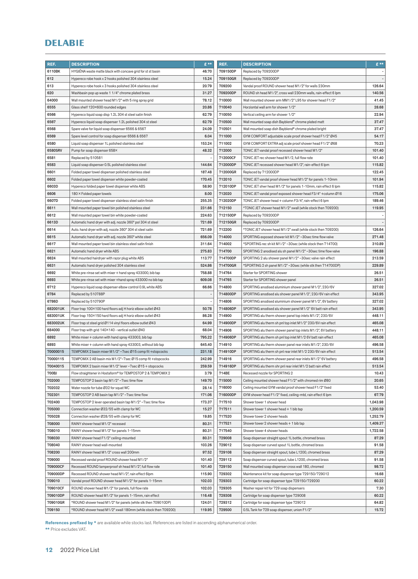| REF.     | <b>DESCRIPTION</b>                                             | $E$ **                   | REF.     | <b>DESCRIPTION</b>                                             | $E$ **                   |
|----------|----------------------------------------------------------------|--------------------------|----------|----------------------------------------------------------------|--------------------------|
| 6110BK   | HYGIENA waste matte black with concave grid for st st basin    | 46.70                    | 709150DP | Replaced by 709200DP                                           |                          |
| 612      | Hypereco robe hook x 2 hooks polished 304 stainless steel      | 15.24                    | 709150GR | Replaced by 709200DP                                           |                          |
| 613      | Hypereco robe hook x 3 hooks polished 304 stainless steel      | 20.79                    | 709200   | Vandal proof ROUND shower head M1/2" for walls 230mm           | 126.64                   |
| 620      | Washbasin pop up waste 1 1/4" chrome plated brass              | 31.27                    | 709200DP | ROUND sh head M1/2", cross wall 230mm walls, rain-effect 6 lpm | 140.56                   |
| 64000    | Wall mounted shower head M1/2" with 5 ring spray grid          | 78.12                    | 710000   | Wall mounted shower arm MM1/2" L95 for shower head F1/2"       | 41.45                    |
| 6555     | Glass shelf 120×600 rounded edges                              | 20.86                    | 710040   | Horziontal wall arm for shower 1/2"                            | 28.68                    |
| 6566     | Hypereco liquid soap disp 1.2L 304 st steel satin finish       | 62.79                    | 710050   | Vertical ceiling arm for shower 1/2"                           | 22.94                    |
| 6567     | Hypereco liquid soap dispenser 1.2L polished 304 st steel      | 62.79                    | 710500   | Wall mounted soap dish Bayblend® chrome plated matt            | 37.47                    |
| 6568     | Spare valve for liquid soap dispenser 6566 & 6567              | 24.09                    | 710501   | Wall mounted soap dish Bayblend® chrome plated bright          | 37.47                    |
| 6569     | Spare level control for soap dispenser 6566 & 6567             | 6.04                     | 711000   | GYM COMFORT adjustable scale proof shower head F1/2" Ø45       | 54.17                    |
| 6580     | Liquid soap dispenser 1L polished stainless steel              | 153.24                   | 711002   | GYM COMFORT EXTRA adj scale proof shower head F1/2" Ø68        | 70.23                    |
| 6580SRV  | Pump for soap dispenser 658×                                   | 48.32                    | 712000   | TONIC JET vandal proof recessed shower head M1/2"              | 101.40                   |
| 6581     | Replaced by 510581                                             |                          | 712000CF | TONIC JET rec shower head M1/2, full flow rate                 | 101.40                   |
| 6583     | Liquid soap dispenser 0.5L polished stainless steel            | 144.64                   | 712000DP | TONIC JET recessed shower head M1/2", rain-effect 6 lpm        | 115.82                   |
| 6601     | Folded paper towel dispenser polished stainless steel          | 187.48                   | 712000GR | Replaced by 712000DP                                           | 122.45                   |
| 6602     | Folded paper towel dispenser white powder-coated               | 170.45                   | 712010   | TONIC JET vandal proof shower head M1/2" for panels 1-10mm     | 101.94                   |
| 6603D    | Hypereco folded paper towel dispenser white ABS                | 58.90                    | 712010DP | TONIC JET shwr head M1/2" for panels 1-10mm, rain effect 6 lpm | 115.82                   |
| 6606     | 180 × Folded paper towels                                      | 8.00                     | 712020   | TONIC JET vandal proof exposed shower head F3/4" + column Ø16  | 175.06                   |
| 6607D    | Folded paper towel dispenser stainless steel satin finish      | 255.35                   | 712020DP | TONIC JET shower head + column F3/4", rain-effect 6 lpm        | 189.46                   |
| 6611     | Wall mounted paper towel bin polished stainless steel          | 231.66                   | 712150   | *TONIC JET shower head M1/2" xwall (while stock then 709200)   | 119.95                   |
| 6612     | Wall mounted paper towel bin white powder-coated               | 224.63                   | 712150DP | Replaced by 709200DP                                           | $\overline{\phantom{a}}$ |
| 6613D    | Automatic hand dryer with adj. nozzle 360° pol 304 st steel    | 721.69                   | 712150GR | Replaced by 709200DP                                           | $\overline{\phantom{a}}$ |
| 6614     | Auto. hand dryer with adj. nozzle 360° 304 st steel satin      | 721.69                   | 712200   | *TONIC JET shower head M1/2" xwall (while stock then 709200)   | 126.64                   |
| 6615     | Automatic hand dryer with adj. nozzle 360° white steel         | 656.09                   | 714000   | SPORTING exposed shower kit M1/2" ~30sec time flow valve       | 271.48                   |
| 6617     | Wall mounted paper towel bin stainless steel satin finish      | 311.64                   | 714002   | *SPORTING rec sh kit M1/2" ~30sec (while stock then 714700)    | 310.89                   |
| 6621     | Automatic hand dryer white ABS                                 | 275.83                   | 714700   | SPORTING 2 anodised alu sh panel M1/2"~30sec time flow valve   | 196.88                   |
| 6624     | Wall mounted hairdryer with razor plug white ABS               | 113.77                   | 714700DP | SPORTING 2 alu shower panel M1/2" ~30sec valve rain effect     | 213.59                   |
| 6631     | Automatic hand dryer polished 304 stainless steel              | 524.86                   | 714700GR | *SPORTING 2 sh panel M1/2"~30sec (while stk then 714700DP)     | 229.89                   |
| 6692     | White pre-rinse set with mixer + hand spray 433000, bib tap    | 758.88                   | 714764   | Starter for SPORTING shower                                    | 26.51                    |
| 6693     | White pre-rinse set with mixer +hand spray 433000 no bib tap   | 609.08                   | 714765   | Starter for SPORTING shower panel                              | 26.51                    |
| 6712     | Hypereco liquid soap dispenser elbow control 0.9L white ABS    | 66.66                    | 714800   | SPORTING anodised aluminium shower panel M1/2", 230/6V         | 327.02                   |
| 6784     | Replaced by 510788P                                            |                          | 714800DP | SPORTING anodised alu shower panel M1/2", 230/6V rain effect   | 343.95                   |
| 6786D    | Replaced by 510790P                                            | $\overline{\phantom{a}}$ | 714806   | SPORTING anodised aluminium shower panel M1/2", 6V battery     | 327.02                   |
| 682001UK | Floor trap 100×100 hard floors adj H horiz elbow outlet Ø43    | 50.78                    | 714806DP | SPORTING anodised alu shower panel M1/2" 6V batt rain effect   | 343.95                   |
| 683001UK | Floor trap 150×150 hard floors adj H horiz elbow outlet Ø43    | 86.28                    | 714900   | SPORTING alu therm shower panel top inlets M1/2", 230/6V       | 448.11                   |
| 683002UK | Floor trap st steel grid Ø114 vinyl floors elbow outlet Ø43    | 64.99                    | 714900DP | SPORTING alu therm sh pnl top inlet M1/2" 230/6V rain effect   | 465.08                   |
| 684000   | Floor trap with grid 140×140 - vertical outlet Ø40             | 68.04                    | 714906   | SPORTING alu therm shower panel top inlets M1/2", 6V battery   | 448.11                   |
| 6892     | White mixer + column with hand spray 433003, bib tap           | 795.22                   | 714906DP | SPORTING alu therm sh pnl top inlet M1/2 6V batt rain effect   | 465.08                   |
| 6893     | White mixer + column with hand spray 433003, without bib tap   | 645.40                   | 714910   | SPORTING alu therm shower panel rear inlets M1/2", 230/6V      | 496.58                   |
| 70000015 | TEMPOMIX 2 basin mixer M1/2" ~7sec Ø15 comp fit +stopcocks     | 231.18                   | 714910DP | SPORTING alu therm sh pnl rear inlet M1/2 230/6V rain effect   | 513.54                   |
| 70000115 | TEMPOMIX 2 AB basin mix M1/2"~7sec Ø15 comp fit +stopcocks     | 242.99                   | 714916   | SPORTING alu therm shower panel rear inlets M1/2" 6V battery   | 496.58                   |
| 70040015 | TEMPOMIX 2 basin mixer M1/2" lever ~7sec Ø15 + stopcocks       | 259.59                   | 714916DP | SPORTING alu therm shr pnl rear inlet M1/2 batt rain effect    | 513.54                   |
| 700BJ    | Flow straightener in Hostaform® for TEMPOSTOP 2 & TEMPOMIX 2   | 3.79                     | 714BE    | Recessed nozzle for SPORTING 2                                 | 10.43                    |
| 702000   | TEMPOSTOP 2 basin tap M1/2" ~7sec time flow                    | 149.70                   | 715000   | Ceiling mounted shower head F1/2" with chromed rim Ø80         | 20.65                    |
| 702032   | Water nozzle for tube Ø32 for squat WC                         | 28.14                    | 716000   | Ceiling mounted GYM vandal proof shower head F1/2" fixed       | 53.40                    |
| 702301   | TEMPOSTOP 2 AB basin tap M1/2" ~7sec time flow                 | 171.06                   | 716000DP | GYM shower head F1/2" fixed, ceiling-mtd, rain effect 6 lpm    | 67.79                    |
| 702400   | TEMPOSTOP 2 lever operated basin tap M1/2" ~7sec time flow     | 173.37                   | 717510   | Shower tower 1 shower head                                     | 1,043.98                 |
| 705000   | Connection washer Ø32/55 with clamp for WC                     | 15.27                    | 717511   | Shower tower 1 shower head + 1 bib tap                         | 1,200.59                 |
| 705028   | Connection washer Ø28/55 with clamp for WC                     | 19.85                    | 717520   | Shower tower 2 shower heads                                    | 1,252.79                 |
| 708000   | RAINY shower head M1/2" recessed                               | 80.31                    | 717521   | Shower tower 2 shower heads + 1 bib tap                        | 1,409.37                 |
| 708010   | RAINY shower head M1/2" for panels 1-15mm                      | 80.31                    | 717540   | Shower tower 4 shower heads                                    | 1,722.58                 |
| 708030   | RAINY shower head F1/2" ceiling-mounted                        | 80.31                    | 729008   | Soap dispenser straight spout 1L bottle, chromed brass         | 87.29                    |
| 708040   | RAINY shower head wall-mounted                                 | 103.26                   | 729012   | Soap dispenser curved spout 1L bottle, chromed brass           | 91.58                    |
| 708200   | RAINY shower head M1/2" cross wall 200mm                       | 97.52                    | 729108   | Soap dispenser straight spout, tube L1200, chromed brass       | 87.29                    |
| 709000   | Recessed vandal proof ROUND shower head M1/2"                  | 101.40                   | 729112   | Soap dispenser curved spout, tube L1200, chromed brass         | 91.58                    |
| 709000CF | Recessed ROUND tamperproof sh head M1/2", full flow rate       | 101.40                   | 729150   | Wall mounted soap dispenser cross wall 180, chromed            | 98.72                    |
| 709000DP | Recessed ROUND shower head M1/2", rain effect 6lpm             | 115.90                   | 729302   | Maintenance kit for soap dispenser type 729150/729012          | 16.68                    |
| 709010   | Vandal proof ROUND shower head M1/2" for panels 1-15mm         | 102.03                   | 729303   | Cartridge for soap dispenser type 729150/729200                | 60.22                    |
| 709010CF | ROUND shower head M1/2" for panels, full flow rate             | 102.03                   | 729305   | Washer repair kit for 729 soap dispensers                      | 7.30                     |
| 709010DP | ROUND shower head M1/2" for panels 1-15mm, rain effect         | 116.48                   | 729308   | Cartridge for soap dispenser type 729008                       | 60.22                    |
| 709010GR | *ROUND shower head M1/2" for panels (while stk then 709010DP)  | 124.01                   | 729312   | Cartridge for soap dispenser type 729012                       | 64.82                    |
| 709150   | *ROUND shower head M1/2" xwall 180mm (while stock then 709200) | 119.95                   | 729500   | 0.5L Tank for 729 soap dispenser, union F1/2"                  | 15.72                    |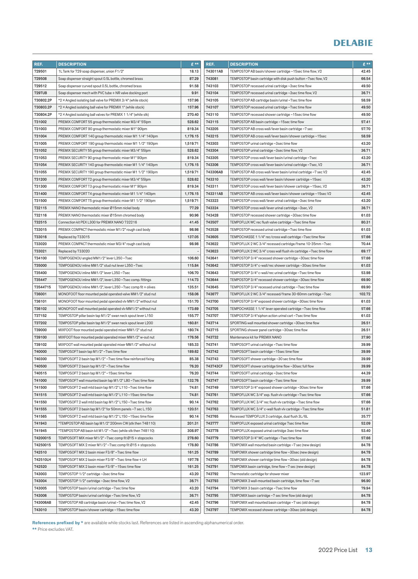| REF.          | <b>DESCRIPTION</b>                                              | £**                      | REF.     | <b>DESCRIPTION</b>                                                 | $E***$ |
|---------------|-----------------------------------------------------------------|--------------------------|----------|--------------------------------------------------------------------|--------|
| 729501        | 1L Tank for 729 soap dispenser, union F1/2"                     | 18.13                    | 743011AB | TEMPOSTOP AB basin/shower cartridge ~15sec time flow, V2           | 42.45  |
| 729508        | Soap dispenser straight spout 0.5L bottle, chromed brass        | 87.29                    | 743081   | TEMPOSTOP basin cartridge with disk push button ~7sec flow, V2     | 66.54  |
| 729512        | Soap dispenser curved spout 0.5L bottle, chromed brass          | 91.58                    | 743103   | TEMPOSTOP recessed urinal cartridge ~3sec time flow                | 49.50  |
| <b>729TUB</b> | Soap dispenser mech with PVC tube + NR valve docking port       | 9.91                     | 743104   | TEMPOSTOP recessed urinal cartridge ~3sec time flow, V2            | 36.71  |
| 730802.2P     | *2 × Angled isolating ball valve for PREMIX 3/4" (while stock)  | 157.96                   | 743105   | TEMPOSTOP AB cartridge basin/urinal ~7sec time flow                | 58.59  |
| 730803.2P     | *2 × Angled isolating ball valve for PREMIX 1" (while stock)    | 157.96                   | 743107   | TEMPOSTOP recessed urinal cartridge ~7sec time flow                | 49.50  |
| 730804.2P     | *2 × Angled isolating ball valves for PREMIX 1 1/4" (while stk) | 270.40                   | 743110   | TEMPOSTOP recessed shower cartridge ~15 sec time flow              | 49.50  |
| 731002        | PREMIX COMFORT 55 group thermostatic mixer M3/4" 55 lpm         | 528.62                   | 743115   | TEMPOSTOP AB basin cartridge ~15 sec time flow                     | 57.41  |
| 731003        | PREMIX COMFORT 90 group thermostatic mixer M1" 90lpm            | 819.34                   | 743205   | TEMPOSTOP AB cross wall/lever basin cartridge ~7 sec               | 57.70  |
| 731004        | PREMIX COMFORT 140 group thermostatic mixer M1 1/4" 140lpm      | 1,176.15                 | 743215   | TEMPOSTOP AB cross wall/lever basin/shower cartridge ~15sec        | 58.59  |
| 731005        | PREMIX COMFORT 190 group thermostatic mixer M1 1/2" 190lpm      | 1,519.71                 | 743303   | TEMPOSTOP urinal cartridge ~3sec time flow                         | 43.20  |
| 731052        | PREMIX SECURITY 55 group thermostatic mixer M3/4" 55 lpm        | 528.62                   | 743304   | TEMPOSTOP urinal cartridge ~3sec time flow, V2                     | 36.71  |
| 731053        | PREMIX SECURITY 90 group thermostatic mixer M1" 90lpm           | 819.34                   | 743305   | TEMPOSTOP cross wall/lever basin/urinal cartridge~7sec             | 43.20  |
| 731054        | PREMIX SECURITY 140 group thermostatic mixer M1 1/4" 140lpm     | 1,176.15                 | 743306   | TEMPOSTOP cross wall/lever basin/urinal cartridge ~7sec, V2        | 36.71  |
| 731055        | PREMIX SECURITY 190 group thermostatic mixer M1 1/2" 190lpm     | 1,519.71                 | 743306AB | TEMPOSTOP AB cross wall/lever basin/urinal cartridge ~7 sec V2     | 42.45  |
| 731200        | PREMIX COMFORT T2 group thermostatic mixer M3/4" 55lpm          | 528.62                   | 743310   | TEMPOSTOP cross wall/lever basin/shower cartridge~15sec            | 43.20  |
| 731300        | PREMIX COMFORTT3 group thermostatic mixer M1" 90lpm             | 819.34                   | 743311   | TEMPOSTOP cross wall/lever basin/shower cartridge ~15sec, V2       | 36.71  |
| 731400        | PREMIX COMFORT T4 group thermostatic mixer M1 1/4" 140lpm       | 1,176.15                 | 743311AB | TEMPOSTOP AB cross wall/lever basin/shower cartridge ~15sec V2     | 42.45  |
| 731500        | PREMIX COMFORT T5 group thermostatic mixer M1 1/2" 190lpm       | 1,519.71                 | 743323   | TEMPOSTOP cross wall/lever urinal cartridge ~3sec time flow        | 43.20  |
| 732115        | PREMIX NANO thermostatic mixer Ø15mm nickel body                | 77.29                    | 743324   | TEMPOSTOP cross wall/lever urinal cartridge ~3sec, V2              | 36.71  |
| 732116        | PREMIX NANO thermostatic mixer Ø15mm chromed body               | 90.96                    | 743428   | TEMPOSTOP recessed shower cartridge ~30sec time flow               | 61.03  |
| 732515        | Connection kit PEX L300 for PREMIX NANO 732216                  | 41.45                    | 743507   | TEMPOFLUX WC rec flush valve cartridge ~7sec time flow             | 80.31  |
| 733015        | PREMIX COMPACT thermostatic mixer M1/2" rough cast body         | 98.98                    | 743528   | TEMPOSTOP recessed urinal cartridge ~7sec time flow                | 61.03  |
| 733016        | Replaced by 733015                                              | 137.05                   | 743605   | TEMPOCHASSE 1 1/4" rec/cross wall cartridge ~7sec time flow        | 57.66  |
| 733020        | PREMIX COMPACT thermostatic mixer M3/4" rough cast body         | 98.98                    | 743622   | TEMPOFLUX 2 WC 3/4" recessed cartridge/frame 10-35mm ~7sec         | 70.44  |
| 733021        | Replaced by 733020                                              | $\overline{\phantom{a}}$ | 743623   | TEMPOFLUX 2 WC 3/4" cross wall flush vlv cartridge ~7sec time flow | 69.17  |
| 734100        | TEMPOGENOU angled MM1/2" lever L350~7sec                        | 106.60                   | 743641   | TEMPOSTOP 3/4" recessed shower cartridge ~30sec time flow          | 57.66  |
| 735000        | TEMPOGENOU inline MM1/2" stud nut lever L350~7sec               | 115.84                   | 743642   | TEMPOSTOP 3/4" c-wall/rec shower cartridge ~30sec time flow        | 61.03  |
| 735400        | TEMPOGENOU inline MM1/2" lever L350~7sec                        | 106.70                   | 743643   | TEMPOSTOP 3/4" c-wall/rec urinal cartridge ~7sec time flow         | 53.98  |
| 735447        | TEMPOGENOU inline MM1/2", lever L350~7sec comp. fittings        | 114.73                   | 743644   | TEMPOSTOP 3/4" recessed shower cartridge ~30sec time flow          | 69.90  |
| 73544715      | TEMPOGENOU inline MM1/2", lever L350~7sec comp fit + olives     | 135.51                   | 743645   | TEMPOSTOP 3/4" recessed urinal cartridge ~7sec time flow           | 69.90  |
| 736001        | MONOFOOT floor mounted pedal operated valve MM1/2" stud nut     | 158.06                   | 743677   | TEMPOFLUX 2 WC 3/4" recessed/frame 30-60mm cartridge ~7sec         | 102.72 |
| 736101        | MONOFOOT floor mounted pedal operated vlv MM1/2" without nut    | 151.70                   | 743700   | TEMPOSTOP 3/4" exposed shower cartridge ~30sec time flow           | 61.03  |
| 736102        | MONOFOOT wall mounted pedal operated viv MM1/2" without nut     | 173.69                   | 743705   | TEMPOCHASSE 1 1/4" lever operated cartridge ~7sec time flow        | 57.66  |
| 737152        | TEMPOSTOP pillar basin tap M1/2" swan neck spout lever L150     | 155.77                   | 743707   | TEMPOSTOP 3/4"siphon action urinal cart~7sec time flow             | 61.03  |
| 737202        | TEMPOSTOP pillar basin tap M1/2" swan neck spout lever L200     | 160.81                   | 743714   | SPORTING wall mounted shower cartridge ~30sec time flow            | 26.51  |
| 739000        | MIXFOOT floor mounted pedal operated mixer MM1/2" stud nut      | 180.74                   | 743715   | SPORTING shower panel cartridge ~30sec time flow                   | 26.51  |
| 739100        | MIXFOOT floor mounted pedal operated mixer MM1/2" w-out nut     | 176.56                   | 743732   | Maintenance kit for PREMIX NANO                                    | 37.90  |
| 739102        | MIXFOOT wall mounted pedal operated mixer MM1/2" without nut    | 185.33                   | 743741   | TEMPOSOFT urinal cartridge ~7sec time flow                         | 39.99  |
| 740000        | TEMPOSOFT basin tap M1/2" ~7sec time flow                       | 189.62                   | 743742   | TEMPOSOFT basin cartridge ~15sec time flow                         | 39.99  |
| 740300        | TEMPOSOFT 2 basin tap M1/2"~7sec time flow reinforced fixing    | 85.38                    | 743743   | TEMPOSOFT shower cartridge ~30 sec time flow                       | 39.99  |
| 740500        | TEMPOSOFT 2 basin tap M1/2" ~7sec time flow                     | 76.20                    | 743743CF | TEMPOSOFT shower cartridge time flow ~30sec full flow              | 39.99  |
| 740515        | TEMPOSOFT 2 basin tap M1/2" ~15sec time flow                    | 76.20                    | 743744   | TEMPOSOFT urinal cartridge ~3sec time flow                         | 44.39  |
| 741000        | TEMPOSOFT wall mounted basin tap M1/2" L80~7sec time flow       | 132.76                   | 743747   | TEMPOSOFT basin cartridge ~7sec time flow                          | 39.99  |
| 741500        | TEMPOSOFT 2 wall mtd basin tap M1/2" L110~7sec time flow        | 74.81                    | 743749   | TEMPOSTOP 3/4" exposed shower cartridge ~30sec time flow           | 57.66  |
| 741515        | TEMPOSOFT 2 wall mtd basin tap M1/2" L110~15sec time flow       | 74.81                    | 743761   | TEMPOFLUX WC 3/4" exp. flush vlv cartridge ~7sec time flow         | 57.66  |
| 741550        | TEMPOSOFT 2 wall mtd basin tap M1/2" L150~7sec time flow        | 90.14                    | 743762   | TEMPOFLUX WC 3/4" rec flush vlv cartridge ~7sec time flow          | 57.66  |
| 741555        | TEMPOSOFT 2 basin tap M1/2" for 50mm panels ~7 sec L.150        | 120.51                   | 743763   | TEMPOFLUX WC 3/4" c-wall flush vlv cartridge ~7sec time flow       | 51.81  |
| 741565        | TEMPOSOFT 2 wall mtd basin tap M1/2" L150 ~15sec time flow      | 90.14                    | 743765   | Recessed TEMPOFLUX 3 cartridge, dual flush 3L/6L                   | 35.77  |
| 741943        | *TEMPOSTOP AB basin tap M1/2" 200mm CW (stk then 748110)        | 201.31                   | 743777   | TEMPOFLUX exposed urinal cartridge 7 sec time flow                 | 52.09  |
| 741945        | *TEMPOSTOP AB basin kit M1/2" ~7sec (while stk then 748110)     | 308.97                   | 743778   | TEMPOFLUX exposed urinal cartridge 3sec time flow                  | 53.40  |
| 74200015      | TEMPOSOFT MIX mixer M1/2" ~7sec comp fit Ø15 + stopcocks        | 278.60                   | 743779   | TEMPOSTOP 3/4" WC cartridge ~7sec time flow                        | 57.66  |
| 74250015      | TEMPOSOFT MIX 2 mixer M1/2" ~7sec comp fit Ø15 + stopcocks      | 178.80                   | 743786   | TEMPOMIX wall mounted basin cartridge ~7 sec (new design)          | 84.78  |
| 742510        | TEMPOSOFT MIX 2 basin mixer F3/8" ~7sec time flow               | 161.25                   | 743789   | TEMPOMIX shower cartridge time flow ~30sec (new design)            | 84.78  |
| 742510LH      | TEMPOSOFT MIX 2 basin mixer F3/8"~7sec time flow + LH           | 197.78                   | 743790   | TEMPOMIX shower cartridge time flow ~30sec (old design)            | 84.78  |
| 742520        | TEMPOSOFT MIX 2 basin mixer F3/8" ~15sec time flow              | 161.25                   | 743791   | TEMPOMIX basin cartridge, time flow ~7 sec (new design)            | 84.78  |
| 743003        | TEMPOSTOP 1/2" cartridge ~3sec time flow                        | 43.20                    | 743792   | Thermostatic cartridge for shower mixer                            | 123.97 |
| 743004        | TEMPOSTOP 1/2" cartridge ~3sec time flow, V2                    | 36.71                    | 743793   | TEMPOMIX 3 wall-mounted basin cartridge, time flow ~7 sec          | 96.90  |
| 743005        | TEMPOSTOP basin/urinal cartridge ~7sec time flow                | 43.20                    | 743794   | TEMPOMIX 3 basin cartridge ~7sec time flow                         | 79.94  |
| 743006        | TEMPOSTOP basin/urinal cartridge ~7sec time flow, V2            | 36.71                    | 743795   | TEMPOMIX basin cartridge ~7 sec time flow (old design)             | 84.78  |
| 743006AB      | TEMPOSTOP AB cartridge basin/urinal ~7sec time flow, V2         | 42.45                    | 743796   | TEMPOMIX wall mounted basin cartridge ~7 sec (old design)          | 84.78  |
| 743010        | TEMPOSTOP basin/shower cartridge ~15sec time flow               | 43.20                    | 743797   | TEMPOMIX recessed shower cartridge ~30sec (old design)             | 84.78  |
|               |                                                                 |                          |          |                                                                    |        |

References prefixed by \* are available while stocks last. References are listed in ascending alphanumerical order.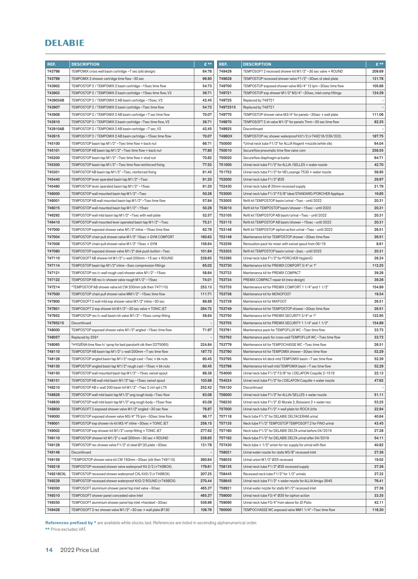| REF.             | <b>DESCRIPTION</b>                                                                                         | $E$ **           | REF.             | <b>DESCRIPTION</b>                                                                                      | $E$ **                   |
|------------------|------------------------------------------------------------------------------------------------------------|------------------|------------------|---------------------------------------------------------------------------------------------------------|--------------------------|
| 743798           | TEMPOMIX cross wall basin cartridge ~7 sec (old design)                                                    | 84.78            | 749429           | TEMPOSOFT 2 recessed shower kit M1/2"~30 sec valve + ROUND                                              | 209.69                   |
| 743799           | TEMPOMIX 3 shower cartridge time flow ~30 sec                                                              | 96.90            | 749628           | TEMPOSTOP recessed shower valve F1/2" ~30sec st steel plate                                             | 131.78                   |
| 743902           | TEMPOSTOP 2 / TEMPOMIX 2 basin cartridge ~15 sec time flow                                                 | 54.73            | 749700           | TEMPOSTOP exposed shower valve M3/4" 12 lpm ~30sec time flow                                            | 105.66                   |
| 743903           | TEMPOSTOP 2 / TEMPOMIX 2 basin cartridge ~15sec time flow, V2                                              | 36.71            | 749721           | TEMPOSTOP exp shower M1/2" M3/4" ~30sec, inlet comp fittings                                            | 124.29                   |
| 743903AB         | TEMPOSTOP 2 / TEMPOMIX 2 AB basin cartridge ~15sec, V2                                                     | 42.45            | 749725           | Replaced by 749721                                                                                      | $\overline{\phantom{a}}$ |
| 743907           | TEMPOSTOP 2 / TEMPOMIX 2 basin cartridge ~7sec time flow                                                   | 54.73            | 74972515         | Replaced by 749721                                                                                      |                          |
| 743908           | TEMPOSTOP 2 / TEMPOMIX 2 AB basin cartridge ~7 sec time flow                                               | 70.07            | 749770           | TEMPOSTOP shower valve M3/4" for panels ~30sec + wall plate                                             | 111.06                   |
| 743910           | TEMPOSTOP 2 / TEMPOMIX 2 basin cartridge ~7sec time flow, V2                                               | 36.71            | 749870           | TEMPOSOFT 2 sh valve M1/2" for panels 7mm ~30 sec time flow                                             | 82.25                    |
| 743910AB         | TEMPOSTOP 2 / TEMPOMIX 2 AB basin cartridge ~7 sec, V2                                                     | 42.45            | 749925           | Discontinued                                                                                            |                          |
| 743915           | TEMPOSTOP 2 / TEMPOMIX 2 AB basin cartridge ~15 sec time flow                                              | 70.07            | 749BOX           | TEMPOSTOP rec shower waterproof Kit1/2 (+749218/239/232)                                                | 187.75                   |
| 745100           | TEMPOSTOP basin tap M1/2" ~7sec time flow + back nut                                                       | 66.71            | 750000           | *Urinal neck tube F1/2" for ALLIA Nogent +nozzle (while stk)                                            | 64.04                    |
| 745101           | TEMPOSTOP AB basin tap M1/2" ~7sec time flow + back nut                                                    | 77.80            | 750010           | Secureflow pneumatic time flow valve com                                                                | 258.55                   |
| 745200           | TEMPOSTOP basin tap M1/2" ~7sec time flow + stud nut                                                       | 70.82            | 750020           | Secureflow diaphragm actuator                                                                           | 64.71                    |
| 745300           | TEMPOSTOP basin tap M1/2" ~7sec time flow reinforced fixing                                                | 77.52            | 751000           | Urinal neck tube F1/2" for ALLIA / SELLES + water nozzle                                                | 42.70                    |
| 745301           | TEMPOSTOP AB basin tap M1/2" ~7sec, reinforced fixing                                                      | 81.45            | 751753           | Urinal neck tube F1/2" for VB Losange 7530 + water nozzle                                               | 56.95                    |
| 745440           | TEMPOSTOP lever operated basin tap M1/2" ~7sec                                                             | 91.20            | 752000           | Urinal neck tube F1/2" Ø35                                                                              | 29.97                    |
| 745460           | TEMPOSTOP lever operated basin tap M1/2"~15sec                                                             | 91.20            | 752430           | Urinal neck tube Ø 35mm recessed supply                                                                 | 21.79                    |
| 746000           | TEMPOSTOP wall mounted basin tap M1/2"~7sec                                                                | 50.26            | 753000           | Urinal neck tube F1/2" F3/8" Ideal STANDARD/PORCHER Applique                                            | 19.85                    |
| 746001           | TEMPOSTOP AB wall mounted basin tap M1/2" ~7sec time flow                                                  | 57.84            | 753005           | Refit kit TEMPOSTOP basin/urinal ~7sec - until 2022                                                     | 20.31                    |
| 746015           | TEMPOSTOP wall mounted basin tap M1/2" ~15sec                                                              | 50.26            | 753010           | Refit kit for TEMPOSTOP basin/shower~15sec - until 2022                                                 | 20.31                    |
| 746292           | TEMPOSTOP wall mtd basin tap M1/2" ~7sec with wall plate                                                   | 52.57            | 753105           | Refit kit TEMPOSTOP AB basin/urinal ~7sec - until 2022                                                  | 20.31                    |
| 746410           | TEMPOSTOP wall mounted lever operated basin tap M1/2"~7sec                                                 | 75.21            | 753115           | Refit kit TEMPOSTOP AB basin/shower~15sec - until 2022                                                  | 20.31                    |
| 747000           | TEMPOSTOP exposed shower valve M1/2" inline ~15 sec time flow                                              | 62.79            | 753148           | Refit kit TEMPOSTOP siphon action urinal ~7sec - until 2022                                             | 26.51                    |
| 747004           | TEMPOSTOP chain pull shower valve M1/2" 15sec + GYM COMFORT                                                | 160.63           | 753149           | Maintenance kit for TEMPOSTOP shower~30sec time flow                                                    | 26.51                    |
| 747006           | TEMPOSTOP chain pull shower valve M1/2" 15sec + GYM                                                        | 156.64           | 753256           | Renovation pack for mixer with swivel spout from 06/19                                                  | 8.61                     |
| 747080           | TEMPOSTOP exposed shower valve M1/2" disk push button ~7sec                                                | 101.84           | 753303           | Refit kit TEMPOSTOP basin/urinal ~3sec - until 2022                                                     | 20.31                    |
| 747110           | TEMPOSOFT AB shower kit M1/2" c-wall 200mm ~15 sec + ROUND                                                 | 238.65           | 753395           | Urinal neck tube F1/2" for PORCHER HygieniQ                                                             | 26.24                    |
| 747114           | TEMPOSTOP basin tap M1/2" inline ~3sec compression fittings                                                | 65.02            | 753730           | Maintenance kit for PREMIX COMFORT 3/4" or 1"                                                           | 112.25                   |
| 747121           | TEMPOSTOP rec/c-wall rough cast shower valve M1/2" ~15sec                                                  | 58.64            | 753733           | Maintenance kit for PREMIX COMPACT                                                                      | 39.26                    |
| 747122           | TEMPOSTOP AB rec/c-shower valve rough M1/2"~15sec                                                          | 74.01            | 753734           | PREMIX COMPACT repair kit (new design)                                                                  | 39.26                    |
| 747214           | *TEMPOSTOP AB shower valve kit CW 200mm (stk then 747110)                                                  | 253.13           | 753735           | Maintenance kit for PREMIX COMFORT 1 1/4" and 1 1/2"                                                    | 154.89                   |
| 747500           | TEMPOSTOP chain pull shower valve MM1/2"~15sec time flow                                                   | 111.71           | 753736           | Maintenance kit for MONOFOOT                                                                            | 19.54                    |
| 747800           | TEMPOSOFT 2 wall mtd exp shower valve M1/2" inline ~30 sec                                                 | 86.88            | 753739           | Maintenance kit for MIXFOOT                                                                             | 26.51                    |
| 747801           | TEMPOSOFT 2 exp shower kit M1/2" ~30 sec valve + TONIC JET                                                 | 264.72           | 753749           | Maintenance kit for TEMPOSTOP shower~30sec time flow                                                    | 26.51                    |
| 747952           | TEMPOSTOP rec/c-wall basin/sh valve M1/2" ~15sec comp fitting                                              | 58.64            | 753750           | Maintenance kit for PREMIX SECURITY 3/4" or 1"                                                          | 122.95                   |
| 74795215         | Discontinued                                                                                               |                  | 753755           | Maintenance kit for PREMIX SECURITY 1 1/4" and 1 1/2"                                                   | 154.89                   |
| 748000           | TEMPOSTOP exposed shower valve M1/2" angled ~15sec time flow                                               | 71.97            | 753761           | Maintenance pack for TEMPOFLUX WC ~7sec time flow                                                       | 33.73                    |
| 748057           | Replaced by 2591                                                                                           |                  | 753763           | Maintenance pack for cross wall TEMPOFLUX WC ~7sec time flow                                            | 33.73                    |
| 748065           | *HYGIENA time flow h/spray for bed pans(whl stk then D275065)                                              | 224.84           | 753779           | Maintenance kit for TEMPOCHASSE WC ~7sec time flow                                                      | 26.51                    |
| 748110           | TEMPOSTOP AB basin tap M1/2" c-wall 200mm ~7 sec time flow                                                 | 187.73           | 753790           | Maintenance kit for TEMPOMIX shower~30sec time flow                                                     | 52.29                    |
| 748126           | TEMPOSTOP angled basin tap M1/2" rough cast ~7sec + bk nuts                                                | 60.45            | 753795           | Maintenance kit deck mtd TEMPOMIX basin ~7 sec time flow                                                | 52.29                    |
| 748130           | TEMPOSTOP angled basin tap M1/2" rough cast ~15sec + bk nuts                                               | 60.45            | 753796           | Maintenance kit wall mtd TEMPOMIX basin ~7 sec time flow                                                | 52.29                    |
| 748150           | TEMPOSTOP wall mounted basin tap M1/2" ~15sec swivel spout                                                 | 88.36            | 754000           | Urinal neck tube F1/2" F3/8" for J DELAFON Coquille 2-1519                                              | 22.13                    |
| 748151           | TEMPOSTOP AB wall mtd basin M1/2" tap ~15sec swivel spout                                                  | 103.68           | 754524           | Urinal neck tube F1/2" for J DELAFON Coquille + water nozzle                                            | 47.62                    |
| 748210           | TEMPOSTOP AB c-wall 200 basin kit M1/2"~7sec 2 ctrl spt L75                                                | 252.42           | 755120           | Discontinued                                                                                            | $\overline{\phantom{a}}$ |
| 748626           | TEMPOSTOP wall mtd basin tap M1/2" ang rough body ~7sec flow                                               | 63.08            | 756000           | Urinal neck tube F1/2" for ALLIA/SELLES + water nozzle                                                  | 51.11                    |
| 748630           | TEMPOSTOP wall mtd basin tap M1/2" ang rough body ~15sec flow                                              | 63.08            | 756230           | Urinal neck tube F1/2" JD Murale 2, Boissiere 2 + water noz                                             | 53.25                    |
| 748800           | TEMPOSOFT 2 exposed shower valve M1/2" angled ~30 sec flow                                                 | 76.87            | 757000           | Urinal neck tube F1/2" + wall plate for ROCA Urito                                                      | 22.94                    |
| 749000           | TEMPOSTOP exposed shower valve M3/4" 75 lpm ~30sec time flow                                               | 96.17            | 757118           | Neck tube F1/2" for DELABIE DELTACERAM urinal                                                           | 40.64                    |
| 749001           | TEMPOSTOP exp shower vlv kit M3/4" inline ~30sec + TONIC JET                                               | 256.15           | 757135           | Neck tube F1/2" TEMPOSTOP TEMPOSOFT 2 for FINO urinal                                                   | 43.45                    |
| 749002           | TEMPOSTOP exp shower kit M1/2" comp fitting + TONIC JET                                                    | 277.62           | 757160           | Neck tube F1/2" for DELABIE DELTA urinal before 04/2019                                                 | 27.28                    |
| 749110           | TEMPOSTOP shower kit M1/2" c-wall 200mm ~30 sec + ROUND                                                    | 238.65           | 757162           | Neck tube F1/2" for DELABIE DELTA urinal after 04/2019                                                  | 54.11                    |
| 749128           | TEMPOSTOP rec shower valve F1/2" st steel Ø130 plate ~30sec                                                | 131.78           | 757430           | Neck tube + 1/2" union for rec supply for urinal with flexi                                             | 40.82                    |
| 749146           | Discontinued                                                                                               |                  | 758021           | Urinal water nozzle for stalls M3/8" recessed inlet                                                     | 27.36                    |
| 749159           | *TEMPOSTOP shower valve kit CW 150mm ~30sec (stk then 749110)                                              | 260.64           | 758035           | Urinal union M1/2" Ø35 recessed                                                                         | 19.02                    |
| 749218           | TEMPOSTOP recessed shower valve waterproof Kit 2/2 (+749BOX)                                               | 179.61           | 758135           | Urinal neck tube F1/2" Ø35 recessed supply                                                              | 37.36                    |
| 749218CXL        | TEMPOSTOP recessed shower waterproof CXL Kit2/2 (+749BOX)                                                  | 207.25           | 758445           | Recessed neck tube F1/2" for 1/2" urinals                                                               | 37.32                    |
| 749239           | TEMPOSTOP recessed shower waterproof Kit2/2 ROUND (+749BOX)                                                | 270.44           | 758645           | Urinal neck tube F1/2" + water nozzle for ALLIA Amigo 3645                                              | 76.41                    |
| 749300           | TEMPOSOFT aluminium shower panel top inlet valve ~30sec                                                    | 465.37           | 758921           | Urinal water nozzle for stalls M1/2" recessed inlet                                                     | 27.36                    |
| 749310<br>749350 | TEMPOSOFT shower panel concealed valve inlet<br>TEMPOSOFT aluminium shower panel top inlet +handset ~30sec | 465.37<br>536.96 | 759000<br>759090 | Urinal neck tube F3/4" Ø35 for siphon action                                                            | 33.35<br>42.11           |
| 749428           | TEMPOSOFT 2 rec shower valve M1/2" ~30 sec + wall plate Ø130                                               | 106.76           | 760000           | Urinal neck tube F3/4" from above for JD Patio<br>TEMPOCHASSE WC exposed valve MM1 1/4" ~7sec time flow | 116.30                   |
|                  |                                                                                                            |                  |                  |                                                                                                         |                          |

References prefixed by \* are available while stocks last. References are listed in ascending alphanumerical order.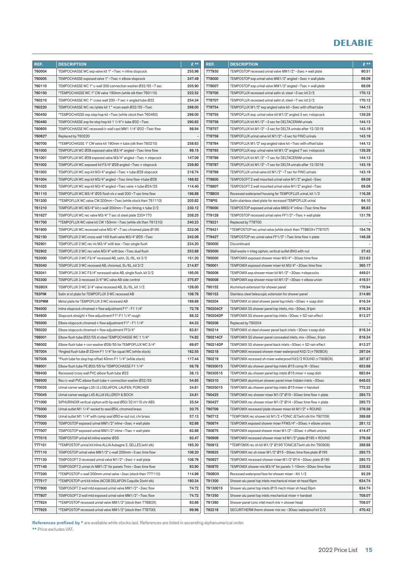| REF.          | <b>DESCRIPTION</b>                                             | £**    | REF.          | <b>DESCRIPTION</b>                                           | $E^{**}$ |
|---------------|----------------------------------------------------------------|--------|---------------|--------------------------------------------------------------|----------|
| 760004        | TEMPOCHASSE WC exp valve kit 1" ~7sec + inline stopcock        | 255.96 | 777930        | TEMPOSTOP recessed urinal valve MM1/2" ~3sec + wall plate    | 90.51    |
| 760005        | TEMPOCHASSE exposed valve 1"~7sec + elbow stopcock             | 247.49 | 778000        | TEMPOSTOP exp urinal valve MM1/2" angled ~3sec + wall plate  | 69.09    |
| 760110        | TEMPOCHASSE WC 1" c-wall 200 connection washer Ø32/55~7 sec    | 205.90 | 778007        | TEMPOSTOP exp urinal valve MM1/2" angled ~7sec + wall plate  | 69.09    |
| 760150        | *TEMPOCHASSE WC 1" CW valve 190mm (while stk then 760110)      | 222.52 | 778700        | TEMPOFLUX recessed urinal satin st. steel ~3 sec kit 2/2     | 170.12   |
| 760210        | TEMPOCHASSE WC 1" cross wall 200 ~7 sec + angled tube Ø32      | 254.34 | 778707        | TEMPOFLUX recessed urinal satin st. steel ~7 sec kit 2/2     | 170.12   |
| 760220        | TEMPOCHASSE WC rec/plate kit 1" + con wash Ø32/55~7sec         | 298.00 | 778754        | TEMPOFLUX M1/2" exp angled valve kit ~3sec with offset tube  | 144.13   |
| 760450        | *TEMPOCHASSE exp slop hop kit ~7sec (while stock then 760460)  | 298.00 | 778755        | TEMPOFLUX exp. urinal valve kit M1/2" angled 3 sec +stopcock | 139.29   |
| 760460        | TEMPOCHASSE exp for slop hop kit 1 1/4"+ tube Ø32~7sec         | 290.82 | 778756        | TEMPOFLUX kit M1/2" ~3 sec for DELTACERAM urinals            | 144.13   |
| 760605        | TEMPOCHASSE WC recessed/c-wall cast MM1 1/4" Ø32~7sec flow     | 98.94  | 778757        | TEMPOFLUX kit M1/2" ~3 sec for DELTA urinals after 12/2018   | 143.19   |
| 760627        | Replaced by 760220                                             |        | 778759        | TEMPOFLUX urinal valve kit M1/2" ~3 sec for FINO urinals     | 143.19   |
| 760700        | *TEMPOCHASSE 1" CW valve kit 190mm + tube (stk then 760210)    | 258.63 | 778764        | TEMPOFLUX M1/2" exp angled valve kit ~7sec with offset tube  | 144.13   |
| 761000        | TEMPOFLUX WC Ø28 exposed valve M3/4" angled ~7sec time flow    | 99.15  | 778765        | TEMPOFLUX exp. urinal valve kit M1/2" angled 7 sec +stopcock | 139.29   |
| 761001        | TEMPOFLUX WC Ø28 exposed valve M3/4" angled ~7sec + stopcock   | 147.09 | 778766        | TEMPOFLUX kit M1/2" ~7 sec for DELTACERAM urinals            | 144.13   |
| 761002        | TEMPOFLUX WC exposed kit F3/4" Ø28 angled ~7sec + stopcock     | 226.80 | 778767        | TEMPOFLUX kit M1/2" ~7 sec for DELTA urinals after 12/2018   | 143.19   |
| 761003        | TEMPOFLUX WC exp kit M3/4" angled ~7sec + tube Ø28 stopcock    | 216.74 | 778769        | TEMPOFLUX urinal valve kit M1/2" ~7 sec for FINO urinals     | 143.19   |
| 761004        | TEMPOFLUX WC exp kit M3/4" angled ~7sec time flow + tube Ø28   | 168.82 | 778800        | TEMPOSOFT 2 wall mounted urinal valve M1/2" angled ~3sec     | 69.09    |
| 761025        | TEMPOFLUX WC exp kit M3/4" angled ~7sec valve + tube Ø24/25    | 114.40 | 778807        | TEMPOSOFT 2 wall mounted urinal valve M1/2" angled ~7sec     | 69.09    |
| 761110        | TEMPOFLUX WC M3/4" Ø25 flush vlv c-wall 200~7 sec time flow    | 196.88 | 778BOX        | Recessed waterproof housing for TEMPOFLUX urinal, kit 1/2    | 116.38   |
| 761200        | *TEMPOFLUX WC valve CW 200mm ~7sec (while stock then 761110)   | 205.62 | <b>778PIS</b> | Satin stainless steel plate for recessed TEMPOFLUX urinal    | 64.10    |
| 761210        | TEMPOFLUX WC M3/4" kit c-wall 200mm ~7 sec timing + tube 2/2   | 230.12 | 779000        | TEMPOSTOP exposed urinal valve MM3/4" inline ~7sec time flow | 96.83    |
| 761627        | TEMPOFLUX WC rec valve M3/4" 7 sec st steel plate 220×170      | 208.25 | 779128        | TEMPOSTOP recessed urinal valve FF1/2" ~7sec + wall plate    | 131.78   |
| 761700        | *TEMPOFLUX WC valve kit CW 150mm ~7sec (while stk then 761210) | 240.23 | 779221        | Replaced by 778700                                           |          |
| 761900        | TEMPOFLUX WC recessed valve M3/4"~7 sec chromed plate Ø195     | 222.06 | 779421        | *TEMPOSTOP rec urinal valve (while stock then 778BOX+778707) | 154.76   |
| 762150        | TEMPOFLUX 2 WC cross wall 145 flush valve M3/4" Ø25~7sec       | 242.09 | 779427        | TEMPOSTOP rec urinal valve FF1/2" ~7sec time flow + plate    | 146.38   |
| 762901        | TEMPOFLUX 2 WC rec vlv M3/4" with box ~7sec single flush       | 234.20 | 780000        | Discontinued                                                 |          |
| 762902        | TEMPOFLUX 2 WC rec valve M3/4" with box ~7sec dual flush       | 253.88 | 785000        | Stall waste + integ siphon, vertical outlet Ø40 with nut     | 37.42    |
| 763000        | TEMPOFLUX 3 WC F3/4" recessed AB, satin, 3L/6L, kit 2/2        | 151.20 | 790000        | TEMPOMIX exposed shower mixer M3/4" ~30sec time flow         | 223.63   |
| 763040        | TEMPOFLUX 3 WC recessed AB, chromed, 3L/6L, kit 2/2            | 214.87 | 790001        | TEMPOMIX exposed shower mixer kit M3/4"~30sec time flow      | 365.17   |
| 763041        | TEMPOFLUX 3 WC F3/4" recessed valve AB, single flush, kit 2/2  | 195.05 | 790006        | TEMPOMIX exp shower mixer kit M1/2"~30sec +stopcocks         | 449.01   |
| 763300        | TEMPOFLUX 3 recessed 3/4" WC valve AB side control             | 375.87 | 790008        | TEMPOMIX exp shower mixer kit M1/2"~30sec + elbow union      | 416.51   |
| 763BOX        | TEMPOFLUX 3 WC 3/4" valve recessed AB, 3L/6L, kit 1/2          | 126.00 | 790152        | Aluminium extension for shower panel                         | 176.94   |
| <b>763PIM</b> | Satin st st plate for TEMPOFLUX 3 WC recessed AB               | 106.76 | 790153        | Stainless steel telescopic extension for shower panel        | 314.90   |
| <b>763PMM</b> | Metal plate for TEMPOFLUX 3 WC recessed AB                     | 189.89 | 790204        | TEMPOMIX st steel shower panel top inlets ~30sec + soap dish | 816.34   |
| 764000        | Inline stopcock chromed + flow adjustment F1" - F1 1/4"        | 72.78  | 790204CF      | TEMPOMIX SS shower panel top inlets, mix ~30sec, 9 lpm       | 816.34   |
| 764600        | Stopcock straight + flow adjustment F1"-F1 1/4" rough          | 68.32  | 790204DP      | TEMPOMIX SS shower panel top inlets ~30sec + SD rain effect  | 813.37   |
| 765000        | Elbow stopcock chromed + flow adjustment F1" - F1 1/4"         | 64.33  | 790206        | Replaced by 790204                                           |          |
| 765020        | Elbow stopcock chromed + flow adjustment FF3/4"                | 63.81  | 790214        | TEMPOMIX st steel shower panel back inlets ~30sec +soap dish | 816.34   |
| 766001        | Elbow flush tube Ø32/55 st steel TEMPOCHASSE WC 11/4"          | 74.82  | 790214CF      | TEMPOMIX SS shower panel concealed inlets, mix ~30sec, 9 lpm | 816.34   |
| 766002        | Elbow flush tube + con washer Ø28/55 for TEMPOFLUX WC 3/4"     | 69.67  | 790214DP      | TEMPOMIX SS shower panel back inlets ~30sec + SD rain effect | 813.37   |
| 767004        | *Angled flush tube Ø 32mm F1 1/4" for squat WC (while stock)   | 162.55 | 790218        | TEMPOMIX recessed shower mixer waterproof Kit2/2 (+790BOX)   | 297.04   |
| 767006        | *Flush tube for slop hop offset 40mm F1 1/4" (while stock)     | 117.44 | 790219        | TEMPOMIX recessed sh mixer waterproof Kit2/2 ROUND (+790BOX) | 387.87   |
| 769001        | Elbow flush tube PE Ø32/55 for TEMPOCHASSE F1 1/4"             | 56.78  | 79030015      | TEMPOMIX alu shower panel top inlets Ø15 comp fit ~30sec     | 653.68   |
| 769400        | Recessed/cross wall PVC elbow flush tube Ø32                   | 36.13  | 79030515      | TEMPOMIX alu shower panel top inlets Ø15 mixer + soap dish   | 683.64   |
| 769500        | Rec/c-wall PVC elbow flush tube + connection washer Ø32/55     | 54.65  | 790310        | TEMPOMIX aluminium shower panel mixer hidden inlets ~30sec   | 646.03   |
| 770035        | Urinal corner wedge L35 I.S J.DELAFON, LAUFEN, PORCHER         | 34.81  | 79035015      | TEMPOMIX alu shower panel top inlets Ø15 mixer + handset     | 772.32   |
| 770045        | Urinal corner wedge L45 ALLIA VILLEROY & BOCH                  | 34.81  | 790425        | TEMPOMIX rec shower mixer M1/2" Ø15~30sec time flow + plate  | 285.73   |
| 771000        | SIPHURINOIR vertical siphon with lip seal Ø50/32 H110 chr ABS  | 35.54  | 790427        | TEMPOMIX rec shower mixer M1/2" Ø14 ~30sec time flow + plate | 285.73   |
| 775000        | Urinal outlet M1 1/4" socket to seal Ø54, chromed brass        | 20.75  | 790709        | TEMPOMIX recessed/plate shower mixer kit M1/2" + ROUND       | 376.56   |
| 776000        | Urinal outlet M1 1/4" with comp seal Ø50 w-out nut, chr brass  | 57.13  | 790712        | *TEMPOMIX rec shower kit M1/2 +TONIC JET(whl stk thn 790709) | 388.68   |
| 777000        | TEMPOSTOP exposed urinal MM1/2" inline ~3sec + wall plate      | 62.68  | 790874        | TEMPOMIX exposed shower mixer FFM3/4" ~30sec + elbow unions  | 281.12   |
| 777007        | TEMPOSTOP exposed urinal MM1/2" inline ~7sec + wall plate      | 62.68  | 790875        | TEMPOMIX exposed shower mixer M1/2"~30sec + offset unions    | 414.47   |
| 777015        | TEMPOSTOP urinal kit inline washer Ø35                         | 93.47  | 790909        | TEMPOMIX recessed shower mixer kit M1/2" plate Ø195 + ROUND  | 376.56   |
| 777101        | *TEMPOSTOP urinal kit inline ALLIA Aubagne 2, SELLES (whl stk) | 165.30 | 790912        | *TEMPOMIX rec sh kit M1/2" Ø195 TONICJET(whl stk thn 790909) | 388.68   |
| 777110        | TEMPOSTOP urinal valve MM1/2" c-wall 200mm ~3 sec time flow    | 106.20 | 790925        | TEMPOMIX rec sh mixer M1/2" Ø15~30sec time flow plate Ø195   | 285.73   |
| 777130        | TEMPOSOFT 2 recessed urinal valve M1/2" ~3sec + wall plate     | 106.76 | 790927        | TEMPOMIX recessed shower mixer M1/2" Ø14~30sec plate Ø195    | 285.73   |
| 777140        | TEMPOSOFT 2 urinal vlv MM1/2" for panels 7mm ~3sec time flow   | 83.90  | 790970        | TEMPOMIX shower mix M3/4" for panels 1-10mm ~30sec time flow | 238.52   |
| 777200        | *TEMPOSTOP c-wall 200mm urinal valve ~3sec (stock then 777110) | 114.96 | 790BOX        | Recessed waterproof box for shower mixer - Kit 1/2           | 92.29    |
| 777517        | *TEMPOSTOP urnl kit inline JACOB DELAFON Coquille 2(whl stk)   | 180.34 | 791300        | Shower alu panel top inlets mechanical mixer sh head 6lpm    | 634.74   |
| 777800        | TEMPOSOFT 2 wall mtd exposed urinal valve MM1/2" ~3sec flow    | 74.72  | 79130015      | Shower alu panel top inlets Ø15 mech mixer sh head 6lpm      | 634.74   |
| 777807        | TEMPOSOFT 2 wall mtd exposed urinal valve MM1/2" ~7sec flow    | 74.72  | 791350        | Shower alu panel top inlets mechanical mixer + handset       | 708.07   |
| 777924        | *TEMPOSTOP recessed urinal valve MM1/2" (stock then 778BOX)    | 63.66  | 791360        | Shower panel conc inlet mech mix + shower head               | 708.07   |
| 777925        | *TEMPOSTOP recessed urinal valve MM1/2" (stock then 778700)    | 99.96  | 792218        | SECURITHERM therm shower mix rec ~30sec waterproof kit 2/2   | 470.42   |

References prefixed by \* are available while stocks last. References are listed in ascending alphanumerical order.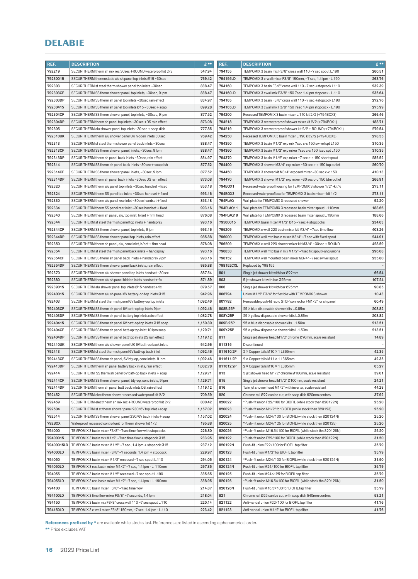| REF.       | <b>DESCRIPTION</b>                                             | $E$ **   | REF.      | <b>DESCRIPTION</b>                                               | $E$ **                   |
|------------|----------------------------------------------------------------|----------|-----------|------------------------------------------------------------------|--------------------------|
| 792219     | SECURITHERM therm sh mix rec 30sec +ROUND waterproof kit 2/2   | 547.94   | 794155    | TEMPOMIX 3 basin mix F3/8" cross wall 110~7 sec spout L.190      | 260.51                   |
| 79230015   | SECURITHERM thermostatic alu sh panel top inlets Ø15~30sec     | 769.42   | 794155LD  | TEMPOMIX 3 c-wall mixer F3/8" 150mm, ~7 sec, 1.4 lpm - L.190     | 263.76                   |
| 792303     | SECURITHERM st steel therm shower panel top inlets ~30sec      | 838.47   | 794160    | TEMPOMIX 3 basin F3/8" cross wall 110~7 sec +stopcock L110       | 232.39                   |
| 792303CF   | SECURITHERM SS therm shower panel, top inlets, ~30sec, 9 lpm   | 838.47   | 794160LD  | TEMPOMIX 3 cwall mix F3/8" 150 7sec 1.4 lpm stopcock - L.110     | 235.64                   |
| 792303DP   | SECURITHERM SS therm sh panel top inlets ~30sec rain effect    | 834.97   | 794165    | TEMPOMIX 3 basin F3/8" cross wall 110~7 sec +stopcock L190       | 272.76                   |
| 79230415   | SECURITHERM SS therm sh panel top inlets Ø15~30sec + soap      | 899.28   | 794165LD  | TEMPOMIX 3 cwall mix F3/8" 150 7sec 1.4 lpm stopcock - L.190     | 275.99                   |
| 792304CF   | SECURITHERM SS therm shower panel, top inlets, ~30sec, 9 lpm   | 877.52   | 794200    | Recessed TEMPOMIX 3 basin mixer L.110 kit 2/2 (+794BOX3)         | 266.46                   |
| 792304DP   | SECURITHERM therm sh panel top inlets ~30sec +DS rain effect   | 873.08   | 794218    | TEMPOMIX 3 rec waterproof shower mixer kit 2/2 (+794BOX1)        | 188.71                   |
| 792305     | SECURITHERM alu shower panel top inlets ~30 sec + soap dish    | 777.85   | 794219    | TEMPOMIX 3 rec waterproof shower kit 2/2 + ROUND (+794BOX1)      | 279.54                   |
| 792310UK   | SECURITHERM therm alu shower panel UK hidden inlets 30 sec     | 769.42   | 794250    | Recessed TEMPOMIX 3 basin mixer L.190 kit 2/2 (+794BOX3)         | 278.55                   |
| 792313     | SECURITHERM st steel therm shower panel back inlets ~30sec     | 838.47   | 794350    | TEMPOMIX 3 basin M1/2" exp mix 7sec c-c 150 swivel spt L150      | 310.35                   |
| 792313CF   | SECURITHERM SS therm shower panel, inlets, ~30sec, 9 lpm       | 838.47   | 794360    | TEMPOMIX 3 basin M1/2" exp mixer 7sec c-c 150 fixed spt L150     | 310.35                   |
| 792313DP   | SECURITHERM therm sh panel back inlets ~30sec, rain effect     | 834.97   | 794370    | TEMPOMIX 3 basin M1/2" exp mixer ~7 sec c-c 150 short spout      | 285.52                   |
| 792314     | SECURITHERM SS therm sh panel back inlets ~30sec + soapdish    | 877.52   | 794400    | TEMPOMIX 3 shower M3/4" exp mixer ~30 sec c-c 150 top outlet     | 260.70                   |
| 792314CF   | SECURITHERM SS therm shower panel, inlets, ~30sec, 9 lpm       | 877.52   | 794450    | TEMPOMIX 3 shower kit M3/4" exposed mixer ~30 sec c-c 150        | 410.13                   |
| 792314DP   | SECURITHERM therm sh panel back inlets ~30sec DS rain effect   | 873.08   | 794470    | TEMPOMIX 3 shower M1/2" exp mixer ~30 sec c-c 150 btm outlet     | 266.91                   |
| 792320     | SECURITHERM therm alu panel top inlets ~30sec handset +fixed   | 853.18   | 794BOX1   | Recessed waterproof housing for TEMPOMIX 3 shower 1/2" - kit 1/2 | 273.11                   |
| 792324     | SECURITHERM therm SS panel top inlets ~30sec handset + fixed   | 993.16   | 794BOX3   | Recessed waterproof box for TEMPOMIX 3 basin mixer - kit 1/2     | 273.11                   |
| 792330     | SECURITHERM therm alu panel rear inlet ~30sec handset +fixed   | 853.18   | 794PLAQ   | Wall plate for TEMPOMIX 3 recessed shower                        | 92.20                    |
| 792334     | SECURITHERM therm SS panel rear inlet ~30sec handset + fixed   | 993.16   | 794PLAQ11 | Wall plate for TEMPOMIX 3 recessed basin mixer spout L.110mm     | 188.66                   |
| 792340     | SECURITHERM therm sh panel, alu, top inlet, h/set + firm head  | 876.08   | 794PLAQ19 | Wall plate for TEMPOMIX 3 recessed basin mixer spout L.190mm     | 188.66                   |
| 792344     | SECURITHERM st steel therm sh panel top inlets + handspray     | 993.16   | 79500015  | TEMPOMIX basin mixer M1/2" Ø15 ~7sec + stopcocks                 | 234.03                   |
| 792344CF   | SECURITHERM SS therm shower panel, top inlets, 9 lpm           | 993.16   | 795209    | TEMPOMIX c-wall 220 basin mixer kit M3/4" ~7sec time flow        | 403.26                   |
| 792344DP   | SECURITHERM SS therm shower panel top inlets, rain effect      | 985.88   | 796000    | TEMPOMIX wall mtd basin mixer M3/4" ~7 sec with fixed spout      | 244.91                   |
| 792350     | SECURITHERM therm sh panel, alu, conc inlet, h/set + firm head | 876.08   | 796209    | TEMPOMIX c-wall 220 shower mixer kit M3/4"~30sec + ROUND         | 428.59                   |
| 792354     | SECURITHERM st steel therm sh panel back inlets + handspray    | 993.16   | 796838    | TEMPOMIX wall mtd basin mix M1/2" ~7sec fix spout+ang unions     | 296.08                   |
| 792354CF   | SECURITHERM SS therm sh panel back inlets + handspray 9lpm     | 993.16   | 798152    | TEMPOMIX wall mounted basin mixer M3/4" ~7sec swivel spout       | 255.80                   |
| 792354DP   | SECURITHERM SS therm shower panel back inlets, rain effect     | 985.88   | 798152CXL | Replaced by 798152                                               |                          |
| 792370     | SECURITHERM therm alu shower panel top inlets handset ~30sec   | 887.54   | 801       | Single jet shower kit with bar Ø22mm                             | 66.54                    |
| 792380     | SECURITHERM therm alu sh panel hidden inlets handset + fix     | 871.89   | 803       | 5 jet shower kit with bar Ø25mm                                  | 107.24                   |
| 79239015   | SECURITHERM alu shower panel top inlets Ø15 handset + fix      | 879.57   | 806       | Single jet shower kit with bar Ø25mm                             | 90.85                    |
| 79240015   | SECURITHERM therm alu sh panel 6V battery-op top inlets Ø15    | 942.96   | 806794    | Union M1/2" F3/4" for flexible with TEMPOMIX 3 shower            | 10.43                    |
| 792403     | SECURITHERM st steel therm sh panel 6V battery-op top inlets   | 1,092.46 | 807792    | Removable push-fit rapid STOP connector FM1/2" for sh panel      | 60.49                    |
| 792403CF   | SECURITHERM SS therm sh panel 6V batt-op top inlets 9lpm       | 1,092.46 | 808B.25P  | 25 × blue disposable shower kits L.0.85m                         | 208.82                   |
| 792403DP   | SECURITHERM SS therm sh panel battery top inlets rain effect   | 1,082.78 | 808Y.25P  | 25 × yellow disposable shower kits L.0.85m                       | 208.82                   |
| 79240415   | SECURITHERM SS therm sh panel 6V batt-op top inlets Ø15 soap   | 1,150.80 | 809B.25P  | 25 × blue disposable shower kits L.1.50m                         | 213.51                   |
| 792404CF   | SECURITHERM SS therm sh panel batt-op top inlet 10 lpm soap    | 1,129.71 | 809Y.25P  | 25 × yellow disposable shower kits L.1.50m                       | 213.51                   |
| 792404DP   | SECURITHERM SS therm sh panel batt top inlets DS rain effect   | 1,119.12 | 811       | Single jet shower head M1/2" chrome Ø70mm, scale resistant       | 14.89                    |
| 792410UK   | SECURITHERM therm alu shower panel UK 6V batt-op back inlets   | 942.96   | 811315    | Discontinued                                                     | $\overline{\phantom{a}}$ |
| 792413     | SECURITHERM st steel therm sh panel 6V batt-op back inlet      | 1,092.46 | 811610.2P | 2 × Copper tails M10 × 1 L365mm                                  | 42.35                    |
| 792413CF   | SECURITHERM SS therm sh panel, 6V bty-op, conc inlets, 9 lpm   | 1,092.46 | 811611.2P | 2 × Copper tails M11 × 1 L365mm                                  | 42.35                    |
| 792413DP   | SECURITHERM therm sh panel battery back inlets, rain effect    | 1,082.78 | 811612.2P | 2 × Copper tails M10 × 1 L385mm                                  | 65.27                    |
| 792414     | SECURITHERM SS therm sh panel 6V batt-op back inlets + soap    | 1,129.71 | 813       | 5 jet shower head M1/2" chrome Ø100mm, scale resistant           | 39.01                    |
| 792414CF   | SECURITHERM SS therm shower panel, bty-op, conc inlets, 9 lpm  | 1,129.71 | 815       | Single jet shower head M1/2" Ø100mm, scale resistant             | 24.21                    |
| 792414DP   | SECURITHERM therm sh panel batt back inlets DS, rain effect    | 1,119.12 | 816       | Twin jet shower head M1/2" with inverter, scale resistant        | 44.28                    |
| 792452     | SECURITHERM elec therm shower recessed waterproof kit 2/2      | 709.59   | 820       | Chrome rail Ø22 can be cut, with soap dish 620mm centres         | 37.92                    |
| 792459     | SECURITHERM elect therm sh mix rec +ROUND waterproof kit 2/2   | 800.42   | 820022    | *Push-fit union F22/100 for BIOFIL (while stock then 820122N)    | 25.20                    |
| 792504     | SECURITHERM st st therm shower panel 230/6V top inlet +soap    | 1,157.02 | 820023    | *Push-fit union M1/2" for BIOFIL (while stock then 820123)       | 25.20                    |
| 792514     | SECURITHERM SS therm shower panel 230/6V back inlets + soap    | 1,157.02 | 820024    | *Push-fit union M24/100 for BIOFIL (while stock then 820124N)    | 25.20                    |
| 792BOX     | Waterproof recessed control unit for therm shower kit 1/2      | 195.88   | 820025    | *Push-fit union M24/125 for BIOFIL (while stock then 820125)     | 25.20                    |
| 794000     | TEMPOMIX 3 basin mixer F3/8" ~ 7sec time flow with stopcocks   | 226.80   | 820026    | *Push-fit union M16.5×100 for BIOFIL (while stock thn 820126N)   | 25.20                    |
| 79400015   | TEMPOMIX 3 basin mix M1/2" ~7sec time flow + stopcock Ø15      | 233.95   | 820122    | *Push-fit union F22/100 for BIOFIL (while stock then 820122N)    | 31.50                    |
| 79400015LD | TEMPOMIX 3 basin mixer M1/2" ~7 sec., 1.4 lpm + stopcock Ø15   | 237.12   | 820122N   | Push-fit union F22/100 for BIOFIL tap filter                     | 35.79                    |
| 794000LD   | TEMPOMIX 3 basin mixer F3/8" ~7 seconds, 1.4 lpm + stopcock    | 229.97   | 820123    | Push-fit union M1/2" for BIOFIL tap filter                       | 35.79                    |
| 794050     | TEMPOMIX 3 basin mixer M1/2" recessed ~7 sec spout L.110       | 294.05   | 820124    | *Push-fit union M24/100 for BIOFIL (while stock then 820124N)    | 31.50                    |
| 794050LD   | TEMPOMIX 3 rec. basin mixer M1/2" ~7 sec, 1.4 lpm - L. 110mm   | 297.35   | 820124N   | Push-fit union M24/100 for BIOFIL tap filter                     | 35.79                    |
| 794055     | TEMPOMIX 3 basin mixer M1/2" recessed ~7 sec spout L.190       | 335.65   | 820125    | Push-fit union M24×125 for BIOFIL tap filter                     | 35.79                    |
| 794055LD   | TEMPOMIX 3 rec. basin mixer M1/2" ~7 sec, 1.4 lpm - L. 190mm   | 338.95   | 820126    | *Push-fit union M16.5×100 for BIOFIL (while stock thn 820126N)   | 31.50                    |
| 794100     | TEMPOMIX 3 basin mixer F3/8" ~7sec time flow                   | 214.87   | 820126N   | Push-fit union M16.5×100 for BIOFIL tap filter                   | 35.79                    |
| 794100LD   | TEMPOMIX 3 time flow mixer F3/8" ~7 seconds, 1.4 lpm           | 218.04   | 821       | Chrome rail Ø25 can be cut, with soap dish 540mm centres         | 53.21                    |
| 794150     | TEMPOMIX 3 basin mix F3/8" cross wall 110~7 sec spout L.110    | 220.14   | 821122    | Anti-vandal union F22/100 for BIOFIL tap filter                  | 41.76                    |
| 794150LD   | TEMPOMIX 3 c-wall mixer F3/8" 150mm, ~7 sec, 1.4 lpm - L.110   | 223.42   | 821123    | Anti-vandal union M1/2" for BIOFIL tap filter                    | 41.76                    |

References prefixed by \* are available while stocks last. References are listed in ascending alphanumerical order.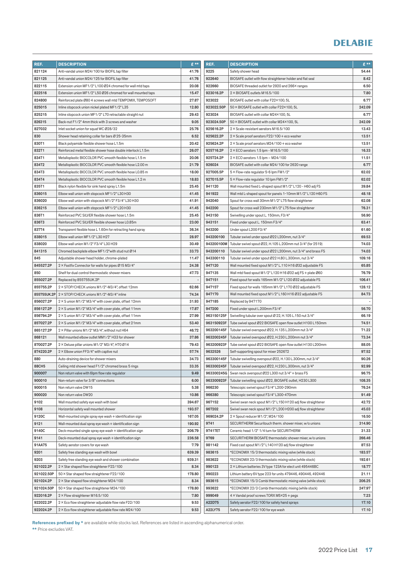| REF.           | <b>DESCRIPTION</b>                                              | £**             | REF.             | <b>DESCRIPTION</b>                                                                                                           | $E***$         |
|----------------|-----------------------------------------------------------------|-----------------|------------------|------------------------------------------------------------------------------------------------------------------------------|----------------|
| 821124         | Anti-vandal union M24/100 for BIOFIL tap filter                 | 41.76           | 9225             | Safety shower head                                                                                                           | 54.44          |
| 821125         | Anti-vandal union M24/125 for BIOFIL tap filter                 | 41.76           | 922640           | BIOSAFE outlet with flow straightener holder and flat seal                                                                   | 8.42           |
| 822115         | Extension union MF1/2" L100 Ø24 chromed for wall mtd taps       | 20.08           | 922660           | BIOSAFE threaded outlet for 2920 and 266X ranges                                                                             | 6.50           |
| 822516         | Extension union MF1/2" L50 Ø26 chromed for wall mounted taps    | 15.47           | 923016.2P        | 2 × BIOSAFE outlets M16.5/100                                                                                                | 7.80           |
| 824800         | Reinforced plate Ø80 4 screws wall mtd TEMPOMIX, TEMPOSOFT      | 27.87           | 923022           | BIOSAFE outlet with collar F22×100, 5L                                                                                       | 6.77           |
| 825015         | Inline stopcock union nickel plated MF1/2" L35                  | 12.80           | 923022.50P       | 50 × BIOSAFE outlet with collar F22×100, 5L                                                                                  | 242.09         |
| 825215         | Inline stopcock union MF1/2" L70 retractable straight nut       | 29.43           | 923024           | BIOSAFE outlet with collar M24×100, 5L                                                                                       | 6.77           |
| 826315         | Back-nut F1/2" 4mm thick with 3 screws and washer               | 9.05            | 923024.50P       | 50 × BIOSAFE outlet with collar M24×100, 5L                                                                                  | 242.09         |
| 827032         | Inlet socket union for squat WC Ø28/32                          | 25.76           | 925616.2P        | $2 \times$ Scale-resistant aerators M16.5/100                                                                                | 13.43          |
| 830            | Shower head retaining collar for bars Ø 25-35mm                 | 6.52            | 925622.2P        | $2 \times$ Scale proof aerators F22/100 + eco washer                                                                         | 13.51          |
| 830T1          | Black polyamide flexible shower hose L1.5m                      | 20.42           | 925624.2P        | $2 \times$ Scale proof aerators M24/100 + eco washer                                                                         | 13.51          |
| 832T1          | Reinforced metal flexible shower hose double interlock L1.5m    | 26.07           | 925716.2P        | $2 \times$ ECO aerators 1.5 lpm - M16.5/100                                                                                  | 16.33          |
| 834T1          | Metalloplastic BIOCOLOR PVC smooth flexible hose L1.5 m         | 20.06           | 925724.2P        | $2 \times$ ECO aerators 1.5 lpm - M24/100                                                                                    | 11.51          |
| 834T2          | Metalloplastic BIOCOLOR PVC smooth flexible hose L2.00 m        | 21.79           | 926024           | BIOSAFE outlet with collar M24/100 for 2620 range                                                                            | 6.77           |
| 834T3          | Metalloplastic BIOCOLOR PVC smooth flexible hose L0.85 m        | 18.00           | 927005.5P        | 5 × Flow-rate regulator 5-6 lpm FM1/2"                                                                                       | 62.02          |
| 834T4          | Metalloplastic BIOCOLOR PVC smooth flexible hose L1.2 m         | 18.83           | 927015.5P        | 5 × Flow-rate regulator 10 lpm FM1/2"                                                                                        | 62.02          |
| 835T1          | Black nylon flexible for sink hand spray L1.5m                  | 25.45           | 941120           | Wall mounted fixed L-shaped spout M1/2" L120 - H60 adj FS                                                                    | 39.84          |
| 836015         | Elbow wall union with stopcock MF1/2" L30 H30                   | 41.45           | 941922           | Wall mtd L-shaped spout for panels 1-10mm M1/2" L120 H60 FS                                                                  | 48.18          |
| 836020         | Elbow wall union with stopcock M1/2" F3/4" L30 H30              | 41.91           | 942040           | Spout for cross wall 30mm M1/2" L75 flow straightener                                                                        | 62.08          |
| 836215         | Elbow wall union with stopcock MF1/2" L20 H30                   | 41.45           | 942200           | Spout for cross wall 230mm M1/2" L75 flow straightener                                                                       | 76.31          |
| 836T1          | Reinforced PVC SILVER flexible shower hose L1.5m                | 25.45           | 943150           | Swivelling under spout L. 150mm, F3/4"                                                                                       | 56.90          |
| 836T3          | Reinforced PVC SILVER flexible shower hose L0.85m               | 23.00           | 943151           | Fixed under spout L. 150mm F3/4"                                                                                             | 63.41          |
| 837T4          | Transparent flexible hose L 1.60m for retracting hand spray     | 36.34           | 943200           | Under spout L200 F3/4"                                                                                                       | 61.60          |
| 838015         | Elbow wall union MF1/2" L30 H27                                 | 28.97           | 943200100        | Tubular swivel under spout Ø22 L200mm, nut 3/4"                                                                              | 69.53          |
| 838020         | Elbow wall union M1/2" F3/4" L30 H29                            | 30.49           | 943200100M       | Tubular swivel spout Ø22, H.105 L.200mm nut 3/4" (for 2519)                                                                  | 74.03          |
| 841315         | Chromed backplate elbow MF1/2"with stud nut Ø14                 | 33.73           | 943200110        | Tubular swivel under spout Ø22 L200mm, nut 3/4" and brass FS                                                                 | 74.03          |
| 845            | Adjustable shower head holder, chrome-plated                    | 11.47           | 943300110        | Tubular swivel under spout Ø22 H.80 L.300mm, nut 3/4"                                                                        | 109.16         |
| 845527.2P      | 2 × Fastfix Connector for walls for pipes Ø15 M3/4"             | 24.38           | 947120           | Wall mounted fixed spout M1/2" L.110 H16 Ø32 adjustable FS                                                                   | 65.85          |
| 850            | Shelf for dual control thermostatic shower mixers               | 47.73           | 947135           | Wall mtd fixed spout M1/2" L120 H16 Ø32 adj FS + plate Ø60                                                                   | 76.79          |
| 855027.2P      | Replaced by 855755UK.2P                                         |                 | 947151           | Fixed spout for walls 165mm M1/2" L120 Ø32 adjustable FS                                                                     | 106.41         |
| 855755.2P      | 2 × STOP/CHECK unions M1/2"-M3/4", offset 12mm                  | 62.66           | 947157           | Fixed spout for walls 165mm M1/2" L170 Ø32 adjustable FS                                                                     | 128.12         |
| 855755UK.2P    | 2 × STOP/CHECK unions M1/2"-M3/4" inline                        | 74.34           | 947170           | Wall mounted fixed spout M1/2" L160 H16 Ø32 adjustable FS                                                                    | 84.73          |
| 856027.2P      | 2 × S union M1/2" M3/4" with cover plate, offset 12mm           | 31.93           | 947185           | Replaced by 947170                                                                                                           |                |
| 856127.2P      | 2 × S union M1/2" M3/4" with cover plate, offset 11mm           | 17.87           | 947200           | Fixed under spout L.200mm F3/4"                                                                                              | 56.70          |
| 856794.2P      | 2 × S union M1/2" M3/4" with cover plate, offset 11mm           | 27.99           | 963150125F       | Swivelling tubular over spout Ø 22, H.105 L.150 nut 3/4"                                                                     | 66.19          |
| 857027.2P      | 2 × S union M1/2" M3/4" with cover plate, offset 21mm           | 53.40           | 963150923F       | Tube swivel spout Ø22 BIOSAFE open flow outlet H100 L150mm                                                                   | 74.51          |
| 865127.2P      | 2 × Pillar unions M1/2" M3/4", without nut H64                  | 46.72           | 963200145F       | Tubular swivel overspout Ø22, H.135 L.200mm nut 3/4"                                                                         | 71.22          |
| 868121         | Wall mounted elbow outlet MM1/2" H33 for shower                 | 37.86           | 963200245F       | Tubular swivel overspout Ø22, H.230 L.200mm nut 3/4"                                                                         | 73.34          |
| 870027.2P      | 2 × Deluxe pillar unions M1/2" M3/4", H70 Ø14                   | 79.43           | 963200923F       | Tube swivel spout Ø22 BIOSAFE open flow outlet H130 L200mm                                                                   | 88.05          |
| 874220.2P      | $2 \times$ Elbow union FF3/4" with captive nut                  | 57.74           | 9632526          | Self-supporting spout for mixer 2526T2                                                                                       | 97.52          |
| 880            | Auto-draining device for shower mixers                          | 34.73           | 963300145F       | Tubular swivelling overspout Ø22, H.130 L.300mm, nut 3/4"                                                                    | 90.26          |
| <b>88CH5</b>   | Ceiling mtd shower head F1/2" chromed brass 5 rings             | 33.35           | 963300245F       | Tubular swivel overspout Ø22, H.230 L.300mm, nut 3/4"                                                                        | 92.99          |
| 900007         | Non return valve with 6lpm flow rate regulator                  | 9.49            | 963300245G       | Swan neck overspout Ø22 L300 nut 3/4" + brass FS                                                                             | 96.75          |
| 900010         | Non-return valve for 3/8" connections                           | 6.00            | 963300923F       | Tubular swivelling spout Ø22, BIOSAFE outlet, H230 L300                                                                      | 108.35         |
| 900015         | Non return valve DW15                                           | 5.38            | 966230           | Telescopic swivel spout F3/4" L200-290mm                                                                                     | 76.24          |
| 900020<br>9102 | Non return valve DW20<br>Wall mounted safety eye wash with bowl | 10.86<br>394.67 | 966380<br>967152 | Telescopic swivel spout F3/4" L300-470mm                                                                                     | 91.49<br>42.72 |
| 9108           | Horizontal safety wall mounted shower                           | 193.57          | 967202           | Swivel swan neck spout M1/2" L150 H120 adj flow straightener<br>Swivel swan neck spout M1/2" L200 H200 adj flow straightener | 45.03          |
| 9120C          | Wall-mounted single spray eye wash + identification sign        | 167.05          | 969024.2P        | 2 × Spout reducer M1/2", M24/100                                                                                             | 16.50          |
| 9121           | Wall-mounted dual spray eye wash + identification sign          | 190.92          | 9741             | SECURITHERM Securitouch therm. shower mixer, w/o unions                                                                      | 314.90         |
| 9140C          | Deck-mounted single spray eye wash + identification sign        | 206.79          | 9741TET          | Ceramic head 1/2" 1/4 turn for SECURITHERM                                                                                   | 31.33          |
| 9141           | Deck-mounted dual spray eye wash + identification sign          | 236.58          | 9769             | SECURITHERM BIOSAFE thermostatic shower mixer, w/o unions                                                                    | 266.46         |
| 91AA75         | Safety aerator covers for eye wash                              | 7.79            | 981142           | Fixed cast spout M1/2" L140 H120 adj flow straightener                                                                       | 87.53          |
| 9201           | Safety free standing eye wash with bowl                         | 639.39          | 983615           | *ECONOMIX 15/3 thermostatic mixing valve (while stock)                                                                       | 183.57         |
| 9203           | Safety free standing eye wash and shower combination            | 939.31          | 983622           | *ECONOMIX 22/3 thermostatic mixing valve (while stock)                                                                       | 192.61         |
| 921022.2P      | 2 × Star shaped flow straightener F22/100                       | 8.34            | 990123           | 2 × Lithium batteries 3V type 123A for elect unit 495446BC                                                                   | 18.77          |
| 921022.50P     | 50 × Star shaped flow straightener F22/100                      | 178.80          | 990223           | Lithium battery 6V type 223 for units 479446, 490446, 492446                                                                 | 21.11          |
| 921024.2P      | 2 × Star shaped flow straightener M24/100                       | 8.34            | 993615           | *ECONOMIX 15/3 Combi thermostatic mixing valve (while stock)                                                                 | 206.25         |
| 921024.50P     | 50 × Star shaped flow straightener M24/100                      | 178.80          | 993622           | *ECONOMIX 22/3 Combi thermostatic mixing (while stock)                                                                       | 247.97         |
| 922016.2P      | 2 × Flow straightener M16.5/100                                 | 7.80            | 999049           | 4 × Vandal proof screws TORX M5×25 + pegs                                                                                    | 7.23           |
| 922022.2P      | 2 × Eco flow straightener adjustable flow rate F22/100          | 9.53            | A22D75           | Safety aerator F22/100 for safety hand sprays                                                                                | 17.10          |
| 922024.2P      | 2 × Eco flow straightener adjustable flow rate M24/100          | 9.53            | A22LY75          | Safety aerator F22/100 for eye wash                                                                                          | 17.10          |
|                |                                                                 |                 |                  |                                                                                                                              |                |

References prefixed by \* are available while stocks last. References are listed in ascending alphanumerical order.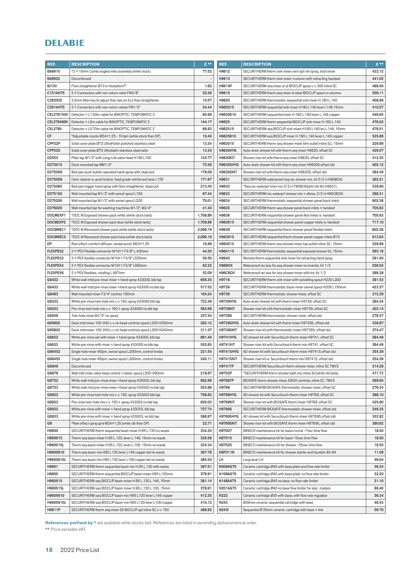| REF.       | <b>DESCRIPTION</b>                                                                                                       | $E$ **                   | REF.             | <b>DESCRIPTION</b>                                                                                             | $E$ ** |
|------------|--------------------------------------------------------------------------------------------------------------------------|--------------------------|------------------|----------------------------------------------------------------------------------------------------------------|--------|
| BA9915     | *2 × 15mm Combi angled inlet assembly (while stock)                                                                      | 77.52                    | H9612            | SECURITHERM therm sink mixer swvl spt/ret spray, short lever                                                   | 422.12 |
| BA9922     | Discontinued                                                                                                             | $\overline{\phantom{a}}$ | H9613            | SECURITHERM therm sink mixer +column with retracting handset                                                   | 441.02 |
| BJ13V      | Flow straightener Ø13 in Hostaform®                                                                                      | 1.62                     | H9614P           | SECURITHERM seq mixer st st BIOCLIP spout c-c 200 inline SC                                                    | 488.00 |
| C151AH75   | 2 × Connectors with non-return valve FM3/8"                                                                              | 20.36                    | H9615            | SECURITHERM therm seq mixer st steel BIOCLIP spout w columns                                                   | 556.11 |
| C282025    | 2.5mm Allen key to adjust flow rate on Eco flow straightener                                                             | 10.57                    | H9620            | SECURITHERM thermostatic sequential sink mixer H.160 L.140                                                     | 408.88 |
| C291AH75   | 2 × Connectors with non-return valves FM1/2"                                                                             | 24.44                    | H962015          | SECURITHERM sequential sink mixer H160 L140 lever L146 15mm                                                    | 410.27 |
| CEL378150V | Detector + L1.50m cable for BINOPTIC, TEMPOMATIC 2                                                                       | 85.69                    | H9620610         | SECURITHERM sequential mixer H.160 L.140 lever L.146 copper                                                    | 448.95 |
| CEL378499V | Detector + L5m cable for BINOPTIC, TEMPOMATIC 2                                                                          | 144.17                   | H9625            | SECURITHERM therm sequential BIOCLIP sink mixer H.160 L.140                                                    | 476.03 |
| CEL378V    | Detector + L0.70m cable for BINOPTIC, TEMPOMATIC 2                                                                       | 66.83                    | H962515          | SECURITHERM seq BIOCLIP sink mixer H160 L140 lev L.146, 15mm                                                   | 478.51 |
| СF         | *Adjustable nozzle M24×1.25 - 10 lpm (while stock then DP)                                                               | 10.40                    | H9625610         | SECURITHERM seq BIOCLIP mixer H.160 L.140 lever L.146 copper                                                   | 535.86 |
| CPP32P     | Solid cover plate Ø72 UltraPolish polished stainless steel                                                               | 13.34                    | H963015          | SECURITHERM therm seq shower mixer btm outlet inline SC, 15mm                                                  | 329.89 |
| CPP32S     | Solid cover plate Ø72 UltraSatin stainless steel satin                                                                   | 13.34                    | <b>H9630HYG</b>  | Auto-drain shower kit with therm seg mixer H9630, offset SC                                                    | 429.57 |
| D2553      | Pillar tap M1/2" with Long-Life valve head H190 L150                                                                     | 124.77                   | <b>H9630KIT</b>  | Shower riser kit with therm seq mixer H9630, offset SC                                                         | 412.35 |
| D273015    | Deck mounted tap MM1/2"                                                                                                  | 72.59                    | <b>H9630SHYG</b> | Auto-drain shower kit with therm seq mixer H9630S offset std                                                   | 402.12 |
| D275058    | Bed pan push button operated hand spray with stopcock                                                                    | 178.09                   | <b>H9630SKIT</b> | Shower riser kit with therm seq mixer H9630S, offset std                                                       | 384.49 |
| D275059    | Oven cleaner w. push button, food grade reinforced hose L125                                                             | 171.97                   | H9631            | SECURITHERM waterproof seq rec shower mix, kit 2/2 (+H96BOX)                                                   | 262.51 |
| D275065    | Bed pan trigger hand spray with flow straightener, stopcock                                                              | 213.45                   | H9632            | *Seq rec waterprf shwr mix 2/2 (+790BOX)(whl stk thn H9631)                                                    | 339.90 |
| D275150    | Wall mounted tap M1/2" with swivel spout L150                                                                            | 67.44                    | H9633            | SECURITHERM rec waterprf shower mix + elbow, 2/2 (+H96CBOX)                                                    | 298.31 |
| D275200    | Wall mounted tap M1/2" with swivel spout L200                                                                            | 70.01                    | H9634            | SECURITHERM thermostatic sequential shower panel back inlets                                                   | 602.36 |
| D276020    | Wall mounted tap for washing machines M1/2", M3/4"                                                                       | 41.30                    | H9635            | SECURITHERM therm seg shower panel back inlets + handset                                                       | 705.63 |
| DOCMEXP1   | *DOC M Exposed shower pack white (while stock lasts)                                                                     | 1,708.86                 | H9636            | SECURITHERM sequential shower panel flexi inlets w. handset                                                    | 705.63 |
| DOCMEXP2   | *DOC M Exposed shower pack blue (while stock lasts)                                                                      | 1,708.86                 | H963615          | SECURITHERM sequential shower panel copper inlets w. handset                                                   | 717.10 |
| DOCMREC1   | *DOC M Recessed shower pack white (while stock lasts)                                                                    | 2,096.19                 | H9639            | SECURITHERM sequential therm shower panel flexible inlets                                                      | 602.36 |
| DOCMREC2   | *DOC M Recessed shower pack blue (while stock lasts)                                                                     | 2,096.19                 | H963915          | SECURITHERM sequential therm shower panel copper inlets Ø15                                                    | 613.84 |
| DP         | Rain effect comfort diffuser, vandal proof, M24×1.25                                                                     | 16.96                    | H964015          | SECURITHERM therm seq shower mixer top outlet inline SC, 15mm                                                  | 329.89 |
| FLEXPEX2   | 2 × PEX Flexible connector M10×1 F3/8" L.420mm                                                                           | 44.20                    | H964115          | SECURITHERM thermostatic sequential exposed shower kit, 15mm                                                   | 563.16 |
| FLEXPEX3   | 2 × PEX flexible connector M10×1 F3/8" L525mm                                                                            | 50.50                    | H9642            | Remote therm sequential sink mixer for retracting hand spray                                                   | 281.00 |
| FLEXPEX4   | 2 × PEX flexible connector M10×1 F3/8" L660mm                                                                            | 62.22                    | H96BOX           | Waterproof rec box for seg shower mixer no inverter, kit 1/2                                                   | 256.55 |
| FLEXPEX6   | 2 × PEX flexibles, rotating L.467mm                                                                                      | 52.09                    | H96CBOX          | Waterproof rec box for seq shower mixer with inv, kit 1/2                                                      | 286.38 |
| G6432      | White wall-mtd pre-rinse mixer + hand spray 433000, bib tap                                                              | 656.35                   | H9716            | SECURITHERM therm sink mixer with swivelling spout H230 L200                                                   | 381.53 |
| G6433      |                                                                                                                          | 517.52                   | H9726            | SECURITHERM thermostatic basin mixer swivel spout H205 L150mm                                                  | 423.37 |
| G6493      | White wall-mtd pre-rinse mixer +hand spray 433000 no bib tap<br>Wall mounted mixer F3/4" centres 150mm                   | 184.24                   | H9739            | SECURITHERM thermostatic shower mixer, offset SC                                                               | 312.39 |
| G6532      |                                                                                                                          | 722.48                   | <b>H9739HYG</b>  | Auto-drain shower kit with therm mixer H9739, offset SC                                                        | 384.34 |
| G6533      | White pre-rinse twin hole mix c-c 150, spray 433000 bib tap                                                              | 583.69                   | <b>H9739KIT</b>  |                                                                                                                | 422.14 |
| G6559      | Pre-rinse twin hole mix c-c 150 + spray 433000 no bib tap                                                                | 237.54                   | <b>H9739S</b>    | Shower riser kit with thermostatic mixer H9739, offset SC                                                      | 278.37 |
| G65602     | Twin hole mixer M1/2" no spout<br>Deck mtd mixer 100-240 c-c vlv head controls spout L200 H250mm                         | 283.12                   | <b>H9739SHYG</b> | SECURITHERM thermostatic shower mixer, offset std<br>Auto-drain shower kit with therm mixer H9739S, offset std | 336.67 |
| G65603     | Deck mtd mixer 100-240 c-c vlv head controls spout L300 H340mm                                                           | 311.47                   | <b>H9739SKIT</b> | Shower riser kit with thermostatic mixer H9739S, offset std                                                    | 374.47 |
| G6632      |                                                                                                                          | 691.40                   | <b>H9741HYG</b>  | AD shower kit with Securitouch therm mixer H9741, offset SC                                                    | 384.49 |
| G6633      | White pre-rinse set with mixer + hand spray 433000, bib tap<br>White pre-rinse with mixer + hand spray 433000 no bib tap | 552.65                   | <b>H9741KIT</b>  | Shower riser kit with Securitouch therm mix H9741, offset SC                                                   | 384.49 |
| G66452     | Single hole mixer 45lpm, swivel spout L200mm, control knobs                                                              | 221.54                   | <b>H9741SHYG</b> | AD shower kit with Securitouch therm mixer H9741S offset std                                                   | 354.39 |
| G66453     | Single hole mixer 45lpm, swivel spout L300mm, control knobs                                                              | 245.11                   | <b>H9741SKIT</b> | Shower riser kit w. Securitouch therm mix H9741S, offset std                                                   | 354.39 |
|            |                                                                                                                          |                          |                  |                                                                                                                |        |
| G6649      | Discontinued                                                                                                             | $\overline{\phantom{a}}$ | <b>H9741TP</b>   | SECURITHERM Securitouch therm shower mixer, inline SC TMV3                                                     | 314.28 |
| G6679      | Wall mtd mixer valve head control + telesc spout L200-290mm                                                              | 219.87                   | H9752P           | *SECURITHERM therm shower bath mix inline SC(while stk lasts)                                                  | 471.73 |
| G6732      | White wall-mtd pre-rinse mixer +hand spray 433003, bib tap                                                               | 692.69                   | <b>H9768TP</b>   | BIOSAFE therm shower mixer, ERGO controls, inline SC, TMV3                                                     | 289.65 |
| G6733      | White wall-mtd pre-rinse mixer +hand spray 433003 no bib tap                                                             | 553.86                   | H9769            | SECURITHERM BIOSAFE thermostatic shower mixer, offset SC                                                       | 276.34 |
| G6832      | White pre-rinse twin hole mix c-c 150, spray 433003 bib tap                                                              | 758.82                   | <b>H9769HYG</b>  | AD shower kit with Securitouch therm mixer H9769, offset SC                                                    | 388.10 |
| G6833      | Pre-rinse twin hole mix c-c 150 + spray 433003 no bib tap                                                                | 620.03                   | <b>H9769KIT</b>  | Shower riser kit with BIOSAFE therm mixer H9769, offset SC                                                     | 425.90 |
| G6932      | White pre-rinse with mixer + hand spray 433003, bib tap                                                                  | 727.74                   | <b>H9769S</b>    | SECURITHERM BIOSAFE thermostatic shower mixer, offset std                                                      | 246.35 |
| G6933      | White pre-rinse with mixer + hand spray 433003, no bib tap                                                               | 588.97                   | <b>H9769SHYG</b> | AD shower kit with Securitouch therm mixer H9769S offset std                                                   | 352.82 |
| GR         | *Rain effect spray grid M24×1.25 (while stk then DP)                                                                     | 22.71                    | <b>H9769SKIT</b> | Shower riser kit with BIOSAFE therm mixer H9769S, offset std                                                   | 390.62 |
| H9600      | SECURITHERM therm sequential basin mixer H.95 L.120 no waste                                                             | 334.34                   | <b>KB7007</b>    | BINECO maintenance kit for basin/urinal ~7sec time flow                                                        | 18.50  |
| H960015    | Therm seq basin mixer H.95 L.120, lever L.146, 15mm no waste                                                             | 336.56                   | KB7015           | BINECO maintenance kit for basin 15sec time flow                                                               | 18.50  |
| H960015L   | Therm seq basin mixer H.95 L.120, lever L.100, 15mm no waste                                                             | 334.34                   | KB7025           | BINECO maintenance kit for shower ~25 sec time flow                                                            | 18.50  |
| H9600610   | Therm seq basin mix H95 L120 lever L146 copper tail no waste                                                             | 367.78                   | KBP311N          | BINECO maintenance kit for shower starter and fountain 83-84                                                   | 11.09  |
| H9600610L  | Therm seq basin mix H95 L120 lever L100 copper tail no waste                                                             | 365.54                   | LH               | Long lever LH                                                                                                  | 46.04  |
| H9601      | SECURITHERM therm sequential basin mix H.95 L.120 with waste                                                             | 387.51                   | N009AG75         | Ceramic cartridge Ø40 with base plate and flow rate limiter                                                    | 36.34  |
| H9605      | SECURITHERM therm sequential BIOCLIP basin mixer H95 L120mm                                                              | 378.91                   | N109AG75         | Ceramic cartridge Ø40 with base plate, no flow rate limiter                                                    | 32.20  |
| H960515    | SECURITHERM seq BIOCLIP basin mixer H.95 L.120 L.146, 15mm                                                               | 381.14                   | N148AA75         | Ceramic cartridge Ø40 no base, no flow rate limiter                                                            | 31.10  |
| H960515L   | SECURITHERM seq BIOCLIP basin mixer H.95 L.120 L.100, 15mm                                                               | 378.91                   | N201AG75         | Ceramic cartridge Ø40 no base flow limiter for elec. models                                                    | 69.40  |
| H9605610   | SECURITHERM seq BIOCLIP basin mix H95 L120 lever L146 copper                                                             | 412.35                   | N222             | Ceramic cartridge Ø35 with base, with flow rate regulator                                                      | 36.34  |
| H9605610L  | SECURITHERM seq BIOCLIP basin mix H95 L120 lever L100 copper                                                             | 410.12                   | N243             | Ø35mm ceramic sequential cartridge with base                                                                   | 48.43  |
| H9611P     | SECURITHERM therm seq mixer SS BIOCLIP spt inline SC c-c 150                                                             | 488.92                   | N2431            | Sequential Ø 35mm ceramic cartridge with base + link                                                           | 56.70  |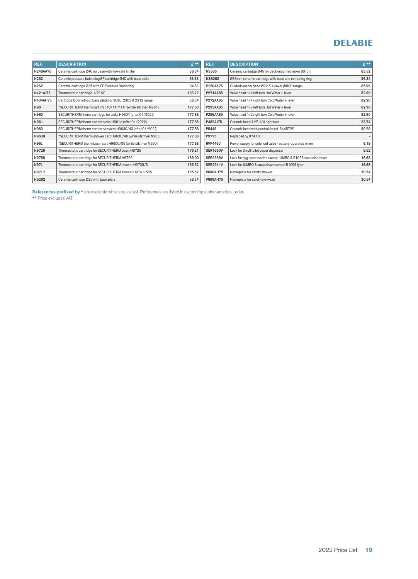| REF.            | <b>DESCRIPTION</b>                                            | $f^*$  | REF.            | <b>DESCRIPTION</b>                                            | $E$ ** |
|-----------------|---------------------------------------------------------------|--------|-----------------|---------------------------------------------------------------|--------|
| N248AA75        | Ceramic cartridge Ø40 no base with flow rate limiter          | 36.34  | <b>NS565</b>    | Ceramic cartridge Ø45 for deck-mounted mixer 60 lpm           | 83.52  |
| N252            | Ceramic pressure balancing EP cartridge Ø40 with base plate   | 93.33  | <b>NSB262</b>   | Ø35mm ceramic cartridge with base and centering ring          | 36.34  |
| N262            | Ceramic cartridge Ø35 with EP Pressure Balancing              | 84.63  | P120AA75        | Guided washer head Ø22.5 + cover (5800 range)                 | 85.96  |
| N421AJ75        | Thermostatic cartridge 1/2" NF                                | 183.22 | P271AA85        | Valve head 1/4 left turn Hot Water + lever                    | 82.90  |
| <b>N434AH75</b> | Cartridge Ø35 without base plate for 3020, 2303 & 2312 range  | 36.34  | P272AA85        | Valve head 1/4 right turn Cold Water + lever                  | 82.90  |
| N96             | *SECURITHERM therm cart H9610/14P/11P (while stk then N961)   | 177.88 | P295AA85        | Valve head 1/2 left turn Hot Water + lever                    | 82.90  |
| N960            | SECURITHERM therm cartridge for sinks H960× (after 01/2022)   | 177.88 | P296AA85        | Valve head 1/2 right turn Cold Water + lever                  | 82.90  |
| N961            | SECURITHERM therm cart for sinks H961× (after 01/2022)        | 177.88 | P482AJ75        | Ceramic head 1/2" 1/4 right turn                              | 23.74  |
| N963            | SECURITHERM therm cart for showers H9630/40 (after 01/2022)   | 177.88 | P5445           | Ceramic head with control for ref. 5445T2S                    | 30.29  |
| N9630           | *SECURITHERM therm shower cart H9630/40 (while stk then N963) | 177.88 | P9775           | Replaced by 9741TET                                           |        |
| <b>N96L</b>     | *SECURITHERM therm basin cart H9600/05 (while stk then N960)  | 177.88 | <b>RVP446V</b>  | Power supply for solenoid valve - battery-operated mixer      | 9.19   |
| N9726           | Thermostatic cartridge for SECURITHERM basin H9726            | 176.21 | <b>SER1660V</b> | Lock for 2-roll toilet paper dispenser                        | 6.52   |
| N9769           | Thermostatic cartridge for SECURITHERM H9769                  | 189.00 | <b>SER2559V</b> | Lock for hyg. accessories except JUMBO & 51058 soap dispenser | 16.68  |
| <b>N97L</b>     | Thermostatic cartridge for SECURITHERM shower H9739/S         | 155.52 | <b>SER2911V</b> | Lock for JUMBO & soap dispensers of 51058 type                | 16.68  |
| N97LR           | Thermostatic cartridge for SECURITHERM shower H9741/52S       | 155.52 | <b>V668AH75</b> | Nameplate for safety shower                                   | 30.54  |
| <b>NS262</b>    | Ceramic cartridge Ø35 with base plate                         | 36.34  | <b>V669AH75</b> | Nameplate for safety eye wash                                 | 30.54  |

References prefixed by \* are available while stocks last. References are listed in ascending alphanumerical order.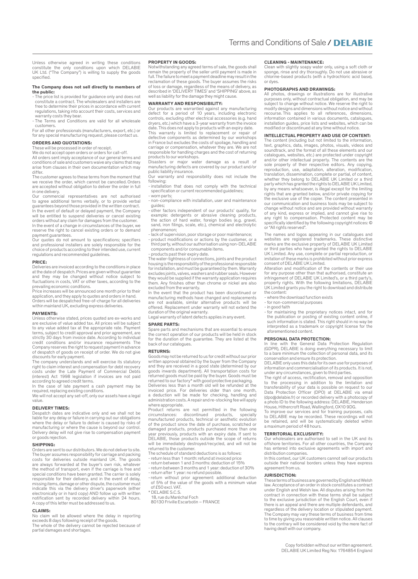Unless otherwise agreed in writing these conditions constitute the only conditions upon which DELABIE UK Ltd. ("The Company") is willing to supply the goods specified.

#### The Company does not sell directly to members of the public:

- The price list is provided for guidance only and does not constitute a contract. The wholesalers and installers are free to determine their prices in accordance with current regulations, taking into account their costs, services and
- warranty costs they bear. - The Terms and Conditions are valid for all wholesale customers.

For all other professionals (manufacturers, export, etc.) or for any special manufacturing request, please contact us.

#### ORDERS AND QUOTATIONS:

These will be processed in order of receipt.

We do not accept open orders or orders for call-off. All orders sent imply acceptance of our general terms and conditions of sale and customers waive any claims that may arise from clauses in their own documentation which may differ.

The customer agrees to these terms from the moment that we receive the order, which cannot be cancelled. Orders are accepted without obligation to deliver the order in full in one delivery.

Our commercial representatives are not authorised to agree additional terms verbally, or to provide verbal guarantees beyond those provided in the written contract. In the event of default or delayed payment, the Company will be entitled to suspend deliveries or cancel existing orders without any claim for damages from the customer. In the event of a change in circumstances of the buyer, we reserve the right to cancel existing orders or to demand

payment guarantees. Our quotes do not amount to specifications; specifiers and professional installers are solely responsible for the choice of products according to their intended use, current regulations and recommended guidelines.

#### PRICE:

Deliveries are invoiced according to the conditions in place at the date of despatch. Prices are given without guarantee and they may be changed without notice subject to fluctuations in costs, VAT or other taxes, according to the

prevailing economic conditions. Price increases will be announced one month prior to their application, and they apply to quotes and orders in hand. Orders will be despatched free-of-charge for all deliveries within mainland UK, excluding express deliveries.

#### PAYMENTS:

Unless otherwise stated, prices quoted are ex-works and are exclusive of value added tax. All prices will be subject to any value added tax at the appropriate rate. Payment terms, subject to credit approval and prior agreement, are strictly 30 days from invoice date. According to individual credit conditions and/or insurance requirements The Company reserves the right to request payment in advance of despatch of goods on receipt of order. We do not give discounts for early payment.

The company understands and will exercise its statutory right to claim interest and compensation for debt recovery costs under the Late Payment of Commercial Debts (interest) Act 1998 legislation if invoices are not paid according to agreed credit terms.

In the case of late payment a cash payment may be required, replacing existing conditions.

We will not accept any set-off, only our assets have a legal value.

#### DELIVERY TIMES:

Despatch dates are indicative only and we shall not be liable for any delay or failure in carrying out our obligations where the delay or failure to deliver is caused by risks of manufacturing or where the cause is beyond our control. Delivery delay will not give rise to compensation payment or goods rejection.

#### SHIPPING:

Orders are sent to our distributors. We do not deliver to site. The buyer assumes responsibility for carriage and packing costs for deliveries outside mainland UK. The goods are always forwarded at the buyer's own risk, whatever the method of transport, even if the carriage is free and special conditions have been granted. The carrier is solely responsible for their delivery, and in the event of delay,<br>missing items, damage or other dispute, the customer must<br>indicate this via the delivery driver's paperwork (either<br>electronically or in hard copy) AND follow up w notification sent by recorded delivery within 24 hours. A copy of this letter must be addressed to us.

#### CLAIMS:

No claim will be allowed where the delay in reporting exceeds 8 days following receipt of the goods. The whole of the delivery cannot be rejected because of partial damages and shortages.

#### PROPERTY IN GOODS:

Notwithstanding any agreed terms of sale, the goods shall remain the property of the seller until payment is made in full. The failure to meet a payment deadline may result in the reclamation of these goods. The buyer assumes the risks of loss or damage, regardless of the means of delivery, as described in 'DELIVERY TIMES' and 'SHIPPING' above, as well as liability for the damage they might cause

#### WARRANTY AND RESPONSIBILITY:

Our products are warrantied against any manufacturing defect for a period of 10 years, including electronic controls, excluding other electrical accessories (e.g. hand dryers, etc.) which have a 3-year warranty from the invoice date. This does not apply to products with an expiry date.

This warranty is limited to replacement or repair of defective components as determined by our workshops in France but excludes the costs of spoilage, handling and carriage or compensation, whatever they are. We are not responsible for handling charges and the cost of returning products to our workshops.

Disasters or major water damage as a result of manufacturing defects are covered by our product and/or public liability insurance.

Our warranty and responsibility does not include the following:

- installation that does not comply with the technical specification or current recommended guidelines; - worn parts;
- non-compliance with installation, user and maintenance guides;
- other factors independent of our products' quality, for example: detergents or abrasive cleaning products, the action of hard water, foreign bodies (e.g. gravel, sand, iron filings, scale, etc.), chemical and electrolytic
- phenomenon; lack of supervision, poor storage or poor maintenance;
- product modifications or actions by the customer, or a third party, without our authorisation using non-DELABIE components and/or consumable items.

#### - products past their expiry date.

The water-tightness of connections, joints and the product housing is the responsibility of the professional responsible for installation, and must be guaranteed by them. Warranty excludes joints, valves, washers and rubber seals. However they would be supplied if the warranty application requires them. Any finishes other than chrome or nickel are also excluded from the warranty.

In the event that the product has been discontinued or manufacturing methods have changed and replacements are not available, similar alternative products will be offered. Replacement under warranty will not extend the duration of the original warranty.

Legal warranty of latent defects applies in any event.

#### SPARE PARTS:

pare parts and mechanisms that are essential to ensure the correct operation of our products will be held in stock for the duration of the guarantee. They are listed at the back of our catalogues.

#### RETURNS:

Goods may not be returned to us for credit without our prior written approval obtained by the buyer from the Company and they are received in a good state (determined by our goods inwards department). All transportation costs for returned goods must be paid by the buyer. Goods must be returned to our factory\* with good protective packaging. Deliveries less than a month old will be refunded at the invoiced price. For deliveries older than one month, a deduction will be made for checking, handling and administration costs. A repair and re-stocking fee will apply where appropriate.

Product returns are not permitted in the following circumstances: discontinued products, specially manufactured products, technical or aesthetic evolution of the product since the date of purchase, scratched or damaged products, products purchased more than one year previously, products with an expiry date. If sent to DELABIE, those products outside the scope of returns will be immediately destroyed/recycled, and will not be returned to the customer. The schedule of standard deductions is as follows:

- return less than 1 month: refund at invoiced price
- return between 1 and 3 months: deduction of 15% return between 3 months and 1 year: deduction of 30%
- return after 1 year: no refund possible.
- return without prior agreement: additional deduction of 5% of the value of the goods with a minimum value
- of £50 excl. VAT. \* DELABIE S.C.S.
- 18, rue du Maréchal Foch
- 80130 Friville Escarbotin FRANCE

#### CLEANING - MAINTENANCE:

Clean with slightly soapy water only, using a soft cloth or sponge, rinse and dry thoroughly. Do not use abrasive or chlorine-based products (with a hydrochloric acid base), or dyes.

#### PHOTOGRAPHS AND DRAWINGS:

All photos, drawings or illustrations are for illustrative purposes only, without contractual obligation, and may be subject to change without notice. We reserve the right to modify designs and dimensions without notice and without recourse. This applies to all references, dimensions, information contained in various documents, catalogues, installation guides, price lists and websites, which can be modified or discontinued at any time without notice.

#### INTELLECTUAL PROPERTY AND USE OF CONTENT:

The content (including but not limited to the information, text, graphics, data, images, photos, visuals, videos and soundtrack, and the format of all these elements and our catalogues, websites, etc.) are protected under copyright and/or other intellectual property. The contents are the sole property of their respective editors. Any copying, reproduction, use, adaptation, alteration, modification, translation, dissemination, complete or partial, of content, whether they belong to DELABIE UK Limited or a third party which has granted the rights to DELABIE UK Limited, by any means whatsoever, is illegal except for the limiting rights that are granted below, and/or private copying for the exclusive use of the copier. The content presented in our communication and business tools may be subject to change without notice and are provided without warranty of any kind, express or implied, and cannot give rise to any right to compensation. Protected content may be specifically identified by the following copyright notices: © or "All rights reserved".

The names and logos appearing in our catalogues and websites are registered trademarks. These distinctive marks are the exclusive property of DELABIE UK Limited or third parties who have granted the rights to DELABIE UK Limited. Any use, complete or partial reproduction, or imitation of these marks is prohibited without prior express consent of DELABIE UK Limited.

Alteration and modification of the contents or their use for any purpose other than that authorised, constitute an infringement of DELABIE UK Limited's, or a third party's, property rights. With the following limitations, DELABIE UK Limited grants you the right to download and distribute the content:

- where the download function exists
- for non-commercial purposes
- in good faith

- for maintaining the proprietary notices intact, and for the publication or posting of existing content online, if such information is stated. This right should in no way be interpreted as a trademark or copyright license for the aforementioned content.

#### PERSONAL DATA PROTECTION:

In line with the General Data Protection Regulation (GDPR), DELABIE is doing everything necessary to limit to a bare minimum the collection of personal data, and its conservation and ensure its protection.

DELABIE only uses this data for its own use for purposes of information and commercialisation of its products. It is not, under any circumstances, given to third parties. The right of access, rectification, removal and opposition

to the processing in addition to the limitation and transferability of your data is possible on request to our Data Protection Officer (DPO) at DELABIE via email (dpo@delabie.fr) or recorded delivery with a photocopy of a photo ID to the following address: DELABIE, Henderson House, Hithercroft Road, Wallingford, OX10 9DG.

To improve our services and for training purposes, calls to DELABIE may be recorded. These recordings will not be retained, and will be systematically deleted within a maximum period of 48 hours.

#### TERRITORIAL EXCLUSIVITY:

Our wholesalers are authorised to sell in the UK and its offshore territories. For all other countries, the Company has entered into exclusive agreements with import and distribution companies.

In this context, our UK customers cannot sell our products outside their national borders unless they have express agreement from us.

#### JURISDICTION:

These terms of business are governed by English and Welsh law. Acceptance of an order in stock constitutes a contract under English and Welsh law. All disputes arising from the contract in connection with these terms shall be subject to the exclusive jurisdiction of the English Court, even if there is an appeal and there are multiple defendants, and regardless of the delivery location or stipulated payment. The Company may vary these terms of business from time to time by giving you reasonable written notice. All clauses to the contrary will be considered void by the mere fact of having dealt with our company.